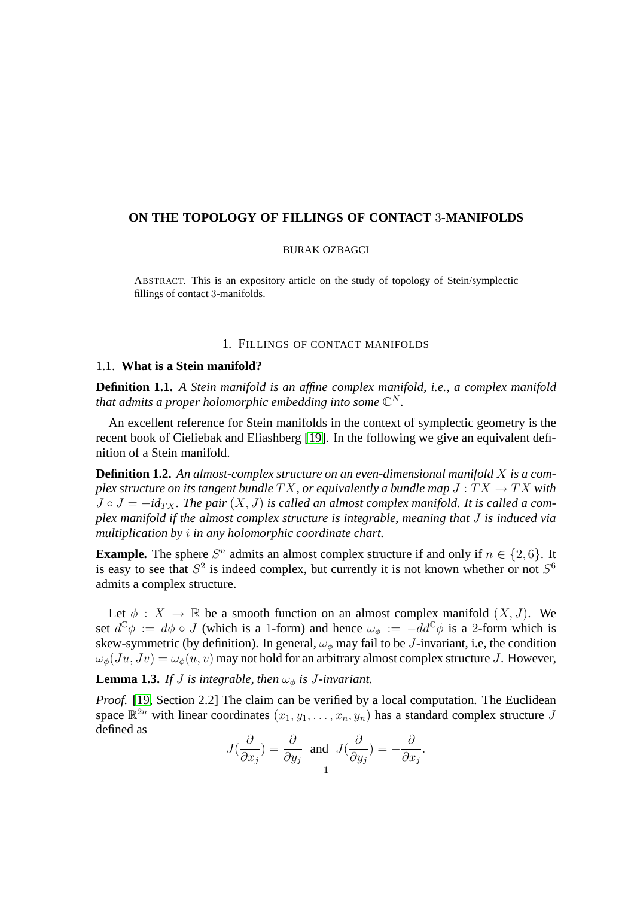# **ON THE TOPOLOGY OF FILLINGS OF CONTACT** 3**-MANIFOLDS**

## BURAK OZBAGCI

ABSTRACT. This is an expository article on the study of topology of Stein/symplectic fillings of contact 3-manifolds.

## 1. FILLINGS OF CONTACT MANIFOLDS

## <span id="page-0-1"></span>1.1. **What is a Stein manifold?**

**Definition 1.1.** *A Stein manifold is an affine complex manifold, i.e., a complex manifold* that admits a proper holomorphic embedding into some  $\mathbb{C}^N$ .

An excellent reference for Stein manifolds in the context of symplectic geometry is the recent book of Cieliebak and Eliashberg [\[19\]](#page-41-0). In the following we give an equivalent definition of a Stein manifold.

**Definition 1.2.** *An almost-complex structure on an even-dimensional manifold* X *is a complex structure on its tangent bundle*  $TX$ , *or equivalently a bundle map*  $J:TX \to TX$  *with*  $J \circ J = -id_{TX}$ . The pair  $(X, J)$  is called an almost complex manifold. It is called a com*plex manifold if the almost complex structure is integrable, meaning that* J *is induced via multiplication by* i *in any holomorphic coordinate chart.*

**Example.** The sphere  $S^n$  admits an almost complex structure if and only if  $n \in \{2, 6\}$ . It is easy to see that  $S^2$  is indeed complex, but currently it is not known whether or not  $S^6$ admits a complex structure.

Let  $\phi: X \to \mathbb{R}$  be a smooth function on an almost complex manifold  $(X, J)$ . We set  $d^{\mathbb{C}}\phi := d\phi \circ J$  (which is a 1-form) and hence  $\omega_{\phi} := -dd^{\mathbb{C}}\phi$  is a 2-form which is skew-symmetric (by definition). In general,  $\omega_{\phi}$  may fail to be *J*-invariant, i.e, the condition  $\omega_{\phi}(Ju, Jv) = \omega_{\phi}(u, v)$  may not hold for an arbitrary almost complex structure J. However,

<span id="page-0-0"></span>**Lemma 1.3.** *If J is integrable, then*  $\omega_{\phi}$  *is J-invariant.* 

*Proof.* [\[19,](#page-41-0) Section 2.2] The claim can be verified by a local computation. The Euclidean space  $\mathbb{R}^{2n}$  with linear coordinates  $(x_1, y_1, \ldots, x_n, y_n)$  has a standard complex structure J defined as ∂

$$
J(\frac{\partial}{\partial x_j}) = \frac{\partial}{\partial y_j} \text{ and } J(\frac{\partial}{\partial y_j}) = -\frac{\partial}{\partial x_j}.
$$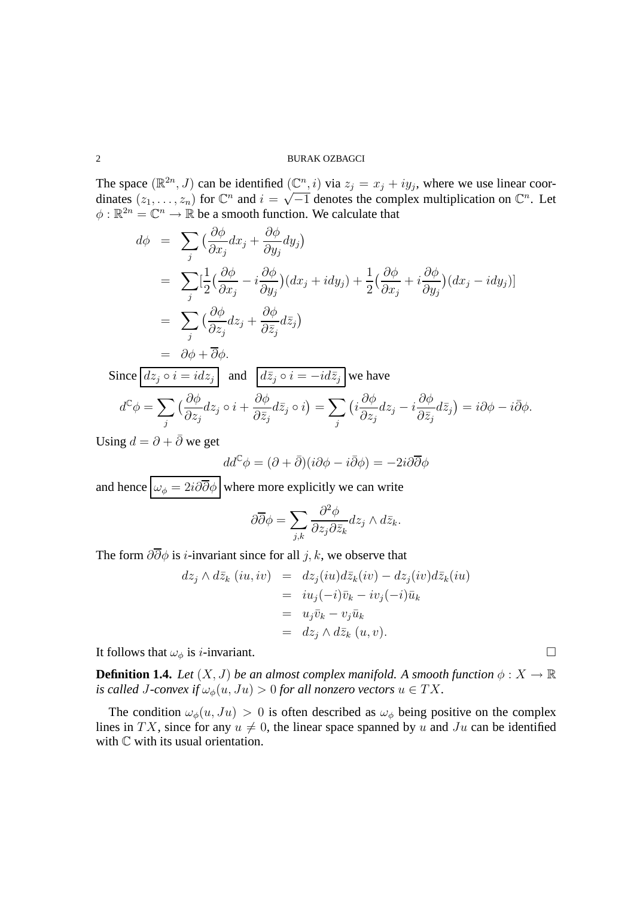The space  $(\mathbb{R}^{2n}, J)$  can be identified  $(\mathbb{C}^n, i)$  via  $z_j = x_j + iy_j$ , where we use linear coordinates  $(z_1, \ldots, z_n)$  for  $\mathbb{C}^n$  and  $i = \sqrt{-1}$  denotes the complex multiplication on  $\mathbb{C}^n$ . Let  $\phi : \mathbb{R}^{2n} = \mathbb{C}^n \to \mathbb{R}$  be a smooth function. We calculate that

$$
d\phi = \sum_{j} \left( \frac{\partial \phi}{\partial x_{j}} dx_{j} + \frac{\partial \phi}{\partial y_{j}} dy_{j} \right)
$$
  
\n
$$
= \sum_{j} \left[ \frac{1}{2} \left( \frac{\partial \phi}{\partial x_{j}} - i \frac{\partial \phi}{\partial y_{j}} \right) (dx_{j} + idy_{j}) + \frac{1}{2} \left( \frac{\partial \phi}{\partial x_{j}} + i \frac{\partial \phi}{\partial y_{j}} \right) (dx_{j} - idy_{j}) \right]
$$
  
\n
$$
= \sum_{j} \left( \frac{\partial \phi}{\partial z_{j}} dz_{j} + \frac{\partial \phi}{\partial \bar{z}_{j}} d\bar{z}_{j} \right)
$$
  
\n
$$
= \partial \phi + \overline{\partial} \phi.
$$
  
\nSince  $d\bar{z}_{j} \circ i = id\bar{z}_{j}$  and  $d\bar{z}_{j} \circ i = -id\bar{z}_{j}$  we have  
\n
$$
d^{c} \phi = \sum_{j} \left( \frac{\partial \phi}{\partial z_{j}} dz_{j} \circ i + \frac{\partial \phi}{\partial \bar{z}_{j}} d\bar{z}_{j} \circ i \right) = \sum_{j} \left( i \frac{\partial \phi}{\partial z_{j}} dz_{j} - i \frac{\partial \phi}{\partial \bar{z}_{j}} d\bar{z}_{j} \right) = i\partial \phi - i\overline{\partial} \phi.
$$

Using  $d = \partial + \overline{\partial}$  we get

$$
dd^{\mathbb{C}}\phi = (\partial + \bar{\partial})(i\partial \phi - i\bar{\partial}\phi) = -2i\partial \overline{\partial}\phi
$$

and hence  $\boxed{\omega_{\phi} = 2i\partial\overline{\partial}\phi}$  where more explicitly we can write

$$
\partial \overline{\partial} \phi = \sum_{j,k} \frac{\partial^2 \phi}{\partial z_j \partial \overline{z}_k} dz_j \wedge d\overline{z}_k.
$$

The form  $\partial \overline{\partial} \phi$  is *i*-invariant since for all *j*, *k*, we observe that

$$
dz_j \wedge d\bar{z}_k (iu, iv) = dz_j(iu) d\bar{z}_k(iv) - dz_j(iv) d\bar{z}_k(iu)
$$
  
=  $iu_j(-i)\bar{v}_k - iv_j(-i)\bar{u}_k$   
=  $u_j\bar{v}_k - v_j\bar{u}_k$   
=  $dz_j \wedge d\bar{z}_k (u, v).$ 

<span id="page-1-0"></span>It follows that  $\omega_{\phi}$  is *i*-invariant.

**Definition 1.4.** *Let*  $(X, J)$  *be an almost complex manifold.* A smooth function  $\phi : X \to \mathbb{R}$ *is called J-convex if*  $\omega_{\phi}(u, Ju) > 0$  *for all nonzero vectors*  $u \in TX$ .

The condition  $\omega_{\phi}(u, Ju) > 0$  is often described as  $\omega_{\phi}$  being positive on the complex lines in TX, since for any  $u \neq 0$ , the linear space spanned by u and Ju can be identified with  $\mathbb C$  with its usual orientation.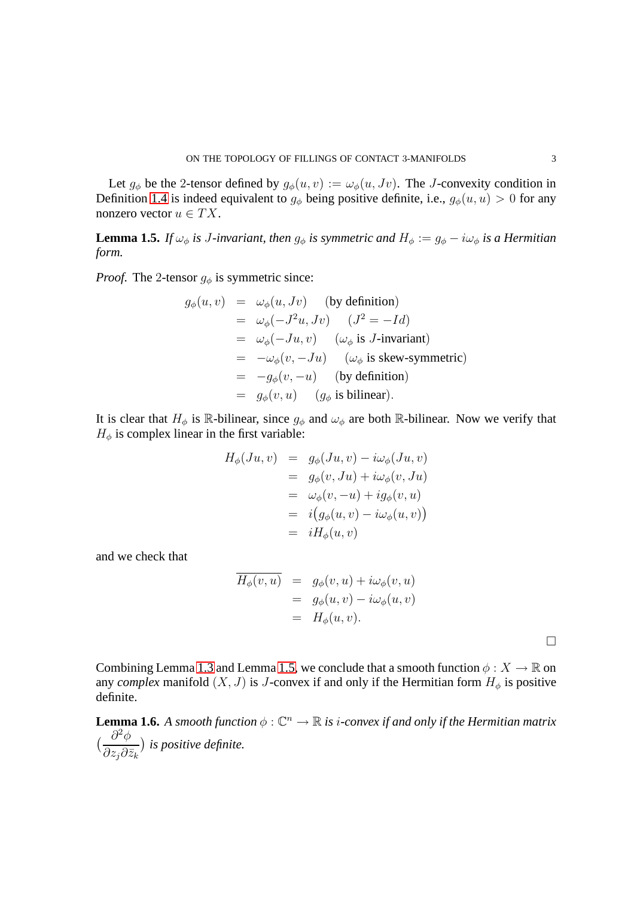Let  $g_{\phi}$  be the 2-tensor defined by  $g_{\phi}(u, v) := \omega_{\phi}(u, Jv)$ . The J-convexity condition in Definition [1.4](#page-1-0) is indeed equivalent to  $g_{\phi}$  being positive definite, i.e.,  $g_{\phi}(u, u) > 0$  for any nonzero vector  $u \in TX$ .

<span id="page-2-0"></span>**Lemma 1.5.** *If*  $\omega_{\phi}$  *is J-invariant, then*  $g_{\phi}$  *is symmetric and*  $H_{\phi} := g_{\phi} - i\omega_{\phi}$  *is a Hermitian form.*

*Proof.* The 2-tensor  $g_{\phi}$  is symmetric since:

$$
g_{\phi}(u, v) = \omega_{\phi}(u, Jv) \quad \text{(by definition)}
$$
  
=  $\omega_{\phi}(-J^2u, Jv) \quad (J^2 = -Id)$   
=  $\omega_{\phi}(-Ju, v) \quad (\omega_{\phi} \text{ is } J\text{-invariant})$   
=  $-\omega_{\phi}(v, -Ju) \quad (\omega_{\phi} \text{ is skew-symmetric})$   
=  $-g_{\phi}(v, -u) \quad \text{(by definition)}$   
=  $g_{\phi}(v, u) \quad (g_{\phi} \text{ is bilinear}).$ 

It is clear that  $H_{\phi}$  is R-bilinear, since  $g_{\phi}$  and  $\omega_{\phi}$  are both R-bilinear. Now we verify that  $H_{\phi}$  is complex linear in the first variable:

$$
H_{\phi}(Ju, v) = g_{\phi}(Ju, v) - i\omega_{\phi}(Ju, v)
$$
  
=  $g_{\phi}(v, Ju) + i\omega_{\phi}(v, Ju)$   
=  $\omega_{\phi}(v, -u) + ig_{\phi}(v, u)$   
=  $i(g_{\phi}(u, v) - i\omega_{\phi}(u, v))$   
=  $iH_{\phi}(u, v)$ 

and we check that

$$
\overline{H_{\phi}(v, u)} = g_{\phi}(v, u) + i\omega_{\phi}(v, u)
$$
  
=  $g_{\phi}(u, v) - i\omega_{\phi}(u, v)$   
=  $H_{\phi}(u, v)$ .

 $\Box$ 

Combining Lemma [1.3](#page-0-0) and Lemma [1.5,](#page-2-0) we conclude that a smooth function  $\phi: X \to \mathbb{R}$  on any *complex* manifold  $(X, J)$  is J-convex if and only if the Hermitian form  $H_{\phi}$  is positive definite.

**Lemma 1.6.** *A smooth function*  $\phi : \mathbb{C}^n \to \mathbb{R}$  *is i-convex if and only if the Hermitian matrix*  $\frac{\partial^2 \phi}{\partial x^2}$  $\partial z_j\partial\bar{z}_k$ *is positive definite.*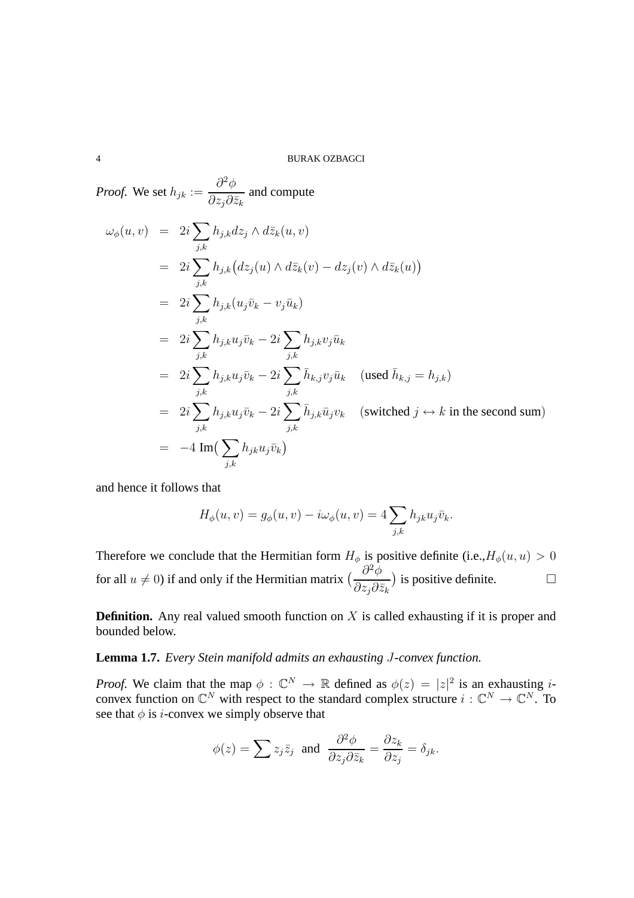Proof. We set 
$$
h_{jk} := \frac{\partial^2 \phi}{\partial z_j \partial \bar{z}_k}
$$
 and compute  
\n
$$
\omega_{\phi}(u, v) = 2i \sum_{j,k} h_{j,k} dz_j \wedge d\bar{z}_k(u, v)
$$
\n
$$
= 2i \sum_{j,k} h_{j,k} (dz_j(u) \wedge d\bar{z}_k(v) - dz_j(v) \wedge d\bar{z}_k(u))
$$
\n
$$
= 2i \sum_{j,k} h_{j,k} (u_j \bar{v}_k - v_j \bar{u}_k)
$$
\n
$$
= 2i \sum_{j,k} h_{j,k} u_j \bar{v}_k - 2i \sum_{j,k} h_{j,k} v_j \bar{u}_k
$$
\n
$$
= 2i \sum_{j,k} h_{j,k} u_j \bar{v}_k - 2i \sum_{j,k} \bar{h}_{k,j} v_j \bar{u}_k \quad \text{(used } \bar{h}_{k,j} = h_{j,k})
$$
\n
$$
= 2i \sum_{j,k} h_{j,k} u_j \bar{v}_k - 2i \sum_{j,k} \bar{h}_{j,k} \bar{u}_j v_k \quad \text{(switched } j \leftrightarrow k \text{ in the second sum)}
$$
\n
$$
= -4 \text{Im}(\sum_{j,k} h_{j,k} u_j \bar{v}_k)
$$

and hence it follows that

$$
H_{\phi}(u,v) = g_{\phi}(u,v) - i\omega_{\phi}(u,v) = 4\sum_{j,k} h_{jk} u_j \bar{v}_k.
$$

Therefore we conclude that the Hermitian form  $H_{\phi}$  is positive definite (i.e.,  $H_{\phi}(u, u) > 0$ for all  $u \neq 0$ ) if and only if the Hermitian matrix  $\left(\frac{\partial^2 \phi}{\partial z_i \partial \bar{z}_j}\right)$  $\partial z_j\partial \bar{z}_k$ ) is positive definite.  $\Box$ 

<span id="page-3-0"></span>**Definition.** Any real valued smooth function on X is called exhausting if it is proper and bounded below.

**Lemma 1.7.** *Every Stein manifold admits an exhausting* J*-convex function.*

*Proof.* We claim that the map  $\phi : \mathbb{C}^N \to \mathbb{R}$  defined as  $\phi(z) = |z|^2$  is an exhausting *i*convex function on  $\mathbb{C}^N$  with respect to the standard complex structure  $i: \mathbb{C}^N \to \mathbb{C}^N$ . To see that  $\phi$  is *i*-convex we simply observe that

$$
\phi(z) = \sum z_j \overline{z}_j
$$
 and  $\frac{\partial^2 \phi}{\partial z_j \partial \overline{z}_k} = \frac{\partial z_k}{\partial z_j} = \delta_{jk}$ .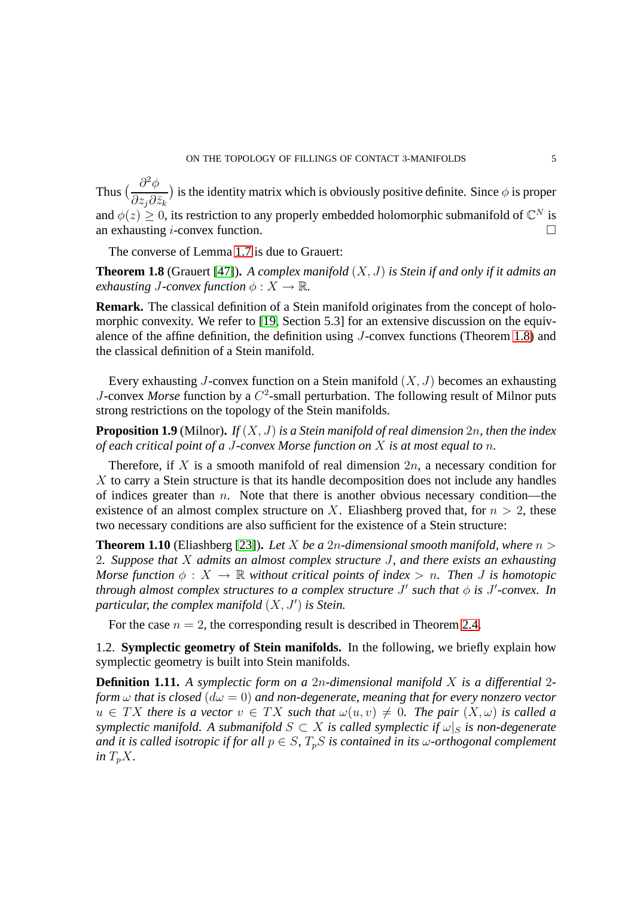Thus  $\left(\frac{\partial^2 \phi}{\partial x^2}\right)$  $\partial z_j\partial\bar{z}_k$ ) is the identity matrix which is obviously positive definite. Since  $\phi$  is proper and  $\phi(z) \geq 0$ , its restriction to any properly embedded holomorphic submanifold of  $\mathbb{C}^N$  is an exhausting *i*-convex function.  $\Box$ 

<span id="page-4-0"></span>The converse of Lemma [1.7](#page-3-0) is due to Grauert:

**Theorem 1.8** (Grauert [\[47\]](#page-42-0))**.** *A complex manifold* (X, J) *is Stein if and only if it admits an exhausting J-convex function*  $\phi: X \to \mathbb{R}$ *.* 

**Remark.** The classical definition of a Stein manifold originates from the concept of holomorphic convexity. We refer to [\[19,](#page-41-0) Section 5.3] for an extensive discussion on the equivalence of the affine definition, the definition using J-convex functions (Theorem [1.8\)](#page-4-0) and the classical definition of a Stein manifold.

Every exhausting J-convex function on a Stein manifold  $(X, J)$  becomes an exhausting J-convex Morse function by a  $C^2$ -small perturbation. The following result of Milnor puts strong restrictions on the topology of the Stein manifolds.

**Proposition 1.9** (Milnor)**.** *If* (X, J) *is a Stein manifold of real dimension* 2n*, then the index of each critical point of a* J*-convex Morse function on* X *is at most equal to* n*.*

Therefore, if X is a smooth manifold of real dimension  $2n$ , a necessary condition for  $X$  to carry a Stein structure is that its handle decomposition does not include any handles of indices greater than  $n$ . Note that there is another obvious necessary condition—the existence of an almost complex structure on X. Eliashberg proved that, for  $n > 2$ , these two necessary conditions are also sufficient for the existence of a Stein structure:

**Theorem 1.10** (Eliashberg [\[23\]](#page-41-1)). Let X be a 2n-dimensional smooth manifold, where  $n >$ 2*. Suppose that* X *admits an almost complex structure* J*, and there exists an exhausting Morse function*  $\phi : X \to \mathbb{R}$  *without critical points of index* > *n. Then J is homotopic through almost complex structures to a complex structure*  $J'$  *such that*  $\phi$  *is*  $J'$ -convex. In *particular, the complex manifold* (X, J′ ) *is Stein.*

For the case  $n = 2$ , the corresponding result is described in Theorem [2.4.](#page-13-0)

<span id="page-4-1"></span>1.2. **Symplectic geometry of Stein manifolds.** In the following, we briefly explain how symplectic geometry is built into Stein manifolds.

**Definition 1.11.** *A symplectic form on a* 2n*-dimensional manifold* X *is a differential* 2 *form*  $\omega$  *that is closed*  $(d\omega = 0)$  *and non-degenerate, meaning that for every nonzero vector*  $u \in TX$  there is a vector  $v \in TX$  such that  $\omega(u, v) \neq 0$ . The pair  $(X, \omega)$  is called a *symplectic manifold.* A submanifold  $S \subset X$  is called symplectic if  $\omega|_S$  is non-degenerate *and it is called isotropic if for all*  $p \in S$ ,  $T_pS$  *is contained in its w-orthogonal complement in*  $T_pX$ .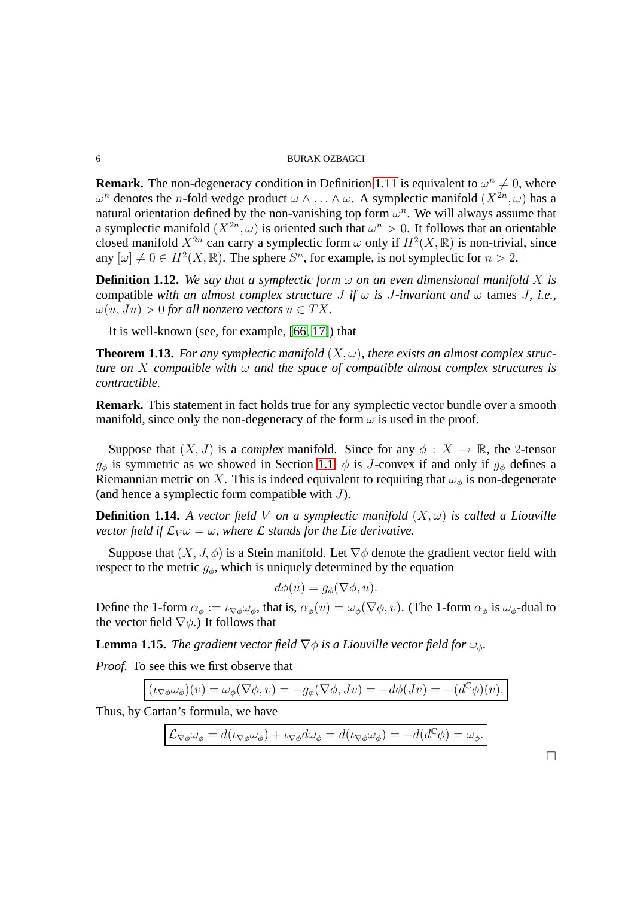**Remark.** The non-degeneracy condition in Definition [1.11](#page-4-1) is equivalent to  $\omega^n \neq 0$ , where  $ω<sup>n</sup>$  denotes the *n*-fold wedge product  $ω ∧ \ldots ∧ ω$ . A symplectic manifold  $(X^{2n}, ω)$  has a natural orientation defined by the non-vanishing top form  $\omega^n$ . We will always assume that a symplectic manifold  $(X^{2n}, \omega)$  is oriented such that  $\omega^n > 0$ . It follows that an orientable closed manifold  $X^{2n}$  can carry a symplectic form  $\omega$  only if  $H^2(X,\mathbb{R})$  is non-trivial, since any  $[\omega] \neq 0 \in H^2(X, \mathbb{R})$ . The sphere  $S^n$ , for example, is not symplectic for  $n > 2$ .

**Definition 1.12.** We say that a symplectic form  $\omega$  on an even dimensional manifold X is compatible *with an almost complex structure J if*  $\omega$  *is J-invariant and*  $\omega$  tames *J, i.e.,*  $\omega(u, Ju) > 0$  for all nonzero vectors  $u \in TX$ .

It is well-known (see, for example, [\[66,](#page-43-0) [17\]](#page-41-2)) that

**Theorem 1.13.** For any symplectic manifold  $(X, \omega)$ , there exists an almost complex struc*ture on* X *compatible with* ω *and the space of compatible almost complex structures is contractible.*

**Remark.** This statement in fact holds true for any symplectic vector bundle over a smooth manifold, since only the non-degeneracy of the form  $\omega$  is used in the proof.

Suppose that  $(X, J)$  is a *complex* manifold. Since for any  $\phi : X \to \mathbb{R}$ , the 2-tensor  $q_{\phi}$  is symmetric as we showed in Section [1.1,](#page-0-1)  $\phi$  is J-convex if and only if  $g_{\phi}$  defines a Riemannian metric on X. This is indeed equivalent to requiring that  $\omega_{\phi}$  is non-degenerate (and hence a symplectic form compatible with  $J$ ).

**Definition 1.14.** *A vector field V on a symplectic manifold*  $(X, \omega)$  *is called a Liouville vector field if*  $\mathcal{L}_{V} \omega = \omega$ *, where*  $\mathcal{L}$  *stands for the Lie derivative.* 

Suppose that  $(X, J, \phi)$  is a Stein manifold. Let  $\nabla \phi$  denote the gradient vector field with respect to the metric  $g_{\phi}$ , which is uniquely determined by the equation

$$
d\phi(u) = g_{\phi}(\nabla \phi, u).
$$

<span id="page-5-0"></span>Define the 1-form  $\alpha_{\phi} := \iota_{\nabla \phi} \omega_{\phi}$ , that is,  $\alpha_{\phi}(v) = \omega_{\phi}(\nabla \phi, v)$ . (The 1-form  $\alpha_{\phi}$  is  $\omega_{\phi}$ -dual to the vector field  $\nabla \phi$ .) It follows that

**Lemma 1.15.** *The gradient vector field*  $\nabla \phi$  *is a Liouville vector field for*  $\omega_{\phi}$ *.* 

*Proof.* To see this we first observe that

$$
(\iota_{\nabla \phi} \omega_{\phi})(v) = \omega_{\phi}(\nabla \phi, v) = -g_{\phi}(\nabla \phi, Jv) = -d\phi(Jv) = -(d^{\mathbb{C}}\phi)(v).
$$

Thus, by Cartan's formula, we have

$$
\mathcal{L}_{\nabla\phi}\omega_{\phi} = d(\iota_{\nabla\phi}\omega_{\phi}) + \iota_{\nabla\phi}d\omega_{\phi} = d(\iota_{\nabla\phi}\omega_{\phi}) = -d(d^{\mathbb{C}}\phi) = \omega_{\phi}.
$$

 $\Box$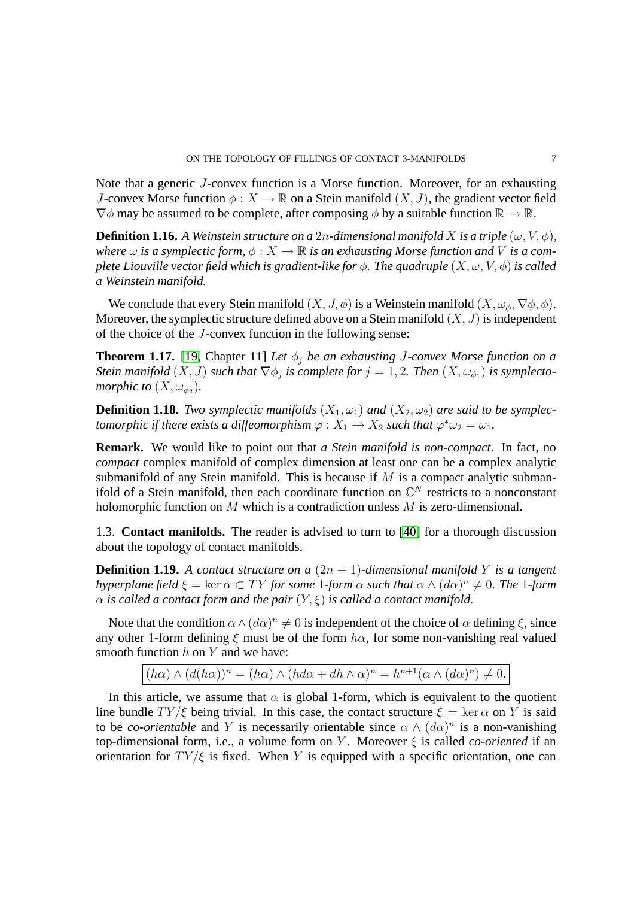Note that a generic J-convex function is a Morse function. Moreover, for an exhausting J-convex Morse function  $\phi: X \to \mathbb{R}$  on a Stein manifold  $(X, J)$ , the gradient vector field  $\nabla \phi$  may be assumed to be complete, after composing  $\phi$  by a suitable function  $\mathbb{R} \to \mathbb{R}$ .

**Definition 1.16.** A Weinstein structure on a 2n-dimensional manifold X is a triple  $(\omega, V, \phi)$ , *where*  $\omega$  *is a symplectic form,*  $\phi: X \to \mathbb{R}$  *is an exhausting Morse function and* V *is a complete Liouville vector field which is gradient-like for*  $\phi$ *. The quadruple*  $(X, \omega, V, \phi)$  *is called a Weinstein manifold.*

We conclude that every Stein manifold  $(X, J, \phi)$  is a Weinstein manifold  $(X, \omega_{\phi}, \nabla \phi, \phi)$ . Moreover, the symplectic structure defined above on a Stein manifold  $(X, J)$  is independent of the choice of the J-convex function in the following sense:

**Theorem 1.17.** [\[19,](#page-41-0) Chapter 11] *Let*  $\phi_i$  *be an exhausting J-convex Morse function on a Stein manifold*  $(X, J)$  *such that*  $\nabla \phi_j$  *is complete for*  $j = 1, 2$ *. Then*  $(X, \omega_{\phi_1})$  *is symplectomorphic to*  $(X, \omega_{\phi_2})$ .

**Definition 1.18.** *Two symplectic manifolds*  $(X_1, \omega_1)$  *and*  $(X_2, \omega_2)$  *are said to be symplectomorphic if there exists a diffeomorphism*  $\varphi: X_1 \to X_2$  *such that*  $\varphi^* \omega_2 = \omega_1$ .

**Remark.** We would like to point out that *a Stein manifold is non-compact*. In fact, no *compact* complex manifold of complex dimension at least one can be a complex analytic submanifold of any Stein manifold. This is because if  $M$  is a compact analytic submanifold of a Stein manifold, then each coordinate function on  $\mathbb{C}^N$  restricts to a nonconstant holomorphic function on M which is a contradiction unless M is zero-dimensional.

<span id="page-6-0"></span>1.3. **Contact manifolds.** The reader is advised to turn to [\[40\]](#page-42-1) for a thorough discussion about the topology of contact manifolds.

**Definition 1.19.** A contact structure on a  $(2n + 1)$ -dimensional manifold Y is a tangent *hyperplane field*  $\xi = \ker \alpha \subset TY$  *for some* 1*-form*  $\alpha$  *such that*  $\alpha \wedge (d\alpha)^n \neq 0$ . The 1*-form*  $\alpha$  *is called a contact form and the pair*  $(Y, \xi)$  *is called a contact manifold.* 

Note that the condition  $\alpha \wedge (d\alpha)^n \neq 0$  is independent of the choice of  $\alpha$  defining  $\xi$ , since any other 1-form defining  $\xi$  must be of the form  $h\alpha$ , for some non-vanishing real valued smooth function  $h$  on  $Y$  and we have:

 $(h\alpha) \wedge (d(h\alpha))^n = (h\alpha) \wedge (hd\alpha + dh \wedge \alpha)^n = h^{n+1}(\alpha \wedge (d\alpha)^n) \neq 0.$ 

In this article, we assume that  $\alpha$  is global 1-form, which is equivalent to the quotient line bundle  $TY/\xi$  being trivial. In this case, the contact structure  $\xi = \ker \alpha$  on Y is said to be *co-orientable* and Y is necessarily orientable since  $\alpha \wedge (d\alpha)^n$  is a non-vanishing top-dimensional form, i.e., a volume form on Y. Moreover  $\xi$  is called *co-oriented* if an orientation for  $TY/\xi$  is fixed. When Y is equipped with a specific orientation, one can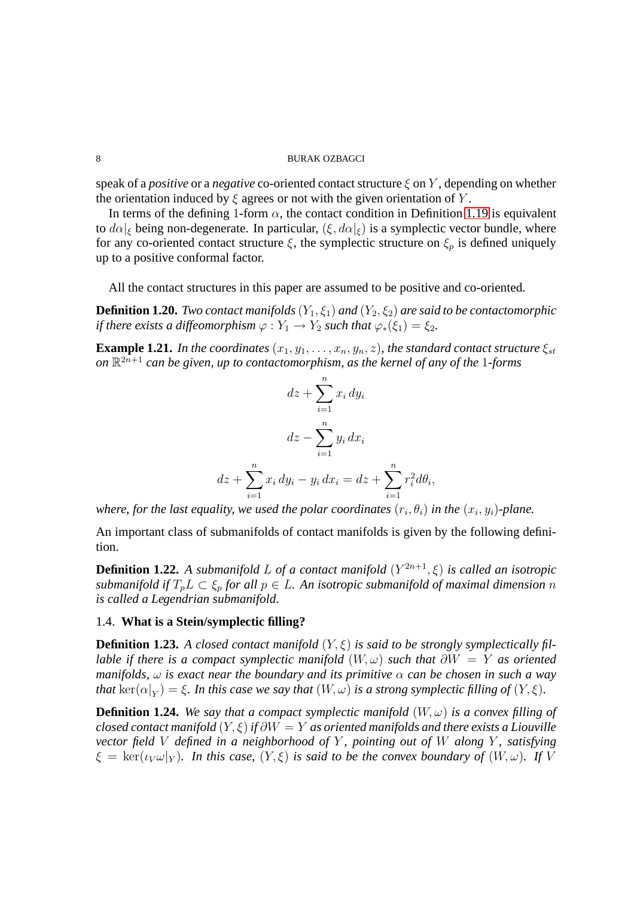speak of a *positive* or a *negative* co-oriented contact structure  $\xi$  on Y, depending on whether the orientation induced by  $\xi$  agrees or not with the given orientation of Y.

In terms of the defining 1-form  $\alpha$ , the contact condition in Definition [1.19](#page-6-0) is equivalent to  $d\alpha|_{\xi}$  being non-degenerate. In particular,  $(\xi, d\alpha|_{\xi})$  is a symplectic vector bundle, where for any co-oriented contact structure  $\xi$ , the symplectic structure on  $\xi_p$  is defined uniquely up to a positive conformal factor.

All the contact structures in this paper are assumed to be positive and co-oriented.

**Definition 1.20.** *Two contact manifolds*  $(Y_1, \xi_1)$  *and*  $(Y_2, \xi_2)$  *are said to be contactomorphic if there exists a diffeomorphism*  $\varphi : Y_1 \to Y_2$  *such that*  $\varphi_*(\xi_1) = \xi_2$ .

**Example 1.21.** *In the coordinates*  $(x_1, y_1, \ldots, x_n, y_n, z)$ *, the standard contact structure*  $\xi_{st}$ on  $\mathbb{R}^{2n+1}$  can be given, up to contactomorphism, as the kernel of any of the 1-forms

$$
dz + \sum_{i=1}^{n} x_i dy_i
$$

$$
dz - \sum_{i=1}^{n} y_i dx_i
$$

$$
dz + \sum_{i=1}^{n} x_i dy_i - y_i dx_i = dz + \sum_{i=1}^{n} r_i^2 d\theta_i,
$$

where, for the last equality, we used the polar coordinates  $(r_i, \theta_i)$  in the  $(x_i, y_i)$ -plane.

An important class of submanifolds of contact manifolds is given by the following definition.

**Definition 1.22.** *A submanifold* L *of a contact manifold* (Y <sup>2</sup>n+1, ξ) *is called an isotropic submanifold if*  $T_pL \subset \xi_p$  *for all*  $p \in L$ *. An isotropic submanifold of maximal dimension n is called a Legendrian submanifold.*

## 1.4. **What is a Stein/symplectic filling?**

**Definition 1.23.** *A closed contact manifold*  $(Y, \xi)$  *is said to be strongly symplectically fillable if there is a compact symplectic manifold*  $(W, \omega)$  *such that*  $\partial W = Y$  *as oriented manifolds,*  $\omega$  *is exact near the boundary and its primitive*  $\alpha$  *can be chosen in such a way that*  $\ker(\alpha|_Y) = \xi$ . In this case we say that  $(W, \omega)$  is a strong symplectic filling of  $(Y, \xi)$ .

**Definition 1.24.** We say that a compact symplectic manifold  $(W, \omega)$  is a convex filling of *closed contact manifold* (Y, ξ)*if* ∂W = Y *as oriented manifolds and there exists a Liouville vector field* V *defined in a neighborhood of* Y *, pointing out of* W *along* Y *, satisfying*  $\xi = \ker(i_V \omega|_Y)$ *. In this case,*  $(Y, \xi)$  *is said to be the convex boundary of*  $(W, \omega)$ *. If* V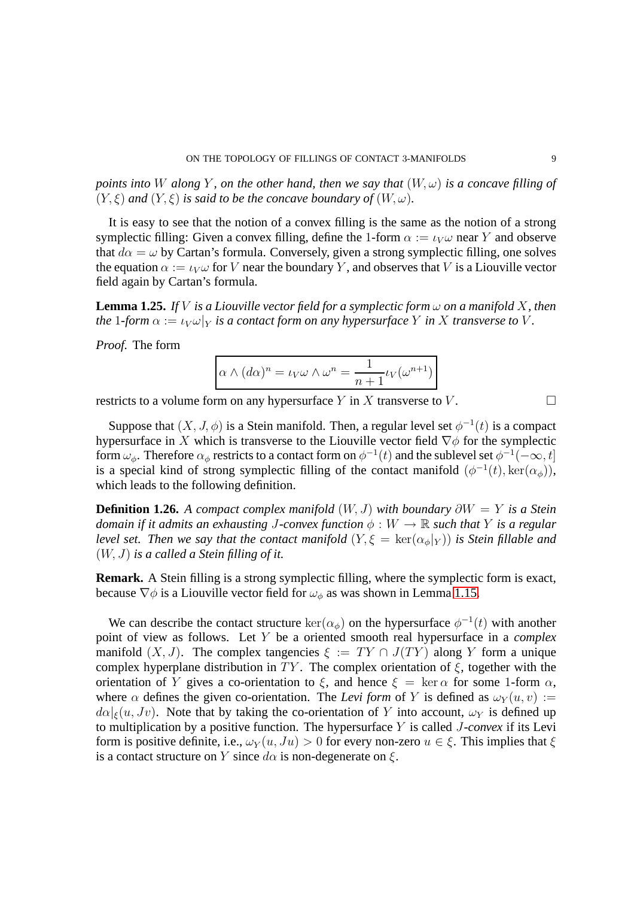*points into* W *along* Y, *on the other hand, then we say that*  $(W, \omega)$  *is a concave filling of*  $(Y, \xi)$  *and*  $(Y, \xi)$  *is said to be the concave boundary of*  $(W, \omega)$ *.* 

It is easy to see that the notion of a convex filling is the same as the notion of a strong symplectic filling: Given a convex filling, define the 1-form  $\alpha := \iota_V \omega$  near Y and observe that  $d\alpha = \omega$  by Cartan's formula. Conversely, given a strong symplectic filling, one solves the equation  $\alpha := \iota_V \omega$  for V near the boundary Y, and observes that V is a Liouville vector field again by Cartan's formula.

**Lemma 1.25.** *If V is a Liouville vector field for a symplectic form*  $\omega$  *on a manifold X, then the* 1*-form*  $\alpha := \iota_V \omega|_Y$  *is a contact form on any hypersurface* Y *in* X *transverse to* V.

*Proof.* The form

$$
\alpha \wedge (d\alpha)^n = \iota_V \omega \wedge \omega^n = \frac{1}{n+1} \iota_V(\omega^{n+1})
$$

restricts to a volume form on any hypersurface Y in X transverse to V.

Suppose that  $(X, J, \phi)$  is a Stein manifold. Then, a regular level set  $\phi^{-1}(t)$  is a compact hypersurface in X which is transverse to the Liouville vector field  $\nabla \phi$  for the symplectic form  $\omega_{\phi}$ . Therefore  $\alpha_{\phi}$  restricts to a contact form on  $\phi^{-1}(t)$  and the sublevel set  $\phi^{-1}(-\infty, t]$ is a special kind of strong symplectic filling of the contact manifold  $(\phi^{-1}(t), \ker(\alpha_{\phi}))$ , which leads to the following definition.

**Definition 1.26.** *A compact complex manifold*  $(W, J)$  *with boundary*  $\partial W = Y$  *is a Stein domain if it admits an exhausting J-convex function*  $\phi : W \to \mathbb{R}$  *such that* Y *is a regular level set. Then we say that the contact manifold*  $(Y, \xi = \text{ker}(\alpha_{\phi}|Y))$  *is Stein fillable and* (W, J) *is a called a Stein filling of it.*

**Remark.** A Stein filling is a strong symplectic filling, where the symplectic form is exact, because  $\nabla \phi$  is a Liouville vector field for  $\omega_{\phi}$  as was shown in Lemma [1.15.](#page-5-0)

We can describe the contact structure  $\ker(\alpha_{\phi})$  on the hypersurface  $\phi^{-1}(t)$  with another point of view as follows. Let Y be a oriented smooth real hypersurface in a *complex* manifold  $(X, J)$ . The complex tangencies  $\xi := TY \cap J(TY)$  along Y form a unique complex hyperplane distribution in TY. The complex orientation of  $\xi$ , together with the orientation of Y gives a co-orientation to  $\xi$ , and hence  $\xi = \ker \alpha$  for some 1-form  $\alpha$ , where  $\alpha$  defines the given co-orientation. The *Levi form* of Y is defined as  $\omega_Y(u, v) :=$  $d\alpha|_{\xi}(u, Jv)$ . Note that by taking the co-orientation of Y into account,  $\omega_Y$  is defined up to multiplication by a positive function. The hypersurface Y is called J*-convex* if its Levi form is positive definite, i.e.,  $\omega_Y(u, Ju) > 0$  for every non-zero  $u \in \xi$ . This implies that  $\xi$ is a contact structure on Y since  $d\alpha$  is non-degenerate on  $\xi$ .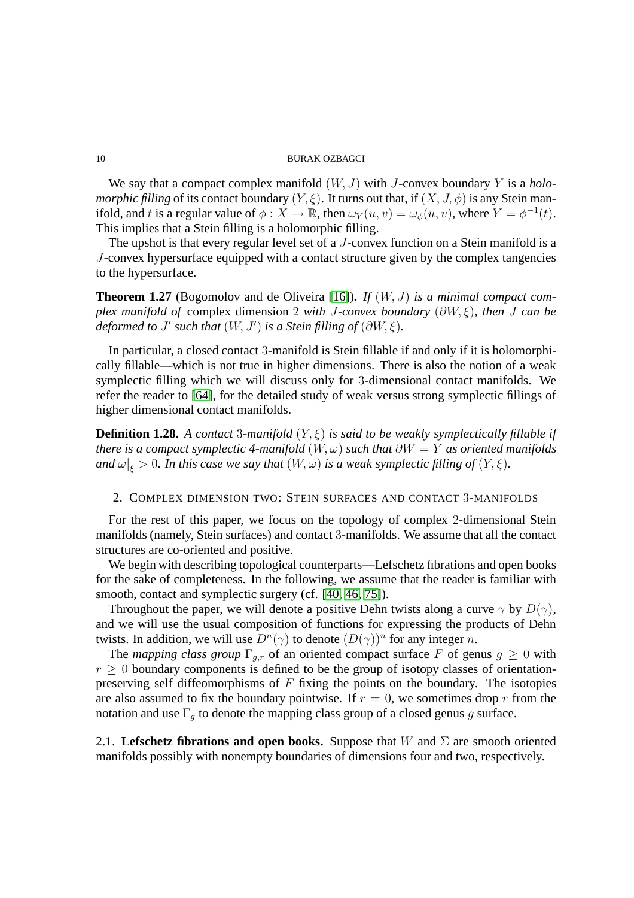We say that a compact complex manifold (W, J) with J-convex boundary Y is a *holomorphic filling* of its contact boundary  $(Y, \xi)$ . It turns out that, if  $(X, J, \phi)$  is any Stein manifold, and t is a regular value of  $\phi : X \to \mathbb{R}$ , then  $\omega_Y(u, v) = \omega_\phi(u, v)$ , where  $Y = \phi^{-1}(t)$ . This implies that a Stein filling is a holomorphic filling.

The upshot is that every regular level set of a J-convex function on a Stein manifold is a J-convex hypersurface equipped with a contact structure given by the complex tangencies to the hypersurface.

**Theorem 1.27** (Bogomolov and de Oliveira [\[16\]](#page-41-3))**.** *If* (W, J) *is a minimal compact complex manifold of* complex dimension 2 *with* J*-convex boundary* (∂W, ξ)*, then* J *can be deformed to J'* such that  $(W, J')$  is a Stein filling of  $(\partial W, \xi)$ .

In particular, a closed contact 3-manifold is Stein fillable if and only if it is holomorphically fillable—which is not true in higher dimensions. There is also the notion of a weak symplectic filling which we will discuss only for 3-dimensional contact manifolds. We refer the reader to [\[64\]](#page-43-1), for the detailed study of weak versus strong symplectic fillings of higher dimensional contact manifolds.

**Definition 1.28.** *A contact* 3*-manifold*  $(Y, \xi)$  *is said to be weakly symplectically fillable if there is a compact symplectic 4-manifold*  $(W, \omega)$  *such that*  $\partial W = Y$  *as oriented manifolds* and  $\omega|_{\xi} > 0$ . In this case we say that  $(W, \omega)$  is a weak symplectic filling of  $(Y, \xi)$ .

## 2. COMPLEX DIMENSION TWO: STEIN SURFACES AND CONTACT 3-MANIFOLDS

For the rest of this paper, we focus on the topology of complex 2-dimensional Stein manifolds (namely, Stein surfaces) and contact 3-manifolds. We assume that all the contact structures are co-oriented and positive.

We begin with describing topological counterparts—Lefschetz fibrations and open books for the sake of completeness. In the following, we assume that the reader is familiar with smooth, contact and symplectic surgery (cf. [\[40,](#page-42-1) [46,](#page-42-2) [75\]](#page-43-2)).

Throughout the paper, we will denote a positive Dehn twists along a curve  $\gamma$  by  $D(\gamma)$ , and we will use the usual composition of functions for expressing the products of Dehn twists. In addition, we will use  $D^{n}(\gamma)$  to denote  $(D(\gamma))^{n}$  for any integer n.

The *mapping class group*  $\Gamma_{g,r}$  of an oriented compact surface F of genus  $g \geq 0$  with  $r \geq 0$  boundary components is defined to be the group of isotopy classes of orientationpreserving self diffeomorphisms of  $F$  fixing the points on the boundary. The isotopies are also assumed to fix the boundary pointwise. If  $r = 0$ , we sometimes drop r from the notation and use  $\Gamma_g$  to denote the mapping class group of a closed genus g surface.

2.1. **Lefschetz fibrations and open books.** Suppose that W and  $\Sigma$  are smooth oriented manifolds possibly with nonempty boundaries of dimensions four and two, respectively.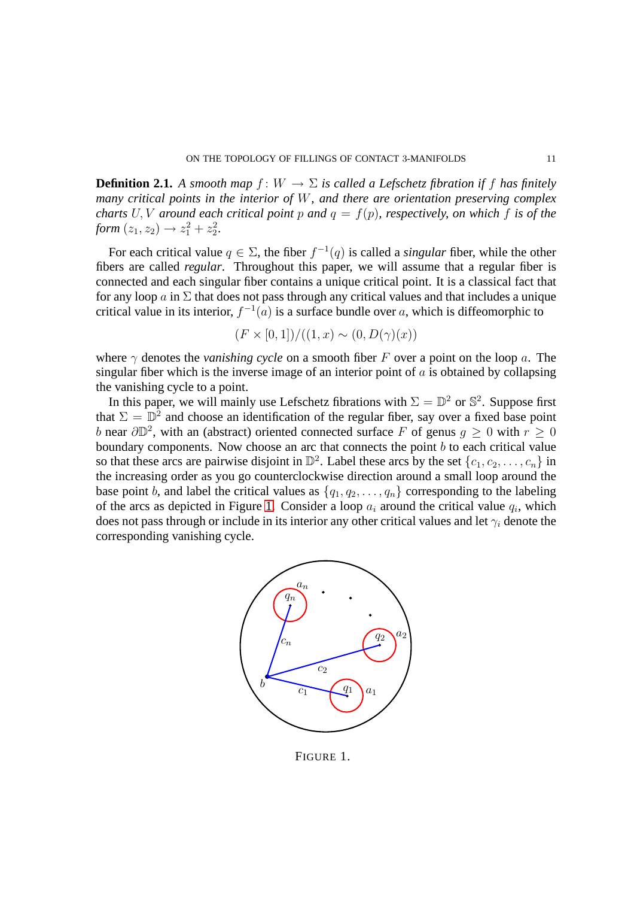**Definition 2.1.** *A smooth map*  $f: W \to \Sigma$  *is called a Lefschetz fibration if* f *has finitely many critical points in the interior of* W*, and there are orientation preserving complex charts* U, V around each critical point p and  $q = f(p)$ , respectively, on which f is of the *form*  $(z_1, z_2) \rightarrow z_1^2 + z_2^2$ .

For each critical value  $q \in \Sigma$ , the fiber  $f^{-1}(q)$  is called a *singular* fiber, while the other fibers are called *regular*. Throughout this paper, we will assume that a regular fiber is connected and each singular fiber contains a unique critical point. It is a classical fact that for any loop  $\alpha$  in  $\Sigma$  that does not pass through any critical values and that includes a unique critical value in its interior,  $f^{-1}(a)$  is a surface bundle over a, which is diffeomorphic to

$$
(F \times [0,1])/((1,x) \sim (0, D(\gamma)(x))
$$

where  $\gamma$  denotes the *vanishing cycle* on a smooth fiber F over a point on the loop a. The singular fiber which is the inverse image of an interior point of  $\alpha$  is obtained by collapsing the vanishing cycle to a point.

In this paper, we will mainly use Lefschetz fibrations with  $\Sigma = \mathbb{D}^2$  or  $\mathbb{S}^2$ . Suppose first that  $\Sigma = \mathbb{D}^2$  and choose an identification of the regular fiber, say over a fixed base point b near  $\partial \mathbb{D}^2$ , with an (abstract) oriented connected surface F of genus  $g \ge 0$  with  $r \ge 0$ boundary components. Now choose an arc that connects the point  $b$  to each critical value so that these arcs are pairwise disjoint in  $\mathbb{D}^2$ . Label these arcs by the set  $\{c_1, c_2, \ldots, c_n\}$  in the increasing order as you go counterclockwise direction around a small loop around the base point b, and label the critical values as  $\{q_1, q_2, \ldots, q_n\}$  corresponding to the labeling of the arcs as depicted in Figure [1.](#page-10-0) Consider a loop  $a_i$  around the critical value  $q_i$ , which does not pass through or include in its interior any other critical values and let  $\gamma_i$  denote the corresponding vanishing cycle.



<span id="page-10-0"></span>FIGURE 1.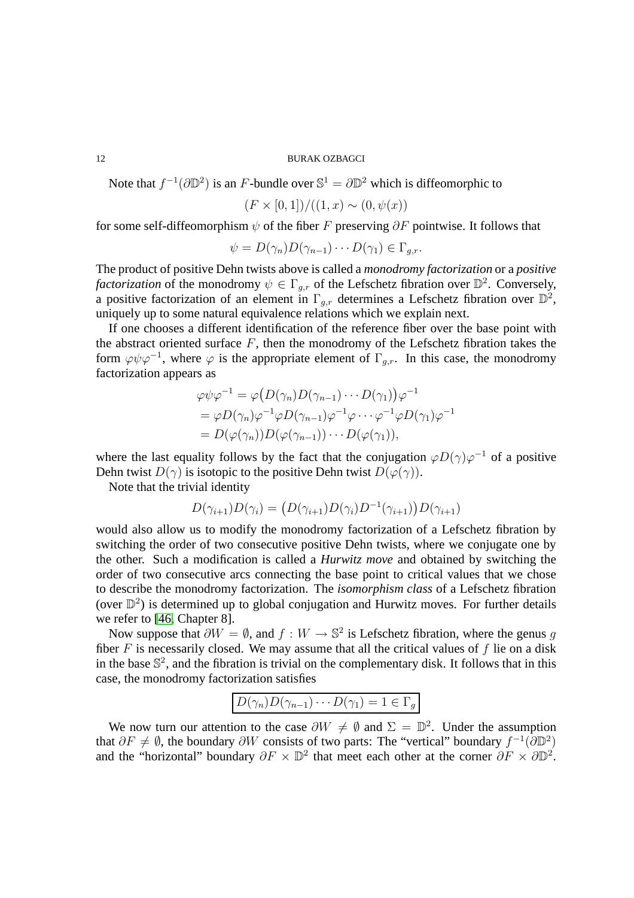Note that  $f^{-1}(\partial \mathbb{D}^2)$  is an F-bundle over  $\mathbb{S}^1 = \partial \mathbb{D}^2$  which is diffeomorphic to

$$
(F \times [0,1])/((1,x) \sim (0,\psi(x))
$$

for some self-diffeomorphism  $\psi$  of the fiber F preserving  $\partial F$  pointwise. It follows that

$$
\psi = D(\gamma_n)D(\gamma_{n-1})\cdots D(\gamma_1) \in \Gamma_{g,r}.
$$

The product of positive Dehn twists above is called a *monodromy factorization* or a *positive factorization* of the monodromy  $\psi \in \Gamma_{g,r}$  of the Lefschetz fibration over  $\mathbb{D}^2$ . Conversely, a positive factorization of an element in  $\Gamma_{g,r}$  determines a Lefschetz fibration over  $\mathbb{D}^2$ , uniquely up to some natural equivalence relations which we explain next.

If one chooses a different identification of the reference fiber over the base point with the abstract oriented surface  $F$ , then the monodromy of the Lefschetz fibration takes the form  $\varphi \psi \varphi^{-1}$ , where  $\varphi$  is the appropriate element of  $\Gamma_{g,r}$ . In this case, the monodromy factorization appears as

$$
\varphi \psi \varphi^{-1} = \varphi \big( D(\gamma_n) D(\gamma_{n-1}) \cdots D(\gamma_1) \big) \varphi^{-1}
$$
  
= 
$$
\varphi D(\gamma_n) \varphi^{-1} \varphi D(\gamma_{n-1}) \varphi^{-1} \varphi \cdots \varphi^{-1} \varphi D(\gamma_1) \varphi^{-1}
$$
  
= 
$$
D(\varphi(\gamma_n)) D(\varphi(\gamma_{n-1})) \cdots D(\varphi(\gamma_1)),
$$

where the last equality follows by the fact that the conjugation  $\varphi D(\gamma) \varphi^{-1}$  of a positive Dehn twist  $D(\gamma)$  is isotopic to the positive Dehn twist  $D(\varphi(\gamma))$ .

Note that the trivial identity

$$
D(\gamma_{i+1})D(\gamma_i) = (D(\gamma_{i+1})D(\gamma_i)D^{-1}(\gamma_{i+1}))D(\gamma_{i+1})
$$

would also allow us to modify the monodromy factorization of a Lefschetz fibration by switching the order of two consecutive positive Dehn twists, where we conjugate one by the other. Such a modification is called a *Hurwitz move* and obtained by switching the order of two consecutive arcs connecting the base point to critical values that we chose to describe the monodromy factorization. The *isomorphism class* of a Lefschetz fibration (over  $\mathbb{D}^2$ ) is determined up to global conjugation and Hurwitz moves. For further details we refer to [\[46,](#page-42-2) Chapter 8].

Now suppose that  $\partial W = \emptyset$ , and  $f : W \to \mathbb{S}^2$  is Lefschetz fibration, where the genus g fiber  $F$  is necessarily closed. We may assume that all the critical values of  $f$  lie on a disk in the base  $\mathbb{S}^2$ , and the fibration is trivial on the complementary disk. It follows that in this case, the monodromy factorization satisfies

$$
D(\gamma_n)D(\gamma_{n-1})\cdots D(\gamma_1)=1\in\Gamma_g
$$

We now turn our attention to the case  $\partial W \neq \emptyset$  and  $\Sigma = \mathbb{D}^2$ . Under the assumption that  $\partial F \neq \emptyset$ , the boundary  $\partial W$  consists of two parts: The "vertical" boundary  $f^{-1}(\partial \mathbb{D}^2)$ and the "horizontal" boundary  $\partial F \times \mathbb{D}^2$  that meet each other at the corner  $\partial F \times \partial \mathbb{D}^2$ .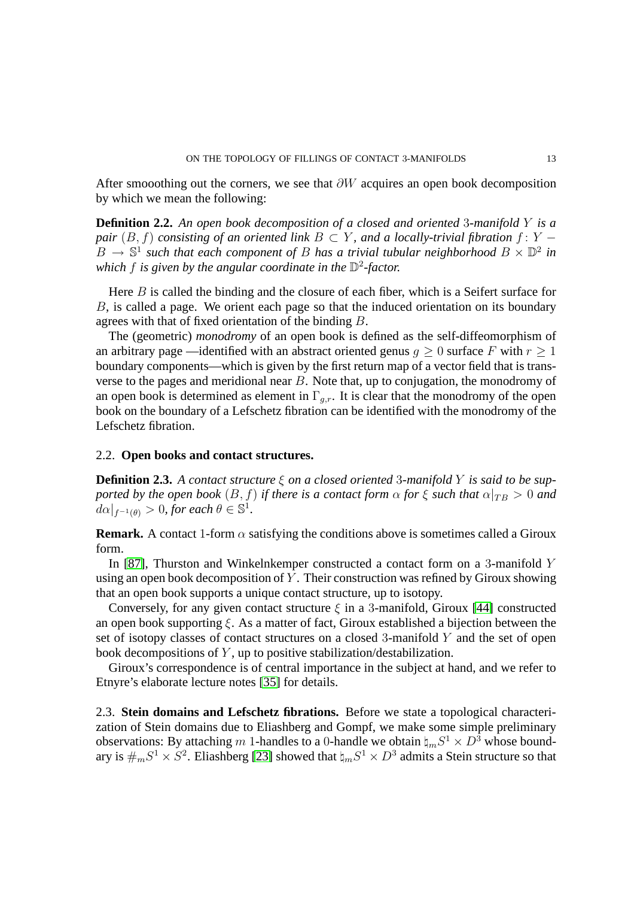After smooothing out the corners, we see that  $\partial W$  acquires an open book decomposition by which we mean the following:

**Definition 2.2.** *An open book decomposition of a closed and oriented* 3*-manifold* Y *is a pair*  $(B, f)$  *consisting of an oriented link*  $B \subset Y$ *, and a locally-trivial fibration*  $f: Y - I$  $B \to \mathbb{S}^1$  such that each component of B has a trivial tubular neighborhood  $B \times \mathbb{D}^2$  in which f is given by the angular coordinate in the  $\mathbb{D}^2$ -factor.

Here  $B$  is called the binding and the closure of each fiber, which is a Seifert surface for B, is called a page. We orient each page so that the induced orientation on its boundary agrees with that of fixed orientation of the binding B.

The (geometric) *monodromy* of an open book is defined as the self-diffeomorphism of an arbitrary page —identified with an abstract oriented genus  $g \ge 0$  surface F with  $r \ge 1$ boundary components—which is given by the first return map of a vector field that is transverse to the pages and meridional near  $B$ . Note that, up to conjugation, the monodromy of an open book is determined as element in  $\Gamma_{q,r}$ . It is clear that the monodromy of the open book on the boundary of a Lefschetz fibration can be identified with the monodromy of the Lefschetz fibration.

## 2.2. **Open books and contact structures.**

**Definition 2.3.** *A contact structure* ξ *on a closed oriented* 3*-manifold* Y *is said to be supported by the open book*  $(B, f)$  *if there is a contact form*  $\alpha$  *for*  $\xi$  *such that*  $\alpha|_{TB} > 0$  *and*  $d\alpha|_{f^{-1}(\theta)} > 0$ , for each  $\theta \in \mathbb{S}^1$ .

**Remark.** A contact 1-form  $\alpha$  satisfying the conditions above is sometimes called a Giroux form.

In [\[87\]](#page-44-0), Thurston and Winkelnkemper constructed a contact form on a 3-manifold Y using an open book decomposition of  $Y$ . Their construction was refined by Giroux showing that an open book supports a unique contact structure, up to isotopy.

Conversely, for any given contact structure  $\xi$  in a 3-manifold, Giroux [\[44\]](#page-42-3) constructed an open book supporting  $\xi$ . As a matter of fact, Giroux established a bijection between the set of isotopy classes of contact structures on a closed 3-manifold Y and the set of open book decompositions of  $Y$ , up to positive stabilization/destabilization.

Giroux's correspondence is of central importance in the subject at hand, and we refer to Etnyre's elaborate lecture notes [\[35\]](#page-42-4) for details.

<span id="page-12-0"></span>2.3. **Stein domains and Lefschetz fibrations.** Before we state a topological characterization of Stein domains due to Eliashberg and Gompf, we make some simple preliminary observations: By attaching m 1-handles to a 0-handle we obtain  $\natural_m S^1 \times D^3$  whose boundary is  $\#_m S^1 \times S^2$ . Eliashberg [\[23\]](#page-41-1) showed that  $\natural_m S^1 \times D^3$  admits a Stein structure so that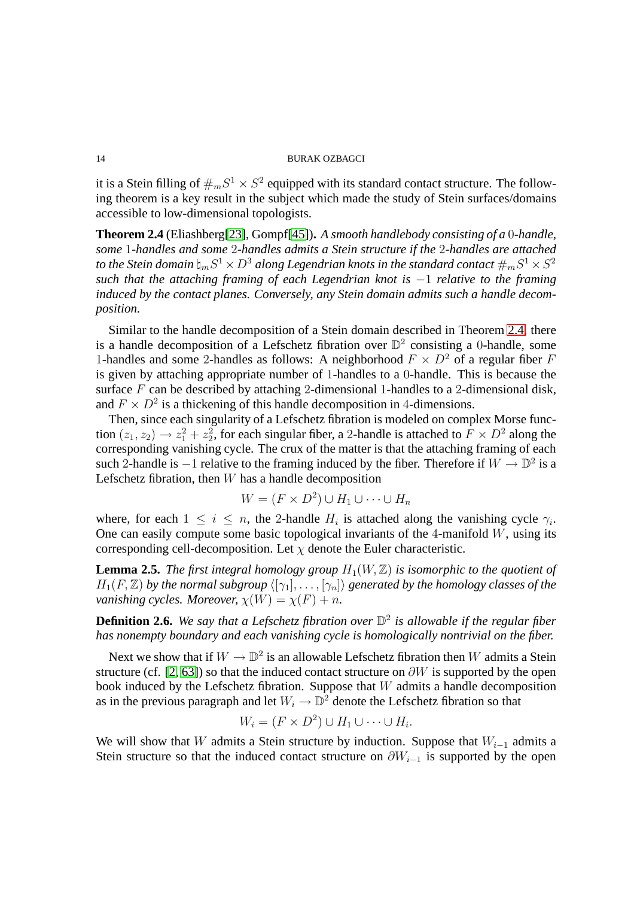it is a Stein filling of  $\#_m S^1 \times S^2$  equipped with its standard contact structure. The following theorem is a key result in the subject which made the study of Stein surfaces/domains accessible to low-dimensional topologists.

<span id="page-13-0"></span>**Theorem 2.4** (Eliashberg[\[23\]](#page-41-1), Gompf[\[45\]](#page-42-5))**.** *A smooth handlebody consisting of a* 0*-handle, some* 1*-handles and some* 2*-handles admits a Stein structure if the* 2*-handles are attached* to the Stein domain  $\natural_m S^1 \times D^3$  along Legendrian knots in the standard contact  $\#_m S^1 \times S^2$ *such that the attaching framing of each Legendrian knot is* −1 *relative to the framing induced by the contact planes. Conversely, any Stein domain admits such a handle decomposition.*

Similar to the handle decomposition of a Stein domain described in Theorem [2.4,](#page-13-0) there is a handle decomposition of a Lefschetz fibration over  $\mathbb{D}^2$  consisting a 0-handle, some 1-handles and some 2-handles as follows: A neighborhood  $F \times D^2$  of a regular fiber F is given by attaching appropriate number of 1-handles to a 0-handle. This is because the surface  $F$  can be described by attaching 2-dimensional 1-handles to a 2-dimensional disk, and  $F \times D^2$  is a thickening of this handle decomposition in 4-dimensions.

Then, since each singularity of a Lefschetz fibration is modeled on complex Morse function  $(z_1, z_2) \rightarrow z_1^2 + z_2^2$ , for each singular fiber, a 2-handle is attached to  $F \times D^2$  along the corresponding vanishing cycle. The crux of the matter is that the attaching framing of each such 2-handle is  $-1$  relative to the framing induced by the fiber. Therefore if  $W \to \mathbb{D}^2$  is a Lefschetz fibration, then  $W$  has a handle decomposition

$$
W = (F \times D^2) \cup H_1 \cup \dots \cup H_n
$$

where, for each  $1 \leq i \leq n$ , the 2-handle  $H_i$  is attached along the vanishing cycle  $\gamma_i$ . One can easily compute some basic topological invariants of the 4-manifold  $W$ , using its corresponding cell-decomposition. Let  $\chi$  denote the Euler characteristic.

<span id="page-13-1"></span>**Lemma 2.5.** *The first integral homology group*  $H_1(W, \mathbb{Z})$  *is isomorphic to the quotient of*  $H_1(F, \mathbb{Z})$  by the normal subgroup  $\langle [\gamma_1], \ldots, [\gamma_n] \rangle$  generated by the homology classes of the *vanishing cycles. Moreover,*  $\chi(W) = \chi(F) + n$ .

**Definition 2.6.** *We say that a Lefschetz fibration over* D 2 *is allowable if the regular fiber has nonempty boundary and each vanishing cycle is homologically nontrivial on the fiber.*

Next we show that if  $W \to \mathbb{D}^2$  is an allowable Lefschetz fibration then W admits a Stein structure (cf. [\[2,](#page-40-0) [63\]](#page-43-3)) so that the induced contact structure on  $\partial W$  is supported by the open book induced by the Lefschetz fibration. Suppose that  $W$  admits a handle decomposition as in the previous paragraph and let  $W_i \to \mathbb{D}^2$  denote the Lefschetz fibration so that

$$
W_i = (F \times D^2) \cup H_1 \cup \dots \cup H_i.
$$

We will show that W admits a Stein structure by induction. Suppose that  $W_{i-1}$  admits a Stein structure so that the induced contact structure on  $\partial W_{i-1}$  is supported by the open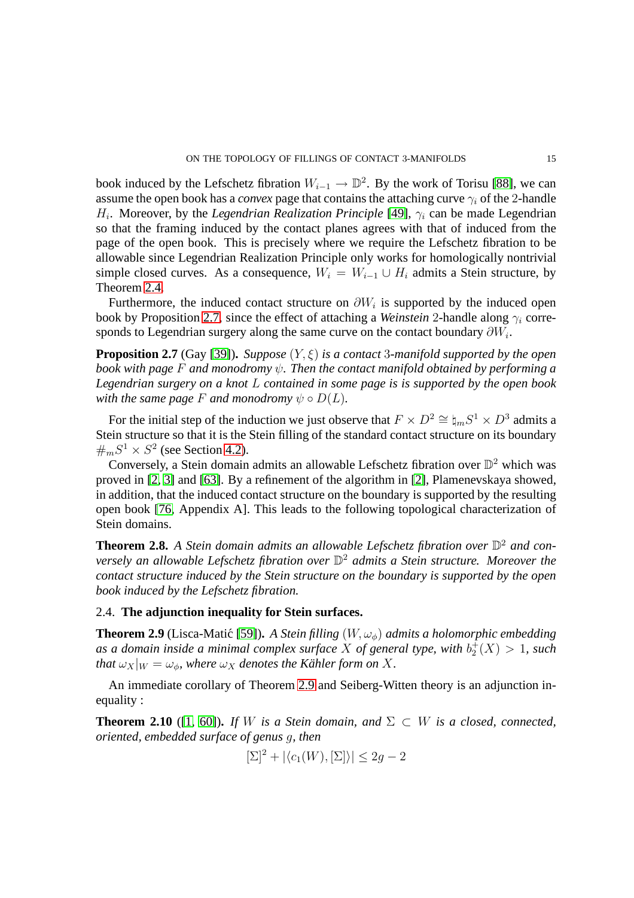book induced by the Lefschetz fibration  $W_{i-1} \to \mathbb{D}^2$ . By the work of Torisu [\[88\]](#page-44-1), we can assume the open book has a *convex* page that contains the attaching curve  $\gamma_i$  of the 2-handle  $H_i$ . Moreover, by the *Legendrian Realization Principle* [\[49\]](#page-42-6),  $\gamma_i$  can be made Legendrian so that the framing induced by the contact planes agrees with that of induced from the page of the open book. This is precisely where we require the Lefschetz fibration to be allowable since Legendrian Realization Principle only works for homologically nontrivial simple closed curves. As a consequence,  $W_i = W_{i-1} \cup H_i$  admits a Stein structure, by Theorem [2.4.](#page-13-0)

Furthermore, the induced contact structure on  $\partial W_i$  is supported by the induced open book by Proposition [2.7,](#page-14-0) since the effect of attaching a *Weinstein* 2-handle along  $\gamma_i$  corresponds to Legendrian surgery along the same curve on the contact boundary  $\partial W_i$ .

<span id="page-14-0"></span>**Proposition 2.7** (Gay [\[39\]](#page-42-7)). *Suppose*  $(Y, \xi)$  *is a contact* 3*-manifold supported by the open book with page* F *and monodromy* ψ*. Then the contact manifold obtained by performing a Legendrian surgery on a knot* L *contained in some page is is supported by the open book with the same page* F *and monodromy*  $\psi \circ D(L)$ *.* 

For the initial step of the induction we just observe that  $F \times D^2 \cong \natural_m S^1 \times D^3$  admits a Stein structure so that it is the Stein filling of the standard contact structure on its boundary  $\#_m S^1 \times S^2$  (see Section [4.2\)](#page-20-0).

Conversely, a Stein domain admits an allowable Lefschetz fibration over  $\mathbb{D}^2$  which was proved in [\[2,](#page-40-0) [3\]](#page-40-1) and [\[63\]](#page-43-3). By a refinement of the algorithm in [\[2\]](#page-40-0), Plamenevskaya showed, in addition, that the induced contact structure on the boundary is supported by the resulting open book [\[76,](#page-43-4) Appendix A]. This leads to the following topological characterization of Stein domains.

<span id="page-14-3"></span>**Theorem 2.8.** A Stein domain admits an allowable Lefschetz fibration over  $\mathbb{D}^2$  and con*versely an allowable Lefschetz fibration over* D <sup>2</sup> *admits a Stein structure. Moreover the contact structure induced by the Stein structure on the boundary is supported by the open book induced by the Lefschetz fibration.*

## <span id="page-14-2"></span><span id="page-14-1"></span>2.4. **The adjunction inequality for Stein surfaces.**

**Theorem 2.9** (Lisca-Matić [\[59\]](#page-43-5)). *A Stein filling*  $(W, \omega_{\phi})$  *admits a holomorphic embedding* as a domain inside a minimal complex surface  $X$  of general type, with  $b_2^+(X) > 1$ , such *that*  $\omega_X|_W = \omega_\phi$ , where  $\omega_X$  *denotes the Kähler form on* X.

An immediate corollary of Theorem [2.9](#page-14-1) and Seiberg-Witten theory is an adjunction inequality :

**Theorem 2.10** ([\[1,](#page-40-2) [60\]](#page-43-6)). If W is a Stein domain, and  $\Sigma \subset W$  is a closed, connected, *oriented, embedded surface of genus* g*, then*

$$
[\Sigma]^2 + |\langle c_1(W), [\Sigma] \rangle| \le 2g - 2
$$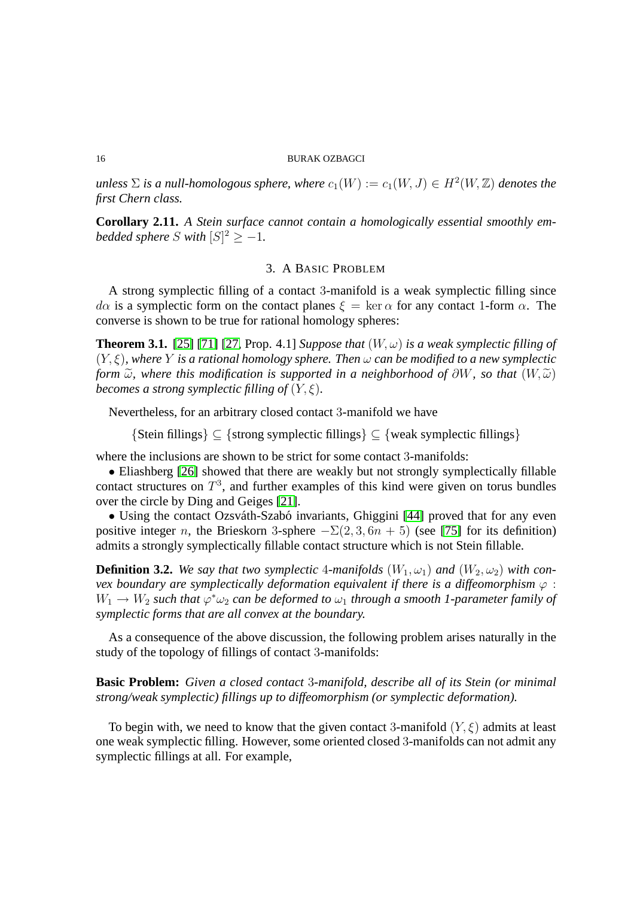$u$ nless  $\Sigma$  *is a null-homologous sphere, where*  $c_1(W) := c_1(W, J) \in H^2(W, \mathbb{Z})$  *denotes the first Chern class.*

<span id="page-15-0"></span>**Corollary 2.11.** *A Stein surface cannot contain a homologically essential smoothly embedded sphere*  $S$  *with*  $[S]^2 \geq -1$ *.* 

## 3. A BASIC PROBLEM

A strong symplectic filling of a contact 3-manifold is a weak symplectic filling since  $d\alpha$  is a symplectic form on the contact planes  $\xi = \ker \alpha$  for any contact 1-form  $\alpha$ . The converse is shown to be true for rational homology spheres:

<span id="page-15-1"></span>**Theorem 3.1.** [\[25\]](#page-41-4) [\[71\]](#page-43-7) [\[27,](#page-41-5) Prop. 4.1] *Suppose that*  $(W, \omega)$  *is a weak symplectic filling of* (Y, ξ)*, where* Y *is a rational homology sphere. Then* ω *can be modified to a new symplectic form*  $\widetilde{\omega}$ , where this modification is supported in a neighborhood of  $\partial W$ , so that  $(W, \widetilde{\omega})$ *becomes a strong symplectic filling of*  $(Y, \xi)$ *.* 

Nevertheless, for an arbitrary closed contact 3-manifold we have

 ${\mathcal{S}(\text{Stein fillings}) \subset {\mathcal{S}(\text{strong symplectic fillings}) \subset {\mathcal{S}(\text{weak symplectic fillings})}}$ 

where the inclusions are shown to be strict for some contact 3-manifolds:

• Eliashberg [\[26\]](#page-41-6) showed that there are weakly but not strongly symplectically fillable contact structures on  $T^3$ , and further examples of this kind were given on torus bundles over the circle by Ding and Geiges [\[21\]](#page-41-7).

• Using the contact Ozsváth-Szabó invariants, Ghiggini [\[44\]](#page-42-3) proved that for any even positive integer n, the Brieskorn 3-sphere  $-\Sigma(2,3,6n+5)$  (see [\[75\]](#page-43-2) for its definition) admits a strongly symplectically fillable contact structure which is not Stein fillable.

**Definition 3.2.** We say that two symplectic 4-manifolds  $(W_1, \omega_1)$  and  $(W_2, \omega_2)$  with con*vex boundary are symplectically deformation equivalent if there is a diffeomorphism* ϕ :  $W_1 \rightarrow W_2$  such that  $\varphi^* \omega_2$  can be deformed to  $\omega_1$  through a smooth 1-parameter family of *symplectic forms that are all convex at the boundary.*

As a consequence of the above discussion, the following problem arises naturally in the study of the topology of fillings of contact 3-manifolds:

**Basic Problem:** *Given a closed contact* 3*-manifold, describe all of its Stein (or minimal strong/weak symplectic) fillings up to diffeomorphism (or symplectic deformation).*

To begin with, we need to know that the given contact 3-manifold  $(Y, \xi)$  admits at least one weak symplectic filling. However, some oriented closed 3-manifolds can not admit any symplectic fillings at all. For example,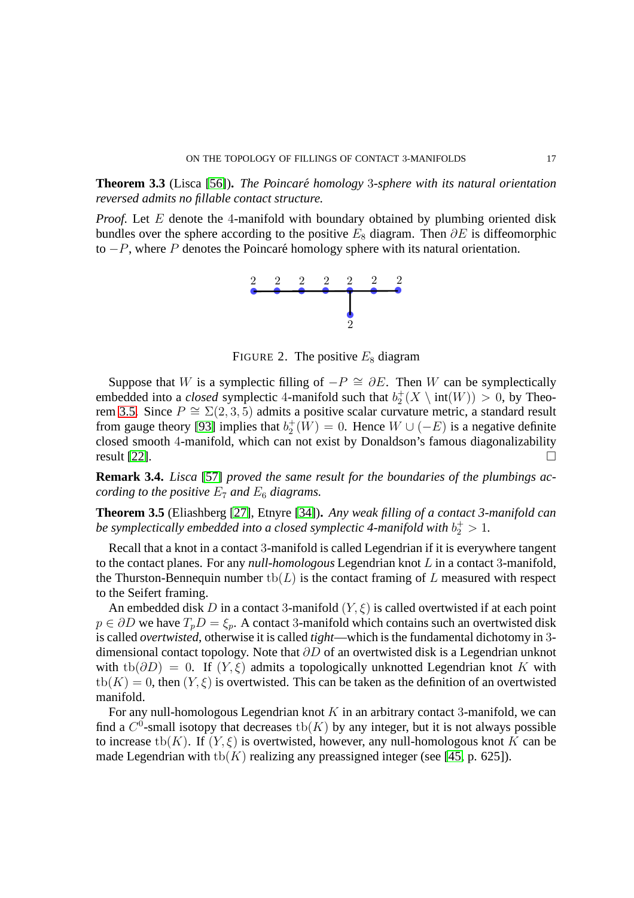**Theorem 3.3** (Lisca [\[56\]](#page-43-8))**.** *The Poincare homology ´* 3*-sphere with its natural orientation reversed admits no fillable contact structure.*

*Proof.* Let E denote the 4-manifold with boundary obtained by plumbing oriented disk bundles over the sphere according to the positive  $E_8$  diagram. Then  $\partial E$  is diffeomorphic to  $-P$ , where P denotes the Poincaré homology sphere with its natural orientation.



FIGURE 2. The positive  $E_8$  diagram

Suppose that W is a symplectic filling of  $-P \cong \partial E$ . Then W can be symplectically embedded into a *closed* symplectic 4-manifold such that  $b_2^+(X \setminus \text{int}(W)) > 0$ , by Theo-rem [3.5.](#page-16-0) Since  $P \cong \Sigma(2,3,5)$  admits a positive scalar curvature metric, a standard result from gauge theory [\[93\]](#page-44-2) implies that  $b_2^+(W) = 0$ . Hence  $W \cup (-E)$  is a negative definite closed smooth 4-manifold, which can not exist by Donaldson's famous diagonalizability result [\[22\]](#page-41-8).

<span id="page-16-2"></span>**Remark 3.4.** *Lisca* [\[57\]](#page-43-9) *proved the same result for the boundaries of the plumbings according to the positive*  $E_7$  *and*  $E_6$  *diagrams.* 

<span id="page-16-0"></span>**Theorem 3.5** (Eliashberg [\[27\]](#page-41-5), Etnyre [\[34\]](#page-42-8))**.** *Any weak filling of a contact 3-manifold can* be symplectically embedded into a closed symplectic 4-manifold with  $b_2^+>1$ .

Recall that a knot in a contact 3-manifold is called Legendrian if it is everywhere tangent to the contact planes. For any *null-homologous* Legendrian knot L in a contact 3-manifold, the Thurston-Bennequin number  $\text{tb}(L)$  is the contact framing of L measured with respect to the Seifert framing.

An embedded disk D in a contact 3-manifold  $(Y, \xi)$  is called overtwisted if at each point  $p \in \partial D$  we have  $T_p D = \xi_p$ . A contact 3-manifold which contains such an overtwisted disk is called *overtwisted*, otherwise it is called *tight*—which is the fundamental dichotomy in 3 dimensional contact topology. Note that  $\partial D$  of an overtwisted disk is a Legendrian unknot with tb( $\partial D$ ) = 0. If  $(Y,\xi)$  admits a topologically unknotted Legendrian knot K with  $\text{tb}(K) = 0$ , then  $(Y, \xi)$  is overtwisted. This can be taken as the definition of an overtwisted manifold.

<span id="page-16-1"></span>For any null-homologous Legendrian knot  $K$  in an arbitrary contact 3-manifold, we can find a  $C^0$ -small isotopy that decreases  $\text{tb}(K)$  by any integer, but it is not always possible to increase tb(K). If  $(Y, \xi)$  is overtwisted, however, any null-homologous knot K can be made Legendrian with tb(K) realizing any preassigned integer (see [\[45,](#page-42-5) p. 625]).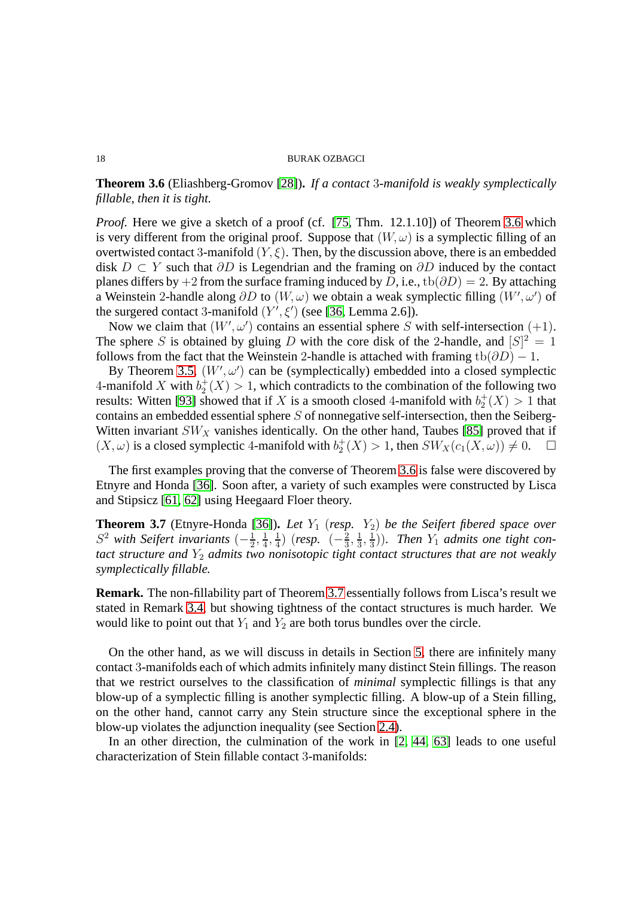# **Theorem 3.6** (Eliashberg-Gromov [\[28\]](#page-41-9))**.** *If a contact* 3*-manifold is weakly symplectically fillable, then it is tight.*

*Proof.* Here we give a sketch of a proof (cf. [\[75,](#page-43-2) Thm. 12.1.10]) of Theorem [3.6](#page-16-1) which is very different from the original proof. Suppose that  $(W, \omega)$  is a symplectic filling of an overtwisted contact 3-manifold  $(Y, \xi)$ . Then, by the discussion above, there is an embedded disk  $D \subset Y$  such that  $\partial D$  is Legendrian and the framing on  $\partial D$  induced by the contact planes differs by +2 from the surface framing induced by D, i.e., tb( $\partial D$ ) = 2. By attaching a Weinstein 2-handle along  $\partial D$  to  $(W, \omega)$  we obtain a weak symplectic filling  $(W', \omega')$  of the surgered contact 3-manifold  $(Y', \xi')$  (see [\[36,](#page-42-9) Lemma 2.6]).

Now we claim that  $(W', \omega')$  contains an essential sphere S with self-intersection  $(+1)$ . The sphere S is obtained by gluing D with the core disk of the 2-handle, and  $[S]^2 = 1$ follows from the fact that the Weinstein 2-handle is attached with framing tb( $\partial D$ ) – 1.

By Theorem [3.5,](#page-16-0)  $(W', \omega')$  can be (symplectically) embedded into a closed symplectic 4-manifold X with  $b_2^+(X) > 1$ , which contradicts to the combination of the following two results: Witten [\[93\]](#page-44-2) showed that if X is a smooth closed 4-manifold with  $b_2^+(X) > 1$  that contains an embedded essential sphere S of nonnegative self-intersection, then the Seiberg-Witten invariant  $SW_X$  vanishes identically. On the other hand, Taubes [\[85\]](#page-44-3) proved that if  $(X, \omega)$  is a closed symplectic 4-manifold with  $b_2^+(X) > 1$ , then  $SW_X(c_1(X, \omega)) \neq 0$ .  $\Box$ 

The first examples proving that the converse of Theorem [3.6](#page-16-1) is false were discovered by Etnyre and Honda [\[36\]](#page-42-9). Soon after, a variety of such examples were constructed by Lisca and Stipsicz [\[61,](#page-43-10) [62\]](#page-43-11) using Heegaard Floer theory.

<span id="page-17-0"></span>**Theorem 3.7** (Etnyre-Honda [\[36\]](#page-42-9)). *Let*  $Y_1$  (*resp.*  $Y_2$ ) *be the Seifert fibered space over*  $S<sup>2</sup>$  *with Seifert invariants*  $\left(-\frac{1}{2}\right)$  $\frac{1}{2}, \frac{1}{4}$  $\frac{1}{4}, \frac{1}{4}$  $\frac{1}{4})$  (resp.  $(-\frac{2}{3})$  $\frac{2}{3}, \frac{1}{3}$  $\frac{1}{3}, \frac{1}{3}$  $\frac{1}{3}$ )). Then  $Y_1$  admits one tight con*tact structure and* Y<sup>2</sup> *admits two nonisotopic tight contact structures that are not weakly symplectically fillable.*

**Remark.** The non-fillability part of Theorem [3.7](#page-17-0) essentially follows from Lisca's result we stated in Remark [3.4,](#page-16-2) but showing tightness of the contact structures is much harder. We would like to point out that  $Y_1$  and  $Y_2$  are both torus bundles over the circle.

On the other hand, as we will discuss in details in Section [5,](#page-29-0) there are infinitely many contact 3-manifolds each of which admits infinitely many distinct Stein fillings. The reason that we restrict ourselves to the classification of *minimal* symplectic fillings is that any blow-up of a symplectic filling is another symplectic filling. A blow-up of a Stein filling, on the other hand, cannot carry any Stein structure since the exceptional sphere in the blow-up violates the adjunction inequality (see Section [2.4\)](#page-14-2).

<span id="page-17-1"></span>In an other direction, the culmination of the work in [\[2,](#page-40-0) [44,](#page-42-3) [63\]](#page-43-3) leads to one useful characterization of Stein fillable contact 3-manifolds: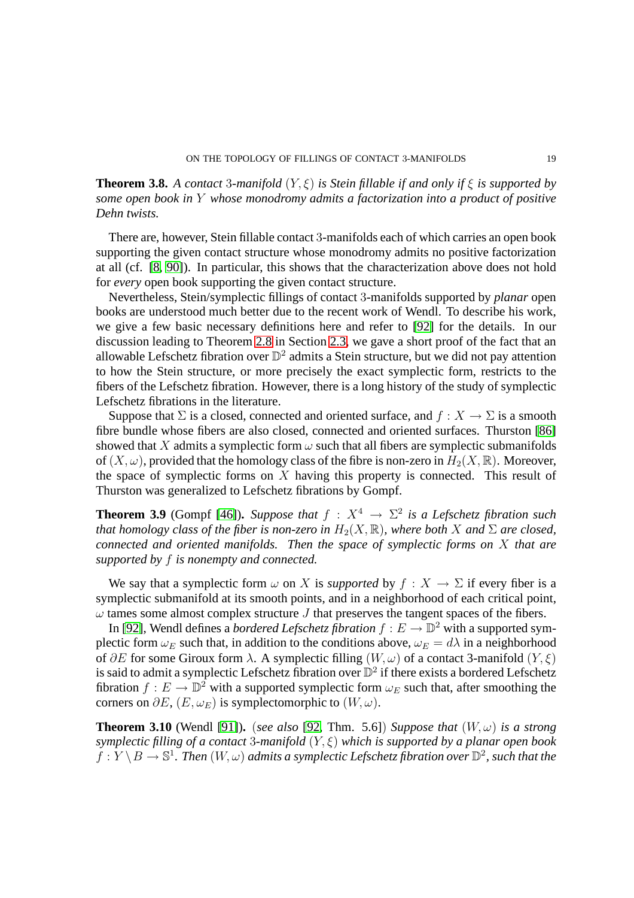**Theorem 3.8.** *A contact* 3*-manifold* (Y, ξ) *is Stein fillable if and only if* ξ *is supported by some open book in* Y *whose monodromy admits a factorization into a product of positive Dehn twists.*

There are, however, Stein fillable contact 3-manifolds each of which carries an open book supporting the given contact structure whose monodromy admits no positive factorization at all (cf. [\[8,](#page-40-3) [90\]](#page-44-4)). In particular, this shows that the characterization above does not hold for *every* open book supporting the given contact structure.

Nevertheless, Stein/symplectic fillings of contact 3-manifolds supported by *planar* open books are understood much better due to the recent work of Wendl. To describe his work, we give a few basic necessary definitions here and refer to [\[92\]](#page-44-5) for the details. In our discussion leading to Theorem [2.8](#page-14-3) in Section [2.3,](#page-12-0) we gave a short proof of the fact that an allowable Lefschetz fibration over  $\mathbb{D}^2$  admits a Stein structure, but we did not pay attention to how the Stein structure, or more precisely the exact symplectic form, restricts to the fibers of the Lefschetz fibration. However, there is a long history of the study of symplectic Lefschetz fibrations in the literature.

Suppose that  $\Sigma$  is a closed, connected and oriented surface, and  $f : X \to \Sigma$  is a smooth fibre bundle whose fibers are also closed, connected and oriented surfaces. Thurston [\[86\]](#page-44-6) showed that X admits a symplectic form  $\omega$  such that all fibers are symplectic submanifolds of  $(X, \omega)$ , provided that the homology class of the fibre is non-zero in  $H_2(X, \mathbb{R})$ . Moreover, the space of symplectic forms on  $X$  having this property is connected. This result of Thurston was generalized to Lefschetz fibrations by Gompf.

**Theorem 3.9** (Gompf [\[46\]](#page-42-2)). *Suppose that*  $f : X^4 \to \Sigma^2$  *is a Lefschetz fibration such that homology class of the fiber is non-zero in*  $H_2(X, \mathbb{R})$ *, where both* X *and*  $\Sigma$  *are closed, connected and oriented manifolds. Then the space of symplectic forms on* X *that are supported by* f *is nonempty and connected.*

We say that a symplectic form  $\omega$  on X is *supported* by  $f : X \to \Sigma$  if every fiber is a symplectic submanifold at its smooth points, and in a neighborhood of each critical point,  $\omega$  tames some almost complex structure J that preserves the tangent spaces of the fibers.

In [\[92\]](#page-44-5), Wendl defines a *bordered Lefschetz fibration*  $f : E \to \mathbb{D}^2$  with a supported symplectic form  $\omega_E$  such that, in addition to the conditions above,  $\omega_E = d\lambda$  in a neighborhood of ∂E for some Giroux form  $\lambda$ . A symplectic filling  $(W, \omega)$  of a contact 3-manifold  $(Y, \xi)$ is said to admit a symplectic Lefschetz fibration over  $\mathbb{D}^2$  if there exists a bordered Lefschetz fibration  $f : E \to \mathbb{D}^2$  with a supported symplectic form  $\omega_E$  such that, after smoothing the corners on  $\partial E$ ,  $(E, \omega_E)$  is symplectomorphic to  $(W, \omega)$ .

<span id="page-18-0"></span>**Theorem 3.10** (Wendl [\[91\]](#page-44-7)). (*see also* [\[92,](#page-44-5) Thm. 5.6]) *Suppose that*  $(W, \omega)$  *is a strong symplectic filling of a contact* 3*-manifold* (Y, ξ) *which is supported by a planar open book*  $f: Y \setminus B \to \mathbb{S}^1$ . Then  $(W, \omega)$  admits a symplectic Lefschetz fibration over  $\mathbb{D}^2$ , such that the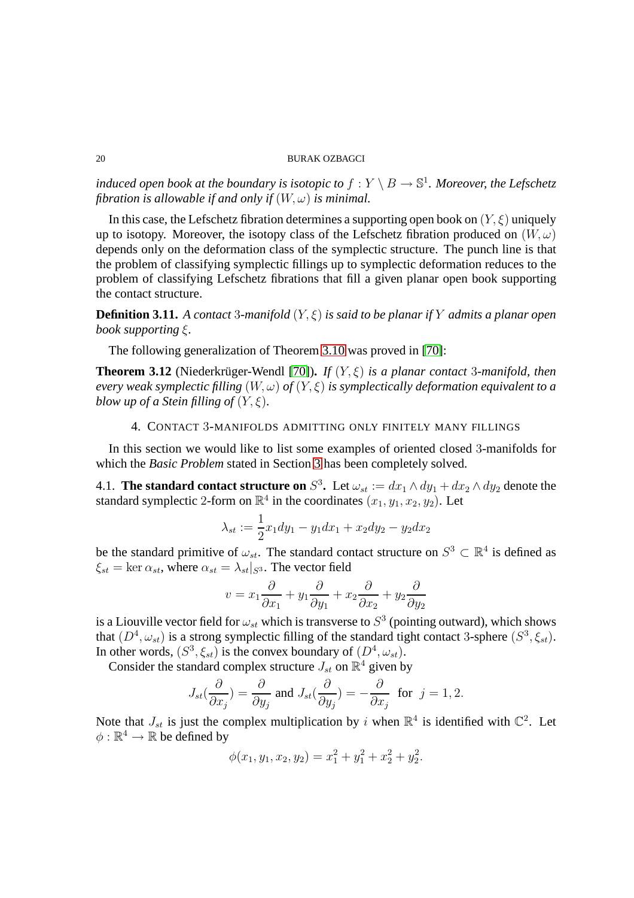*induced open book at the boundary is isotopic to*  $f: Y \setminus B \to \mathbb{S}^1$ *. Moreover, the Lefschetz fibration is allowable if and only if*  $(W, \omega)$  *is minimal.* 

In this case, the Lefschetz fibration determines a supporting open book on  $(Y, \xi)$  uniquely up to isotopy. Moreover, the isotopy class of the Lefschetz fibration produced on  $(W, \omega)$ depends only on the deformation class of the symplectic structure. The punch line is that the problem of classifying symplectic fillings up to symplectic deformation reduces to the problem of classifying Lefschetz fibrations that fill a given planar open book supporting the contact structure.

**Definition 3.11.** *A contact* 3*-manifold* (Y, ξ) *is said to be planar if* Y *admits a planar open book supporting* ξ*.*

<span id="page-19-0"></span>The following generalization of Theorem [3.10](#page-18-0) was proved in [\[70\]](#page-43-12):

**Theorem 3.12** (Niederkrüger-Wendl [\[70\]](#page-43-12)). *If*  $(Y, \xi)$  *is a planar contact* 3*-manifold, then every weak symplectic filling* (W, ω) *of* (Y, ξ) *is symplectically deformation equivalent to a blow up of a Stein filling of*  $(Y, \xi)$ *.* 

# 4. CONTACT 3-MANIFOLDS ADMITTING ONLY FINITELY MANY FILLINGS

In this section we would like to list some examples of oriented closed 3-manifolds for which the *Basic Problem* stated in Section [3](#page-15-0) has been completely solved.

4.1. **The standard contact structure on**  $S^3$ . Let  $\omega_{st} := dx_1 \wedge dy_1 + dx_2 \wedge dy_2$  denote the standard symplectic 2-form on  $\mathbb{R}^4$  in the coordinates  $(x_1, y_1, x_2, y_2)$ . Let

$$
\lambda_{st} := \frac{1}{2}x_1 dy_1 - y_1 dx_1 + x_2 dy_2 - y_2 dx_2
$$

be the standard primitive of  $\omega_{st}$ . The standard contact structure on  $S^3 \subset \mathbb{R}^4$  is defined as  $\xi_{st} = \ker \alpha_{st}$ , where  $\alpha_{st} = \lambda_{st} |_{S^3}$ . The vector field

$$
v = x_1 \frac{\partial}{\partial x_1} + y_1 \frac{\partial}{\partial y_1} + x_2 \frac{\partial}{\partial x_2} + y_2 \frac{\partial}{\partial y_2}
$$

is a Liouville vector field for  $\omega_{st}$  which is transverse to  $S^3$  (pointing outward), which shows that  $(D^4, \omega_{st})$  is a strong symplectic filling of the standard tight contact 3-sphere  $(S^3, \xi_{st})$ . In other words,  $(S^3, \xi_{st})$  is the convex boundary of  $(D^4, \omega_{st})$ .

Consider the standard complex structure  $J_{st}$  on  $\mathbb{R}^4$  given by

$$
J_{st}(\frac{\partial}{\partial x_j})=\frac{\partial}{\partial y_j} \text{ and } J_{st}(\frac{\partial}{\partial y_j})=-\frac{\partial}{\partial x_j} \text{ for } j=1,2.
$$

Note that  $J_{st}$  is just the complex multiplication by i when  $\mathbb{R}^4$  is identified with  $\mathbb{C}^2$ . Let  $\phi : \mathbb{R}^4 \to \mathbb{R}$  be defined by

$$
\phi(x_1, y_1, x_2, y_2) = x_1^2 + y_1^2 + x_2^2 + y_2^2.
$$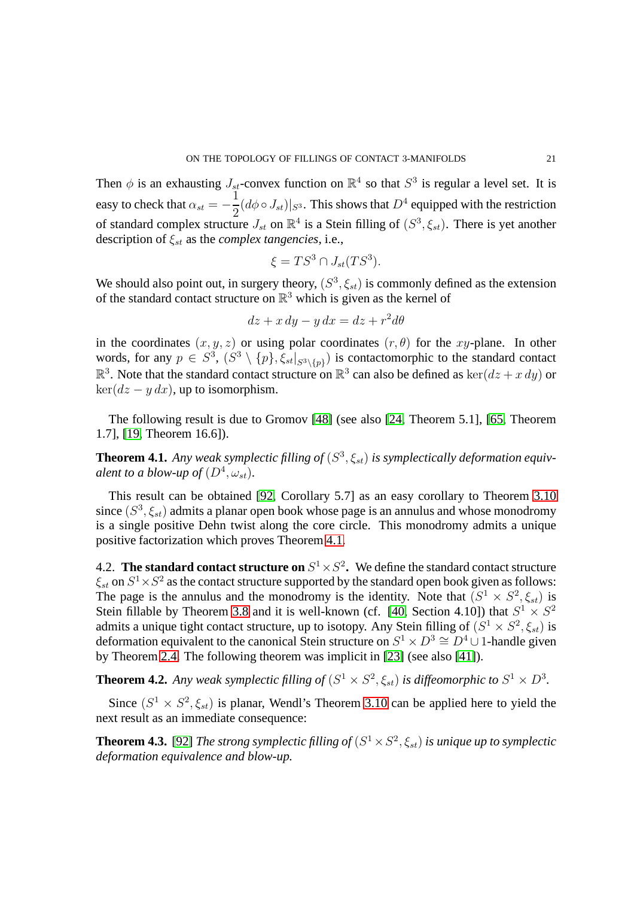Then  $\phi$  is an exhausting  $J_{st}$ -convex function on  $\mathbb{R}^4$  so that  $S^3$  is regular a level set. It is easy to check that  $\alpha_{st} = -\frac{1}{2}$  $\frac{1}{2}(d\phi \circ J_{st})|_{S^3}$ . This shows that  $D^4$  equipped with the restriction of standard complex structure  $J_{st}$  on  $\mathbb{R}^4$  is a Stein filling of  $(S^3, \xi_{st})$ . There is yet another description of  $\xi_{st}$  as the *complex tangencies*, i.e.,

$$
\xi = TS^3 \cap J_{st}(TS^3).
$$

We should also point out, in surgery theory,  $(S^3, \xi_{st})$  is commonly defined as the extension of the standard contact structure on  $\mathbb{R}^3$  which is given as the kernel of

$$
dz + x\,dy - y\,dx = dz + r^2d\theta
$$

in the coordinates  $(x, y, z)$  or using polar coordinates  $(r, \theta)$  for the xy-plane. In other words, for any  $p \in S^3$ ,  $(S^3 \setminus \{p\}, \xi_{st}|_{S^3 \setminus \{p\}})$  is contactomorphic to the standard contact  $\mathbb{R}^3$ . Note that the standard contact structure on  $\mathbb{R}^3$  can also be defined as  $\ker(dz + x\,dy)$  or  $\ker(dz - y dx)$ , up to isomorphism.

<span id="page-20-1"></span>The following result is due to Gromov [\[48\]](#page-42-10) (see also [\[24,](#page-41-10) Theorem 5.1], [\[65,](#page-43-13) Theorem 1.7], [\[19,](#page-41-0) Theorem 16.6]).

**Theorem 4.1.** Any weak symplectic filling of  $(S^3, \xi_{st})$  is symplectically deformation equiv*alent to a blow-up of*  $(D^4, \omega_{st})$ *.* 

This result can be obtained [\[92,](#page-44-5) Corollary 5.7] as an easy corollary to Theorem [3.10](#page-18-0) since  $(S^3, \xi_{st})$  admits a planar open book whose page is an annulus and whose monodromy is a single positive Dehn twist along the core circle. This monodromy admits a unique positive factorization which proves Theorem [4.1.](#page-20-1)

<span id="page-20-0"></span>4.2. **The standard contact structure on**  $S^1 \times S^2$ . We define the standard contact structure  $\xi_{st}$  on  $S^1 \times S^2$  as the contact structure supported by the standard open book given as follows: The page is the annulus and the monodromy is the identity. Note that  $(S^1 \times S^2, \xi_{st})$  is Stein fillable by Theorem [3.8](#page-17-1) and it is well-known (cf. [\[40,](#page-42-1) Section 4.10]) that  $S^1 \times S^2$ admits a unique tight contact structure, up to isotopy. Any Stein filling of  $(S^1 \times S^2, \xi_{st})$  is deformation equivalent to the canonical Stein structure on  $S^1 \times D^3 \cong D^4 \cup 1$ -handle given by Theorem [2.4.](#page-13-0) The following theorem was implicit in [\[23\]](#page-41-1) (see also [\[41\]](#page-42-11)).

**Theorem 4.2.** Any weak symplectic filling of  $(S^1 \times S^2, \xi_{st})$  is diffeomorphic to  $S^1 \times D^3$ .

<span id="page-20-2"></span>Since  $(S^1 \times S^2, \xi_{st})$  is planar, Wendl's Theorem [3.10](#page-18-0) can be applied here to yield the next result as an immediate consequence:

**Theorem 4.3.** [\[92\]](#page-44-5) *The strong symplectic filling of*  $(S^1 \times S^2, \xi_{st})$  *is unique up to symplectic deformation equivalence and blow-up.*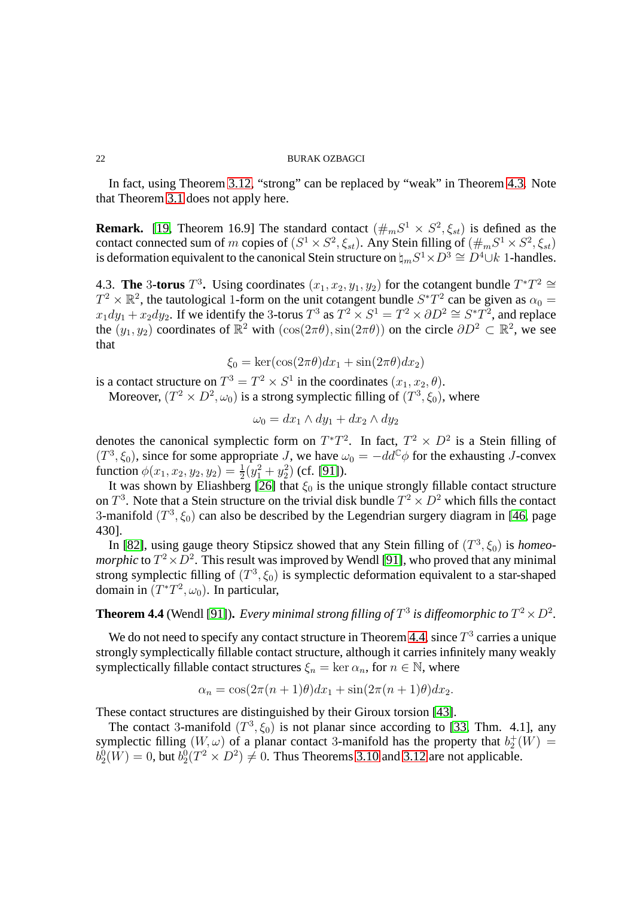In fact, using Theorem [3.12,](#page-19-0) "strong" can be replaced by "weak" in Theorem [4.3.](#page-20-2) Note that Theorem [3.1](#page-15-1) does not apply here.

**Remark.** [\[19,](#page-41-0) Theorem 16.9] The standard contact  $(\#_mS^1 \times S^2, \xi_{st})$  is defined as the contact connected sum of m copies of  $(S^1 \times S^2, \xi_{st})$ . Any Stein filling of  $(\#_m S^1 \times S^2, \xi_{st})$ is deformation equivalent to the canonical Stein structure on  $\natural_m S^1 \times D^3 \cong D^4 \cup k$  1-handles.

4.3. **The** 3-torus  $T^3$ . Using coordinates  $(x_1, x_2, y_1, y_2)$  for the cotangent bundle  $T^*T^2 \cong$  $T^2 \times \mathbb{R}^2$ , the tautological 1-form on the unit cotangent bundle  $S^*T^2$  can be given as  $\alpha_0 =$  $x_1 dy_1 + x_2 dy_2$ . If we identify the 3-torus  $T^3$  as  $T^2 \times S^1 = T^2 \times \partial D^2 \cong S^* T^2$ , and replace the  $(y_1, y_2)$  coordinates of  $\mathbb{R}^2$  with  $(\cos(2\pi\theta), \sin(2\pi\theta))$  on the circle  $\partial D^2 \subset \mathbb{R}^2$ , we see that

$$
\xi_0 = \ker(\cos(2\pi\theta)dx_1 + \sin(2\pi\theta)dx_2)
$$

is a contact structure on  $T^3 = T^2 \times S^1$  in the coordinates  $(x_1, x_2, \theta)$ .

Moreover,  $(T^2 \times D^2, \omega_0)$  is a strong symplectic filling of  $(T^3, \xi_0)$ , where

$$
\omega_0 = dx_1 \wedge dy_1 + dx_2 \wedge dy_2
$$

denotes the canonical symplectic form on  $T^*T^2$ . In fact,  $T^2 \times D^2$  is a Stein filling of  $(T^3, \xi_0)$ , since for some appropriate J, we have  $\omega_0 = -dd^c \phi$  for the exhausting J-convex function  $\phi(x_1, x_2, y_2, y_2) = \frac{1}{2}(y_1^2 + y_2^2)$  (cf. [\[91\]](#page-44-7)).

It was shown by Eliashberg [\[26\]](#page-41-6) that  $\xi_0$  is the unique strongly fillable contact structure on  $T^3$ . Note that a Stein structure on the trivial disk bundle  $T^2 \times D^2$  which fills the contact 3-manifold  $(T^3, \xi_0)$  can also be described by the Legendrian surgery diagram in [\[46,](#page-42-2) page 430].

In [\[82\]](#page-44-8), using gauge theory Stipsicz showed that any Stein filling of  $(T^3, \xi_0)$  is *homeomorphic* to  $T^2 \times D^2$ . This result was improved by Wendl [\[91\]](#page-44-7), who proved that any minimal strong symplectic filling of  $(T^3, \xi_0)$  is symplectic deformation equivalent to a star-shaped domain in  $(T^*T^2, \omega_0)$ . In particular,

# <span id="page-21-0"></span>**Theorem 4.4** (Wendl [\[91\]](#page-44-7)). *Every minimal strong filling of*  $T^3$  *is diffeomorphic to*  $T^2 \times D^2$ *.*

We do not need to specify any contact structure in Theorem [4.4,](#page-21-0) since  $T^3$  carries a unique strongly symplectically fillable contact structure, although it carries infinitely many weakly symplectically fillable contact structures  $\xi_n = \ker \alpha_n$ , for  $n \in \mathbb{N}$ , where

$$
\alpha_n = \cos(2\pi(n+1)\theta)dx_1 + \sin(2\pi(n+1)\theta)dx_2.
$$

These contact structures are distinguished by their Giroux torsion [\[43\]](#page-42-12).

The contact 3-manifold  $(T^3, \xi_0)$  is not planar since according to [\[33,](#page-42-13) Thm. 4.1], any symplectic filling  $(W, \omega)$  of a planar contact 3-manifold has the property that  $b_2^+(W) =$  $b_2^0(W) = 0$ , but  $b_2^0(T^2 \times D^2) \neq 0$ . Thus Theorems [3.10](#page-18-0) and [3.12](#page-19-0) are not applicable.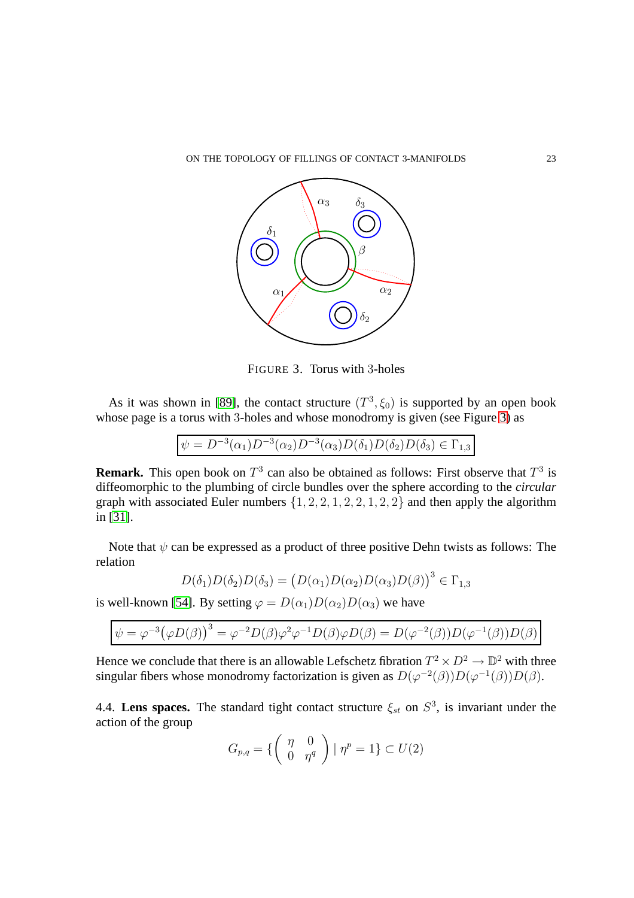

<span id="page-22-0"></span>FIGURE 3. Torus with 3-holes

As it was shown in [\[89\]](#page-44-9), the contact structure  $(T^3, \xi_0)$  is supported by an open book whose page is a torus with 3-holes and whose monodromy is given (see Figure [3\)](#page-22-0) as

$$
\psi = D^{-3}(\alpha_1)D^{-3}(\alpha_2)D^{-3}(\alpha_3)D(\delta_1)D(\delta_2)D(\delta_3) \in \Gamma_{1,3}
$$

**Remark.** This open book on  $T^3$  can also be obtained as follows: First observe that  $T^3$  is diffeomorphic to the plumbing of circle bundles over the sphere according to the *circular* graph with associated Euler numbers  $\{1, 2, 2, 1, 2, 2, 1, 2, 2\}$  and then apply the algorithm in [\[31\]](#page-42-14).

Note that  $\psi$  can be expressed as a product of three positive Dehn twists as follows: The relation

$$
D(\delta_1)D(\delta_2)D(\delta_3) = (D(\alpha_1)D(\alpha_2)D(\alpha_3)D(\beta))^3 \in \Gamma_{1,3}
$$

is well-known [\[54\]](#page-42-15). By setting  $\varphi = D(\alpha_1)D(\alpha_2)D(\alpha_3)$  we have

$$
\psi = \varphi^{-3} (\varphi D(\beta))^3 = \varphi^{-2} D(\beta) \varphi^2 \varphi^{-1} D(\beta) \varphi D(\beta) = D(\varphi^{-2}(\beta)) D(\varphi^{-1}(\beta)) D(\beta)
$$

Hence we conclude that there is an allowable Lefschetz fibration  $T^2 \times D^2 \to \mathbb{D}^2$  with three singular fibers whose monodromy factorization is given as  $D(\varphi^{-2}(\beta))D(\varphi^{-1}(\beta))D(\beta)$ .

4.4. Lens spaces. The standard tight contact structure  $\xi_{st}$  on  $S^3$ , is invariant under the action of the group

$$
G_{p,q} = \left\{ \left( \begin{array}{cc} \eta & 0 \\ 0 & \eta^q \end{array} \right) \mid \eta^p = 1 \right\} \subset U(2)
$$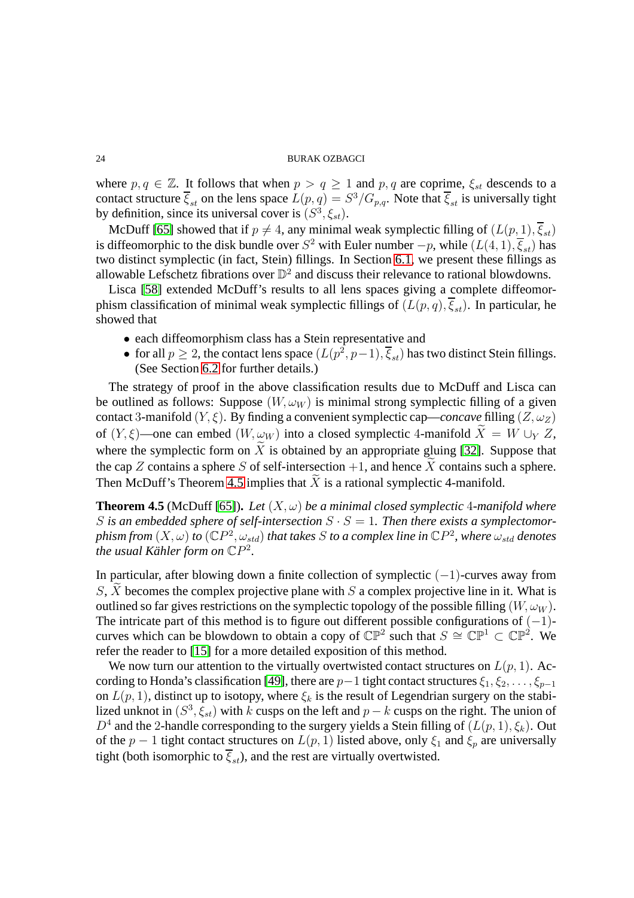where  $p, q \in \mathbb{Z}$ . It follows that when  $p > q \ge 1$  and  $p, q$  are coprime,  $\xi_{st}$  descends to a contact structure  $\overline{\xi}_{st}$  on the lens space  $L(p,q) = S^3/G_{p,q}$ . Note that  $\overline{\xi}_{st}$  is universally tight by definition, since its universal cover is  $(S^3, \xi_{st})$ .

McDuff [\[65\]](#page-43-13) showed that if  $p \neq 4$ , any minimal weak symplectic filling of  $(L(p, 1), \overline{\xi}_{st})$ is diffeomorphic to the disk bundle over  $S^2$  with Euler number  $-p$ , while  $(L(4, 1), \overline{\xi}_{st})$  has two distinct symplectic (in fact, Stein) fillings. In Section [6.1,](#page-34-0) we present these fillings as allowable Lefschetz fibrations over  $\mathbb{D}^2$  and discuss their relevance to rational blowdowns.

Lisca [\[58\]](#page-43-14) extended McDuff's results to all lens spaces giving a complete diffeomorphism classification of minimal weak symplectic fillings of  $(L(p, q), \overline{\xi}_{st})$ . In particular, he showed that

- each diffeomorphism class has a Stein representative and
- for all  $p \ge 2$ , the contact lens space  $(L(p^2, p-1), \overline{\xi}_{st})$  has two distinct Stein fillings. (See Section [6.2](#page-37-0) for further details.)

The strategy of proof in the above classification results due to McDuff and Lisca can be outlined as follows: Suppose  $(W, \omega_W)$  is minimal strong symplectic filling of a given contact 3-manifold  $(Y, \xi)$ . By finding a convenient symplectic cap—*concave* filling  $(Z, \omega_Z)$ of  $(Y, \xi)$ —one can embed  $(W, \omega_W)$  into a closed symplectic 4-manifold  $X = W \cup_Y Z$ , where the symplectic form on  $\widetilde{X}$  is obtained by an appropriate gluing [\[32\]](#page-42-16). Suppose that the cap Z contains a sphere S of self-intersection  $+1$ , and hence X contains such a sphere. Then McDuff's Theorem [4.5](#page-23-0) implies that  $X$  is a rational symplectic 4-manifold.

<span id="page-23-0"></span>**Theorem 4.5** (McDuff [\[65\]](#page-43-13)). Let  $(X, \omega)$  be a minimal closed symplectic 4-manifold where S is an embedded sphere of self-intersection  $S \cdot S = 1$ . Then there exists a symplectomor- $\phi$  *phism from*  $(X,\omega)$  *to*  $({\mathbb{C}}P^2,\omega_{std})$  *that takes*  $S$  *to a complex line in*  ${\mathbb{C}}P^2$ *, where*  $\omega_{std}$  *denotes the usual Kähler form on*  $\mathbb{C}P^2$ .

In particular, after blowing down a finite collection of symplectic  $(-1)$ -curves away from  $S, X$  becomes the complex projective plane with S a complex projective line in it. What is outlined so far gives restrictions on the symplectic topology of the possible filling  $(W, \omega_W)$ . The intricate part of this method is to figure out different possible configurations of  $(-1)$ curves which can be blowdown to obtain a copy of  $\mathbb{CP}^2$  such that  $S \cong \mathbb{CP}^1 \subset \mathbb{CP}^2$ . We refer the reader to [\[15\]](#page-41-11) for a more detailed exposition of this method.

<span id="page-23-1"></span>We now turn our attention to the virtually overtwisted contact structures on  $L(p, 1)$ . Ac-cording to Honda's classification [\[49\]](#page-42-6), there are  $p-1$  tight contact structures  $\xi_1, \xi_2, \ldots, \xi_{p-1}$ on  $L(p, 1)$ , distinct up to isotopy, where  $\xi_k$  is the result of Legendrian surgery on the stabilized unknot in  $(S^3, \xi_{st})$  with k cusps on the left and  $p - k$  cusps on the right. The union of  $D^4$  and the 2-handle corresponding to the surgery yields a Stein filling of  $(L(p, 1), \xi_k)$ . Out of the  $p-1$  tight contact structures on  $L(p, 1)$  listed above, only  $\xi_1$  and  $\xi_p$  are universally tight (both isomorphic to  $\overline{\xi}_{st}$ ), and the rest are virtually overtwisted.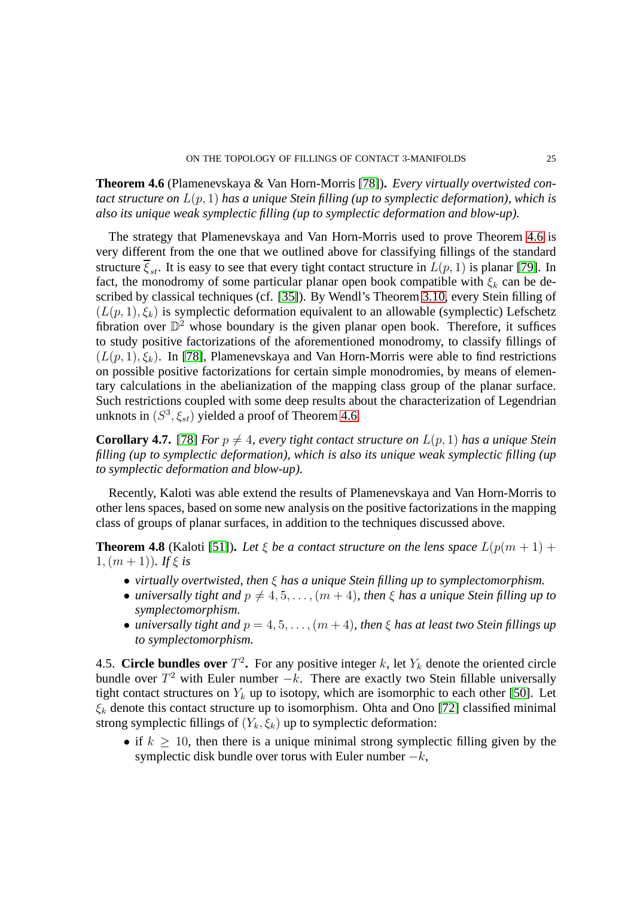**Theorem 4.6** (Plamenevskaya & Van Horn-Morris [\[78\]](#page-44-10))**.** *Every virtually overtwisted contact structure on* L(p, 1) *has a unique Stein filling (up to symplectic deformation), which is also its unique weak symplectic filling (up to symplectic deformation and blow-up).*

The strategy that Plamenevskaya and Van Horn-Morris used to prove Theorem [4.6](#page-23-1) is very different from the one that we outlined above for classifying fillings of the standard structure  $\overline{\xi}_{st}$ . It is easy to see that every tight contact structure in  $L(p, 1)$  is planar [\[79\]](#page-44-11). In fact, the monodromy of some particular planar open book compatible with  $\xi_k$  can be described by classical techniques (cf. [\[35\]](#page-42-4)). By Wendl's Theorem [3.10,](#page-18-0) every Stein filling of  $(L(p, 1), \xi_k)$  is symplectic deformation equivalent to an allowable (symplectic) Lefschetz fibration over  $\mathbb{D}^2$  whose boundary is the given planar open book. Therefore, it suffices to study positive factorizations of the aforementioned monodromy, to classify fillings of  $(L(p, 1), \xi_k)$ . In [\[78\]](#page-44-10), Plamenevskaya and Van Horn-Morris were able to find restrictions on possible positive factorizations for certain simple monodromies, by means of elementary calculations in the abelianization of the mapping class group of the planar surface. Such restrictions coupled with some deep results about the characterization of Legendrian unknots in  $(S^3, \xi_{st})$  yielded a proof of Theorem [4.6.](#page-23-1)

**Corollary 4.7.** [\[78\]](#page-44-10) *For*  $p \neq 4$ *, every tight contact structure on*  $L(p, 1)$  *has a unique Stein filling (up to symplectic deformation), which is also its unique weak symplectic filling (up to symplectic deformation and blow-up).*

Recently, Kaloti was able extend the results of Plamenevskaya and Van Horn-Morris to other lens spaces, based on some new analysis on the positive factorizations in the mapping class of groups of planar surfaces, in addition to the techniques discussed above.

**Theorem 4.8** (Kaloti [\[51\]](#page-42-17)). Let  $\xi$  be a contact structure on the lens space  $L(p(m + 1) +$ 1,  $(m + 1)$ *).* If  $\xi$  is

- *virtually overtwisted, then* ξ *has a unique Stein filling up to symplectomorphism.*
- *universally tight and*  $p \neq 4, 5, \ldots, (m + 4)$ *, then*  $\xi$  *has a unique Stein filling up to symplectomorphism.*
- *universally tight and*  $p = 4, 5, \ldots, (m + 4)$ *, then*  $\xi$  *has at least two Stein fillings up to symplectomorphism.*

4.5. **Circle bundles over**  $T^2$ . For any positive integer k, let  $Y_k$  denote the oriented circle bundle over  $T^2$  with Euler number  $-k$ . There are exactly two Stein fillable universally tight contact structures on  $Y_k$  up to isotopy, which are isomorphic to each other [\[50\]](#page-42-18). Let  $\xi_k$  denote this contact structure up to isomorphism. Ohta and Ono [\[72\]](#page-43-15) classified minimal strong symplectic fillings of  $(Y_k, \xi_k)$  up to symplectic deformation:

• if  $k \geq 10$ , then there is a unique minimal strong symplectic filling given by the symplectic disk bundle over torus with Euler number  $-k$ ,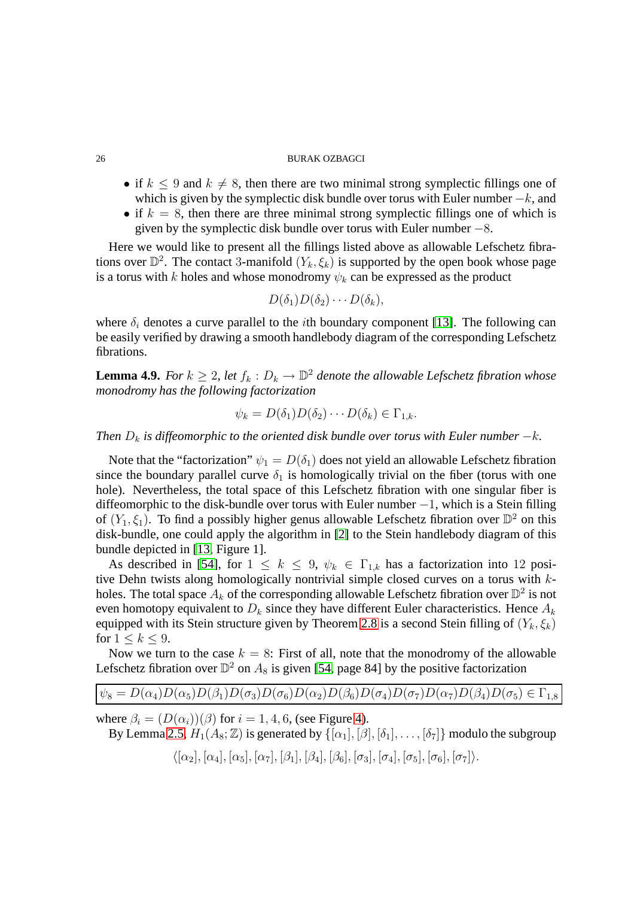- if  $k \leq 9$  and  $k \neq 8$ , then there are two minimal strong symplectic fillings one of which is given by the symplectic disk bundle over torus with Euler number  $-k$ , and
- if  $k = 8$ , then there are three minimal strong symplectic fillings one of which is given by the symplectic disk bundle over torus with Euler number  $-8$ .

Here we would like to present all the fillings listed above as allowable Lefschetz fibrations over  $\mathbb{D}^2$ . The contact 3-manifold  $(Y_k, \xi_k)$  is supported by the open book whose page is a torus with k holes and whose monodromy  $\psi_k$  can be expressed as the product

$$
D(\delta_1)D(\delta_2)\cdots D(\delta_k),
$$

where  $\delta_i$  denotes a curve parallel to the *i*th boundary component [\[13\]](#page-41-12). The following can be easily verified by drawing a smooth handlebody diagram of the corresponding Lefschetz fibrations.

**Lemma 4.9.** *For*  $k \geq 2$ , let  $f_k : D_k \to \mathbb{D}^2$  denote the allowable Lefschetz fibration whose *monodromy has the following factorization*

$$
\psi_k = D(\delta_1)D(\delta_2)\cdots D(\delta_k) \in \Gamma_{1,k}.
$$

*Then*  $D_k$  *is diffeomorphic to the oriented disk bundle over torus with Euler number*  $-k$ *.* 

Note that the "factorization"  $\psi_1 = D(\delta_1)$  does not yield an allowable Lefschetz fibration since the boundary parallel curve  $\delta_1$  is homologically trivial on the fiber (torus with one hole). Nevertheless, the total space of this Lefschetz fibration with one singular fiber is diffeomorphic to the disk-bundle over torus with Euler number −1, which is a Stein filling of  $(Y_1, \xi_1)$ . To find a possibly higher genus allowable Lefschetz fibration over  $\mathbb{D}^2$  on this disk-bundle, one could apply the algorithm in [\[2\]](#page-40-0) to the Stein handlebody diagram of this bundle depicted in [\[13,](#page-41-12) Figure 1].

As described in [\[54\]](#page-42-15), for  $1 \leq k \leq 9$ ,  $\psi_k \in \Gamma_{1,k}$  has a factorization into 12 positive Dehn twists along homologically nontrivial simple closed curves on a torus with kholes. The total space  $A_k$  of the corresponding allowable Lefschetz fibration over  $\mathbb{D}^2$  is not even homotopy equivalent to  $D_k$  since they have different Euler characteristics. Hence  $A_k$ equipped with its Stein structure given by Theorem [2.8](#page-14-3) is a second Stein filling of  $(Y_k, \xi_k)$ for  $1 \le k \le 9$ .

Now we turn to the case  $k = 8$ : First of all, note that the monodromy of the allowable Lefschetz fibration over  $\mathbb{D}^2$  on  $A_8$  is given [\[54,](#page-42-15) page 84] by the positive factorization

$$
\psi_8 = D(\alpha_4)D(\alpha_5)D(\beta_1)D(\sigma_3)D(\sigma_6)D(\alpha_2)D(\beta_6)D(\sigma_4)D(\sigma_7)D(\alpha_7)D(\beta_4)D(\sigma_5) \in \Gamma_{1,8}
$$

where  $\beta_i = (D(\alpha_i))(\beta)$  for  $i = 1, 4, 6$ , (see Figure [4\)](#page-26-0).

By Lemma [2.5,](#page-13-1)  $H_1(A_8; \mathbb{Z})$  is generated by  $\{[\alpha_1], [\beta], [\delta_1], \ldots, [\delta_7]\}$  modulo the subgroup  $\langle [\alpha_2], [\alpha_4], [\alpha_5], [\alpha_7], [\beta_1], [\beta_4], [\beta_6], [\sigma_3], [\sigma_4], [\sigma_5], [\sigma_6], [\sigma_7]\rangle.$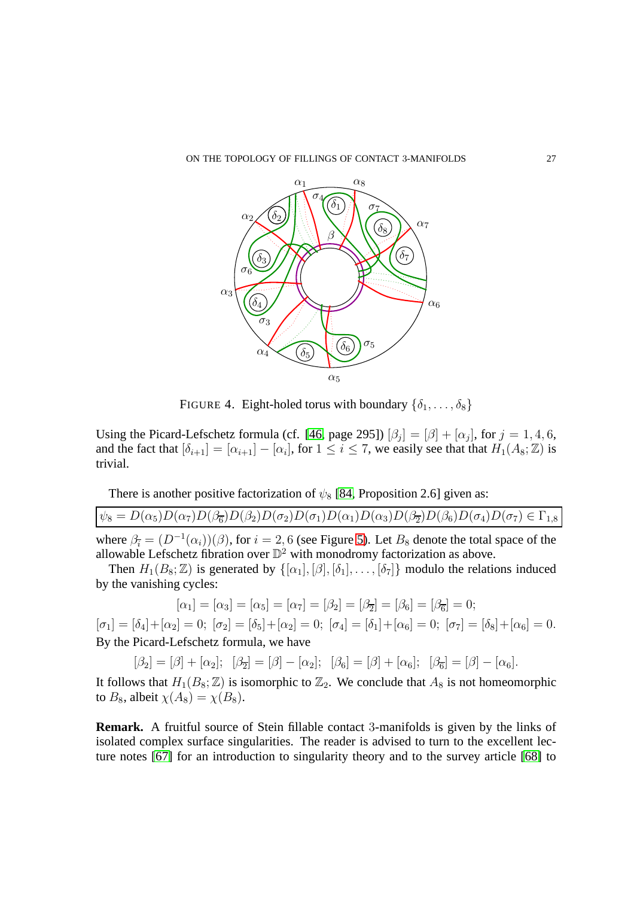

<span id="page-26-0"></span>FIGURE 4. Eight-holed torus with boundary  $\{\delta_1, \ldots, \delta_8\}$ 

Using the Picard-Lefschetz formula (cf. [\[46,](#page-42-2) page 295])  $[\beta_j] = [\beta] + [\alpha_j]$ , for  $j = 1, 4, 6$ , and the fact that  $[\delta_{i+1}] = [\alpha_{i+1}] - [\alpha_i]$ , for  $1 \le i \le 7$ , we easily see that that  $H_1(A_8; \mathbb{Z})$  is trivial.

There is another positive factorization of  $\psi_8$  [\[84,](#page-44-12) Proposition 2.6] given as:

 $\psi_8 = D(\alpha_5)D(\alpha_7)D(\beta_6)D(\beta_2)D(\sigma_2)D(\sigma_1)D(\alpha_1)D(\alpha_3)D(\beta_7)D(\beta_6)D(\sigma_4)D(\sigma_7) \in \Gamma_{1,8}$ 

where  $\beta_i = (D^{-1}(\alpha_i))(\beta)$ , for  $i = 2, 6$  (see Figure [5\)](#page-27-0). Let  $B_8$  denote the total space of the allowable Lefschetz fibration over  $\mathbb{D}^2$  with monodromy factorization as above.

Then  $H_1(B_8; \mathbb{Z})$  is generated by  $\{[\alpha_1], [\beta], [\delta_1], \ldots, [\delta_7]\}$  modulo the relations induced by the vanishing cycles:

$$
[\alpha_1] = [\alpha_3] = [\alpha_5] = [\alpha_7] = [\beta_2] = [\beta_5] = [\beta_6] = [\beta_6] = 0;
$$

 $[\sigma_1] = [\delta_4] + [\alpha_2] = 0; \ [\sigma_2] = [\delta_5] + [\alpha_2] = 0; \ [\sigma_4] = [\delta_1] + [\alpha_6] = 0; \ [\sigma_7] = [\delta_8] + [\alpha_6] = 0.$ By the Picard-Lefschetz formula, we have

 $[\beta_2] = [\beta] + [\alpha_2]; \quad [\beta_{\overline{2}}] = [\beta] - [\alpha_2]; \quad [\beta_6] = [\beta] + [\alpha_6]; \quad [\beta_{\overline{6}}] = [\beta] - [\alpha_6].$ 

It follows that  $H_1(B_8; \mathbb{Z})$  is isomorphic to  $\mathbb{Z}_2$ . We conclude that  $A_8$  is not homeomorphic to  $B_8$ , albeit  $\chi(A_8) = \chi(B_8)$ .

**Remark.** A fruitful source of Stein fillable contact 3-manifolds is given by the links of isolated complex surface singularities. The reader is advised to turn to the excellent lecture notes [\[67\]](#page-43-16) for an introduction to singularity theory and to the survey article [\[68\]](#page-43-17) to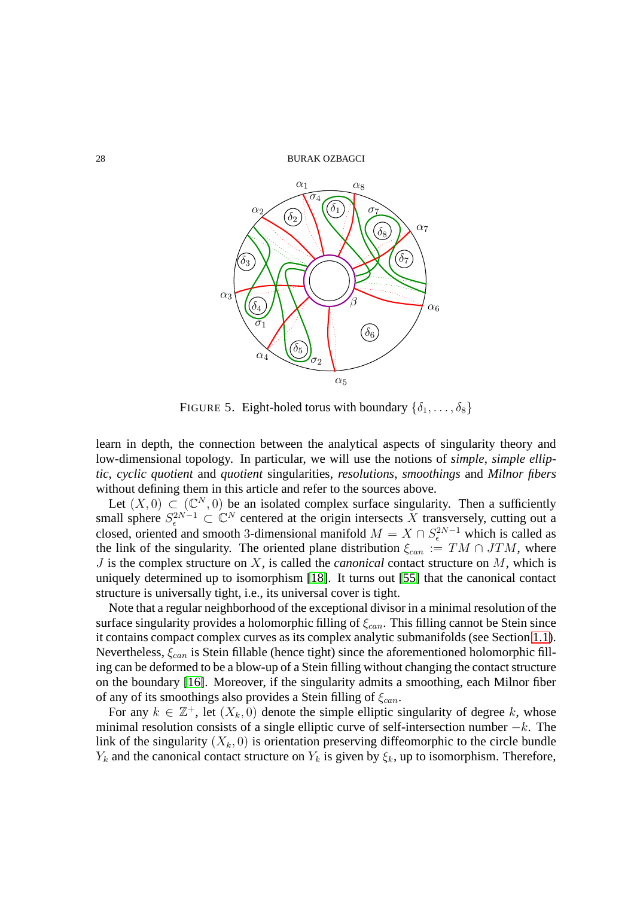28 BURAK OZBAGCI



<span id="page-27-0"></span>FIGURE 5. Eight-holed torus with boundary  $\{\delta_1, \ldots, \delta_8\}$ 

learn in depth, the connection between the analytical aspects of singularity theory and low-dimensional topology. In particular, we will use the notions of *simple*, *simple elliptic*, *cyclic quotient* and *quotient* singularities, *resolutions*, *smoothings* and *Milnor fibers* without defining them in this article and refer to the sources above.

Let  $(X, 0) \subset (C^N, 0)$  be an isolated complex surface singularity. Then a sufficiently small sphere  $S^{2N-1}_{\epsilon} \subset \mathbb{C}^N$  centered at the origin intersects X transversely, cutting out a closed, oriented and smooth 3-dimensional manifold  $M = X \cap S_{\epsilon}^{2N-1}$  which is called as the link of the singularity. The oriented plane distribution  $\xi_{can} := TM \cap JTM$ , where J is the complex structure on X, is called the *canonical* contact structure on M, which is uniquely determined up to isomorphism [\[18\]](#page-41-13). It turns out [\[55\]](#page-43-18) that the canonical contact structure is universally tight, i.e., its universal cover is tight.

Note that a regular neighborhood of the exceptional divisor in a minimal resolution of the surface singularity provides a holomorphic filling of  $\xi_{can}$ . This filling cannot be Stein since it contains compact complex curves as its complex analytic submanifolds (see Section [1.1\)](#page-0-1). Nevertheless,  $\xi_{can}$  is Stein fillable (hence tight) since the aforementioned holomorphic filling can be deformed to be a blow-up of a Stein filling without changing the contact structure on the boundary [\[16\]](#page-41-3). Moreover, if the singularity admits a smoothing, each Milnor fiber of any of its smoothings also provides a Stein filling of  $\xi_{can}$ .

For any  $k \in \mathbb{Z}^+$ , let  $(X_k, 0)$  denote the simple elliptic singularity of degree k, whose minimal resolution consists of a single elliptic curve of self-intersection number  $-k$ . The link of the singularity  $(X_k, 0)$  is orientation preserving diffeomorphic to the circle bundle  $Y_k$  and the canonical contact structure on  $Y_k$  is given by  $\xi_k$ , up to isomorphism. Therefore,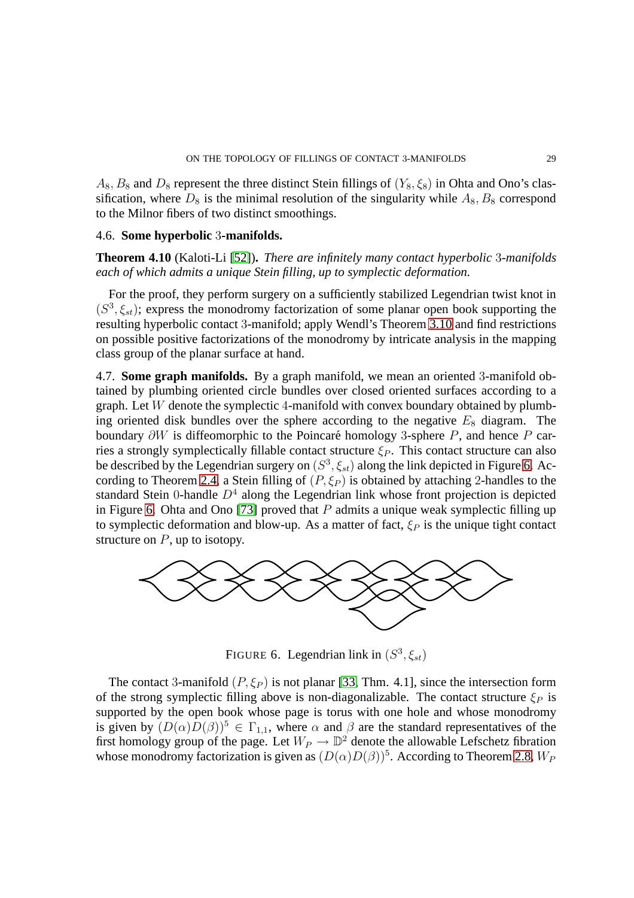$A_8$ ,  $B_8$  and  $D_8$  represent the three distinct Stein fillings of  $(Y_8, \xi_8)$  in Ohta and Ono's classification, where  $D_8$  is the minimal resolution of the singularity while  $A_8$ ,  $B_8$  correspond to the Milnor fibers of two distinct smoothings.

## 4.6. **Some hyperbolic** 3**-manifolds.**

**Theorem 4.10** (Kaloti-Li [\[52\]](#page-42-19))**.** *There are infinitely many contact hyperbolic* 3*-manifolds each of which admits a unique Stein filling, up to symplectic deformation.*

For the proof, they perform surgery on a sufficiently stabilized Legendrian twist knot in  $(S^3, \xi_{st})$ ; express the monodromy factorization of some planar open book supporting the resulting hyperbolic contact 3-manifold; apply Wendl's Theorem [3.10](#page-18-0) and find restrictions on possible positive factorizations of the monodromy by intricate analysis in the mapping class group of the planar surface at hand.

4.7. **Some graph manifolds.** By a graph manifold, we mean an oriented 3-manifold obtained by plumbing oriented circle bundles over closed oriented surfaces according to a graph. Let  $W$  denote the symplectic 4-manifold with convex boundary obtained by plumbing oriented disk bundles over the sphere according to the negative  $E_8$  diagram. The boundary  $\partial W$  is diffeomorphic to the Poincaré homology 3-sphere P, and hence P carries a strongly symplectically fillable contact structure  $\xi_P$ . This contact structure can also be described by the Legendrian surgery on  $(S^3, \xi_{st})$  along the link depicted in Figure [6.](#page-28-0) Ac-cording to Theorem [2.4,](#page-13-0) a Stein filling of  $(P, \xi_P)$  is obtained by attaching 2-handles to the standard Stein 0-handle  $D<sup>4</sup>$  along the Legendrian link whose front projection is depicted in Figure [6.](#page-28-0) Ohta and Ono [\[73\]](#page-43-19) proved that  $P$  admits a unique weak symplectic filling up to symplectic deformation and blow-up. As a matter of fact,  $\xi_P$  is the unique tight contact structure on  $P$ , up to isotopy.



<span id="page-28-0"></span>FIGURE 6. Legendrian link in  $(S^3, \xi_{st})$ 

The contact 3-manifold  $(P, \xi_P)$  is not planar [\[33,](#page-42-13) Thm. 4.1], since the intersection form of the strong symplectic filling above is non-diagonalizable. The contact structure  $\xi_P$  is supported by the open book whose page is torus with one hole and whose monodromy is given by  $(D(\alpha)D(\beta))^5 \in \Gamma_{1,1}$ , where  $\alpha$  and  $\beta$  are the standard representatives of the first homology group of the page. Let  $W_P \to \mathbb{D}^2$  denote the allowable Lefschetz fibration whose monodromy factorization is given as  $(D(\alpha)D(\beta))^5$ . According to Theorem [2.8,](#page-14-3)  $W_F$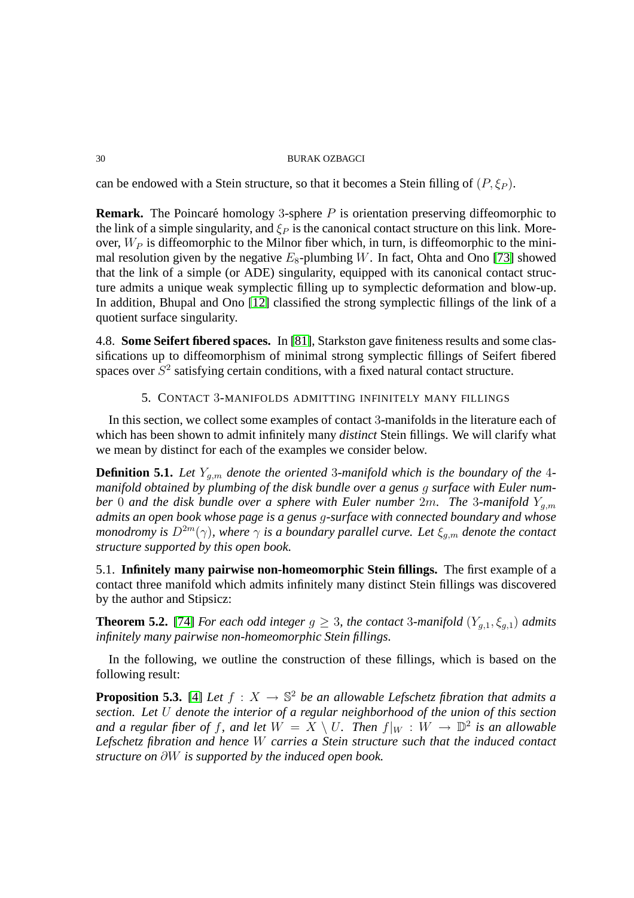can be endowed with a Stein structure, so that it becomes a Stein filling of  $(P, \xi_P)$ .

**Remark.** The Poincaré homology 3-sphere  $P$  is orientation preserving diffeomorphic to the link of a simple singularity, and  $\xi_P$  is the canonical contact structure on this link. Moreover,  $W_P$  is diffeomorphic to the Milnor fiber which, in turn, is diffeomorphic to the minimal resolution given by the negative  $E_8$ -plumbing W. In fact, Ohta and Ono [\[73\]](#page-43-19) showed that the link of a simple (or ADE) singularity, equipped with its canonical contact structure admits a unique weak symplectic filling up to symplectic deformation and blow-up. In addition, Bhupal and Ono [\[12\]](#page-41-14) classified the strong symplectic fillings of the link of a quotient surface singularity.

4.8. **Some Seifert fibered spaces.** In [\[81\]](#page-44-13), Starkston gave finiteness results and some classifications up to diffeomorphism of minimal strong symplectic fillings of Seifert fibered spaces over  $S^2$  satisfying certain conditions, with a fixed natural contact structure.

5. CONTACT 3-MANIFOLDS ADMITTING INFINITELY MANY FILLINGS

<span id="page-29-0"></span>In this section, we collect some examples of contact 3-manifolds in the literature each of which has been shown to admit infinitely many *distinct* Stein fillings. We will clarify what we mean by distinct for each of the examples we consider below.

**Definition 5.1.** Let  $Y_{q,m}$  denote the oriented 3-manifold which is the boundary of the 4*manifold obtained by plumbing of the disk bundle over a genus* g *surface with Euler number* 0 *and the disk bundle over a sphere with Euler number 2m. The 3-manifold*  $Y_{q,m}$ *admits an open book whose page is a genus* g*-surface with connected boundary and whose monodromy is*  $D^{2m}(\gamma)$ *, where*  $\gamma$  *is a boundary parallel curve. Let*  $\xi_{g,m}$  *denote the contact structure supported by this open book.*

5.1. **Infinitely many pairwise non-homeomorphic Stein fillings.** The first example of a contact three manifold which admits infinitely many distinct Stein fillings was discovered by the author and Stipsicz:

**Theorem 5.2.** [\[74\]](#page-43-20) *For each odd integer*  $g \geq 3$ *, the contact* 3*-manifold*  $(Y_{q,1}, \xi_{q,1})$  *admits infinitely many pairwise non-homeomorphic Stein fillings.*

<span id="page-29-1"></span>In the following, we outline the construction of these fillings, which is based on the following result:

**Proposition 5.3.** [\[4\]](#page-40-4) *Let*  $f : X \to \mathbb{S}^2$  *be an allowable Lefschetz fibration that admits a section. Let* U *denote the interior of a regular neighborhood of the union of this section and a regular fiber of f, and let*  $W = X \setminus U$ . Then  $f|_W : W \to \mathbb{D}^2$  is an allowable *Lefschetz fibration and hence* W *carries a Stein structure such that the induced contact structure on* ∂W *is supported by the induced open book.*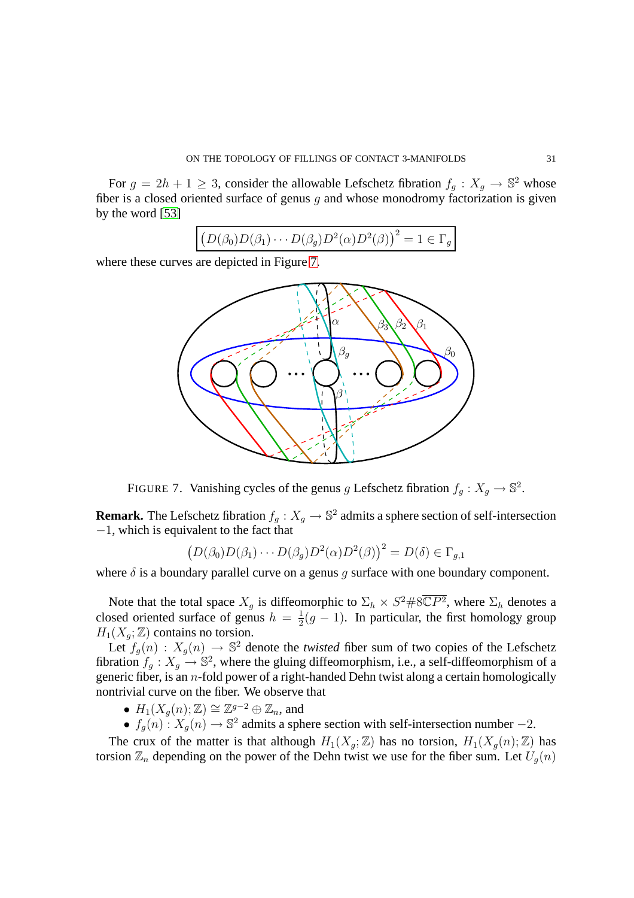For  $g = 2h + 1 \ge 3$ , consider the allowable Lefschetz fibration  $f_g : X_g \to \mathbb{S}^2$  whose fiber is a closed oriented surface of genus  $g$  and whose monodromy factorization is given by the word [\[53\]](#page-42-20)

$$
(D(\beta_0)D(\beta_1)\cdots D(\beta_g)D^2(\alpha)D^2(\beta))^2=1\in\Gamma_g
$$

where these curves are depicted in Figure [7.](#page-30-0)



FIGURE 7. Vanishing cycles of the genus g Lefschetz fibration  $f_g: X_g \to \mathbb{S}^2$ .

**Remark.** The Lefschetz fibration  $f_g: X_g \to \mathbb{S}^2$  admits a sphere section of self-intersection −1, which is equivalent to the fact that

<span id="page-30-0"></span>
$$
(D(\beta_0)D(\beta_1)\cdots D(\beta_g)D^2(\alpha)D^2(\beta))^2 = D(\delta) \in \Gamma_{g,1}
$$

where  $\delta$  is a boundary parallel curve on a genus q surface with one boundary component.

Note that the total space  $X_g$  is diffeomorphic to  $\Sigma_h \times S^2 \# 8\overline{\mathbb{C}P^2}$ , where  $\Sigma_h$  denotes a closed oriented surface of genus  $h = \frac{1}{2}$  $\frac{1}{2}(g-1)$ . In particular, the first homology group  $H_1(X_q; \mathbb{Z})$  contains no torsion.

Let  $f_g(n)$ :  $X_g(n) \to \mathbb{S}^2$  denote the *twisted* fiber sum of two copies of the Lefschetz fibration  $f_g: X_g \to \mathbb{S}^2$ , where the gluing diffeomorphism, i.e., a self-diffeomorphism of a generic fiber, is an  $n$ -fold power of a right-handed Dehn twist along a certain homologically nontrivial curve on the fiber. We observe that

- $H_1(X_g(n); \mathbb{Z}) \cong \mathbb{Z}^{g-2} \oplus \mathbb{Z}_n$ , and
- $f_g(n)$ :  $X_g(n) \to \mathbb{S}^2$  admits a sphere section with self-intersection number -2.

The crux of the matter is that although  $H_1(X_g; \mathbb{Z})$  has no torsion,  $H_1(X_g(n); \mathbb{Z})$  has torsion  $\mathbb{Z}_n$  depending on the power of the Dehn twist we use for the fiber sum. Let  $U_q(n)$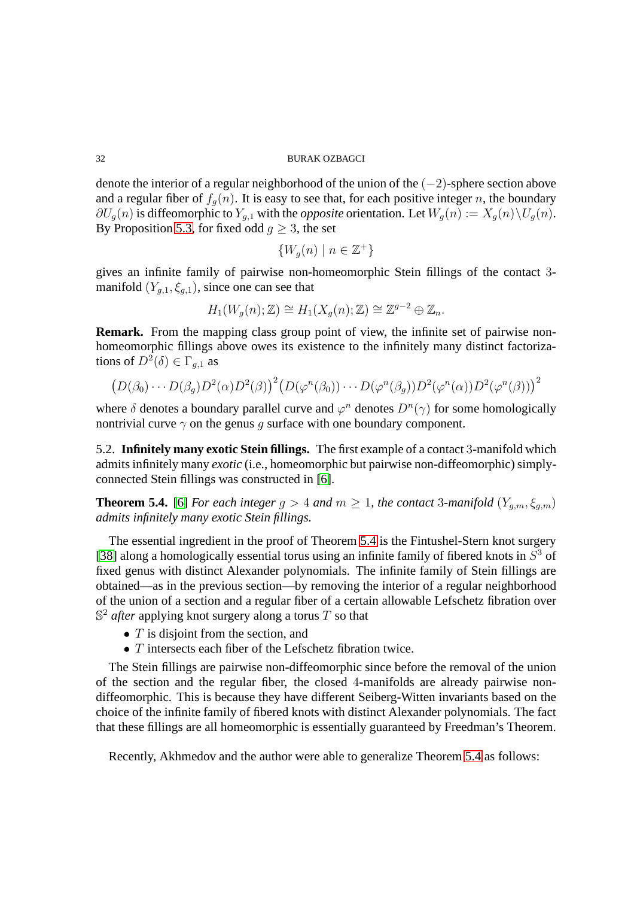denote the interior of a regular neighborhood of the union of the (−2)-sphere section above and a regular fiber of  $f_q(n)$ . It is easy to see that, for each positive integer n, the boundary  $\partial U_q(n)$  is diffeomorphic to  $Y_{q,1}$  with the *opposite* orientation. Let  $W_q(n) := X_q(n) \setminus U_q(n)$ . By Proposition [5.3,](#page-29-1) for fixed odd  $q \geq 3$ , the set

$$
\{W_g(n)\mid n\in\mathbb{Z}^+\}
$$

gives an infinite family of pairwise non-homeomorphic Stein fillings of the contact 3 manifold  $(Y_{q,1}, \xi_{q,1})$ , since one can see that

$$
H_1(W_g(n); \mathbb{Z}) \cong H_1(X_g(n); \mathbb{Z}) \cong \mathbb{Z}^{g-2} \oplus \mathbb{Z}_n.
$$

**Remark.** From the mapping class group point of view, the infinite set of pairwise nonhomeomorphic fillings above owes its existence to the infinitely many distinct factorizations of  $D^2(\delta) \in \Gamma_{g,1}$  as

$$
(D(\beta_0)\cdots D(\beta_g)D^2(\alpha)D^2(\beta))^2(D(\varphi^n(\beta_0))\cdots D(\varphi^n(\beta_g))D^2(\varphi^n(\alpha))D^2(\varphi^n(\beta)))^2
$$

where  $\delta$  denotes a boundary parallel curve and  $\varphi^n$  denotes  $D^n(\gamma)$  for some homologically nontrivial curve  $\gamma$  on the genus g surface with one boundary component.

5.2. **Infinitely many exotic Stein fillings.** The first example of a contact 3-manifold which admits infinitely many *exotic* (i.e., homeomorphic but pairwise non-diffeomorphic) simplyconnected Stein fillings was constructed in [\[6\]](#page-40-5).

<span id="page-31-0"></span>**Theorem 5.4.** [\[6\]](#page-40-5) *For each integer*  $g > 4$  *and*  $m \ge 1$ *, the contact* 3*-manifold* ( $Y_{g,m}, \xi_{g,m}$ ) *admits infinitely many exotic Stein fillings.*

The essential ingredient in the proof of Theorem [5.4](#page-31-0) is the Fintushel-Stern knot surgery [\[38\]](#page-42-21) along a homologically essential torus using an infinite family of fibered knots in  $S<sup>3</sup>$  of fixed genus with distinct Alexander polynomials. The infinite family of Stein fillings are obtained—as in the previous section—by removing the interior of a regular neighborhood of the union of a section and a regular fiber of a certain allowable Lefschetz fibration over  $\mathbb{S}^2$  *after* applying knot surgery along a torus T so that

- $\bullet$  T is disjoint from the section, and
- $T$  intersects each fiber of the Lefschetz fibration twice.

The Stein fillings are pairwise non-diffeomorphic since before the removal of the union of the section and the regular fiber, the closed 4-manifolds are already pairwise nondiffeomorphic. This is because they have different Seiberg-Witten invariants based on the choice of the infinite family of fibered knots with distinct Alexander polynomials. The fact that these fillings are all homeomorphic is essentially guaranteed by Freedman's Theorem.

<span id="page-31-1"></span>Recently, Akhmedov and the author were able to generalize Theorem [5.4](#page-31-0) as follows: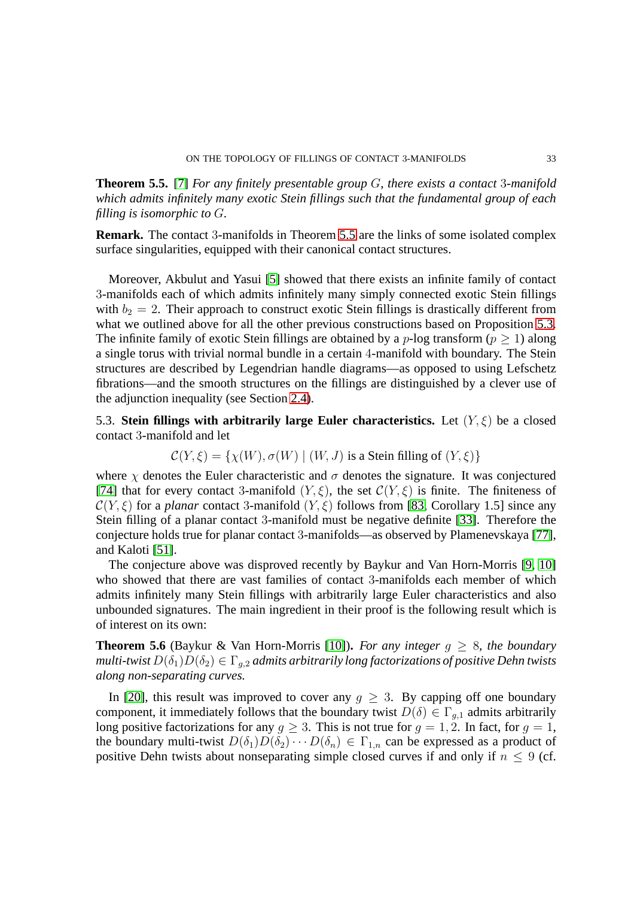**Theorem 5.5.** [\[7\]](#page-40-6) *For any finitely presentable group* G*, there exists a contact* 3*-manifold which admits infinitely many exotic Stein fillings such that the fundamental group of each filling is isomorphic to* G*.*

**Remark.** The contact 3-manifolds in Theorem [5.5](#page-31-1) are the links of some isolated complex surface singularities, equipped with their canonical contact structures.

Moreover, Akbulut and Yasui [\[5\]](#page-40-7) showed that there exists an infinite family of contact 3-manifolds each of which admits infinitely many simply connected exotic Stein fillings with  $b_2 = 2$ . Their approach to construct exotic Stein fillings is drastically different from what we outlined above for all the other previous constructions based on Proposition [5.3.](#page-29-1) The infinite family of exotic Stein fillings are obtained by a  $p$ -log transform ( $p > 1$ ) along a single torus with trivial normal bundle in a certain 4-manifold with boundary. The Stein structures are described by Legendrian handle diagrams—as opposed to using Lefschetz fibrations—and the smooth structures on the fillings are distinguished by a clever use of the adjunction inequality (see Section [2.4\)](#page-14-2).

5.3. **Stein fillings with arbitrarily large Euler characteristics.** Let  $(Y, \xi)$  be a closed contact 3-manifold and let

$$
C(Y,\xi) = \{ \chi(W), \sigma(W) \mid (W, J) \text{ is a Stein filling of } (Y, \xi) \}
$$

where  $\chi$  denotes the Euler characteristic and  $\sigma$  denotes the signature. It was conjectured [\[74\]](#page-43-20) that for every contact 3-manifold  $(Y, \xi)$ , the set  $\mathcal{C}(Y, \xi)$  is finite. The finiteness of  $C(Y, \xi)$  for a *planar* contact 3-manifold  $(Y, \xi)$  follows from [\[83,](#page-44-14) Corollary 1.5] since any Stein filling of a planar contact 3-manifold must be negative definite [\[33\]](#page-42-13). Therefore the conjecture holds true for planar contact 3-manifolds—as observed by Plamenevskaya [\[77\]](#page-43-21), and Kaloti [\[51\]](#page-42-17).

The conjecture above was disproved recently by Baykur and Van Horn-Morris [\[9,](#page-40-8) [10\]](#page-41-15) who showed that there are vast families of contact 3-manifolds each member of which admits infinitely many Stein fillings with arbitrarily large Euler characteristics and also unbounded signatures. The main ingredient in their proof is the following result which is of interest on its own:

**Theorem 5.6** (Baykur & Van Horn-Morris [\[10\]](#page-41-15)). *For any integer*  $g \geq 8$ *, the boundary multi-twist*  $D(\delta_1)D(\delta_2) \in \Gamma_{q,2}$  *admits arbitrarily long factorizations of positive Dehn twists along non-separating curves.*

In [\[20\]](#page-41-16), this result was improved to cover any  $g \geq 3$ . By capping off one boundary component, it immediately follows that the boundary twist  $D(\delta) \in \Gamma_{q,1}$  admits arbitrarily long positive factorizations for any  $g \geq 3$ . This is not true for  $g = 1, 2$ . In fact, for  $g = 1$ , the boundary multi-twist  $D(\delta_1)D(\delta_2)\cdots D(\delta_n) \in \Gamma_{1,n}$  can be expressed as a product of positive Dehn twists about nonseparating simple closed curves if and only if  $n \leq 9$  (cf.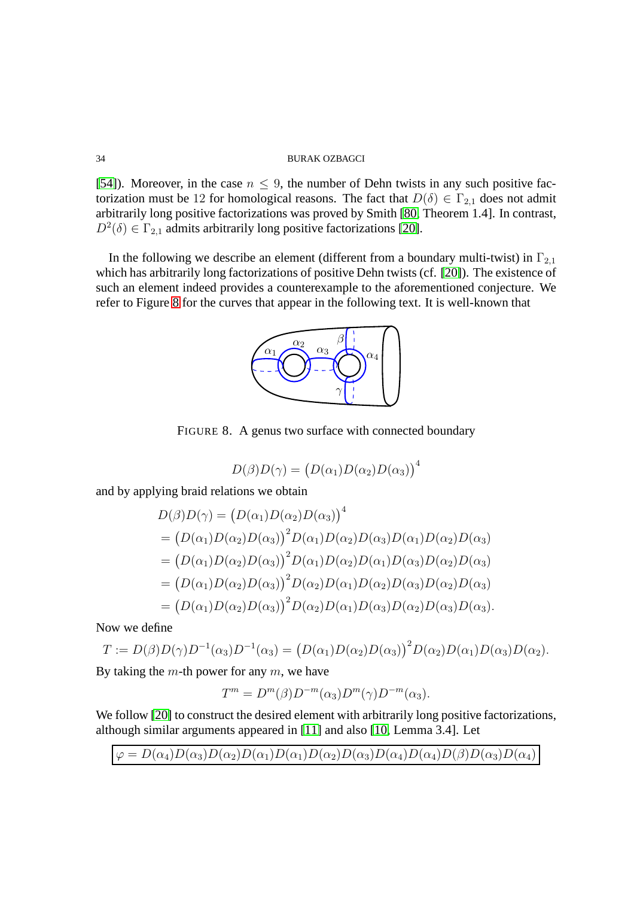[\[54\]](#page-42-15)). Moreover, in the case  $n \leq 9$ , the number of Dehn twists in any such positive factorization must be 12 for homological reasons. The fact that  $D(\delta) \in \Gamma_{2,1}$  does not admit arbitrarily long positive factorizations was proved by Smith [\[80,](#page-44-15) Theorem 1.4]. In contrast,  $D^2(\delta) \in \Gamma_{2,1}$  admits arbitrarily long positive factorizations [\[20\]](#page-41-16).

In the following we describe an element (different from a boundary multi-twist) in  $\Gamma_{2,1}$ which has arbitrarily long factorizations of positive Dehn twists (cf. [\[20\]](#page-41-16)). The existence of such an element indeed provides a counterexample to the aforementioned conjecture. We refer to Figure [8](#page-33-0) for the curves that appear in the following text. It is well-known that



FIGURE 8. A genus two surface with connected boundary

<span id="page-33-0"></span>
$$
D(\beta)D(\gamma) = (D(\alpha_1)D(\alpha_2)D(\alpha_3))^4
$$

and by applying braid relations we obtain

$$
D(\beta)D(\gamma) = (D(\alpha_1)D(\alpha_2)D(\alpha_3))^4
$$
  
=  $(D(\alpha_1)D(\alpha_2)D(\alpha_3))^2D(\alpha_1)D(\alpha_2)D(\alpha_3)D(\alpha_1)D(\alpha_2)D(\alpha_3)$   
=  $(D(\alpha_1)D(\alpha_2)D(\alpha_3))^2D(\alpha_1)D(\alpha_2)D(\alpha_1)D(\alpha_3)D(\alpha_2)D(\alpha_3)$   
=  $(D(\alpha_1)D(\alpha_2)D(\alpha_3))^2D(\alpha_2)D(\alpha_1)D(\alpha_2)D(\alpha_3)D(\alpha_2)D(\alpha_3)$   
=  $(D(\alpha_1)D(\alpha_2)D(\alpha_3))^2D(\alpha_2)D(\alpha_1)D(\alpha_3)D(\alpha_2)D(\alpha_3)D(\alpha_3).$ 

Now we define

$$
T := D(\beta)D(\gamma)D^{-1}(\alpha_3)D^{-1}(\alpha_3) = (D(\alpha_1)D(\alpha_2)D(\alpha_3))^2D(\alpha_2)D(\alpha_1)D(\alpha_3)D(\alpha_2).
$$

By taking the  $m$ -th power for any  $m$ , we have

$$
T^m = D^m(\beta)D^{-m}(\alpha_3)D^m(\gamma)D^{-m}(\alpha_3).
$$

We follow [\[20\]](#page-41-16) to construct the desired element with arbitrarily long positive factorizations, although similar arguments appeared in [\[11\]](#page-41-17) and also [\[10,](#page-41-15) Lemma 3.4]. Let

$$
\varphi = D(\alpha_4)D(\alpha_3)D(\alpha_2)D(\alpha_1)D(\alpha_1)D(\alpha_2)D(\alpha_3)D(\alpha_4)D(\alpha_4)D(\beta)D(\alpha_3)D(\alpha_4)
$$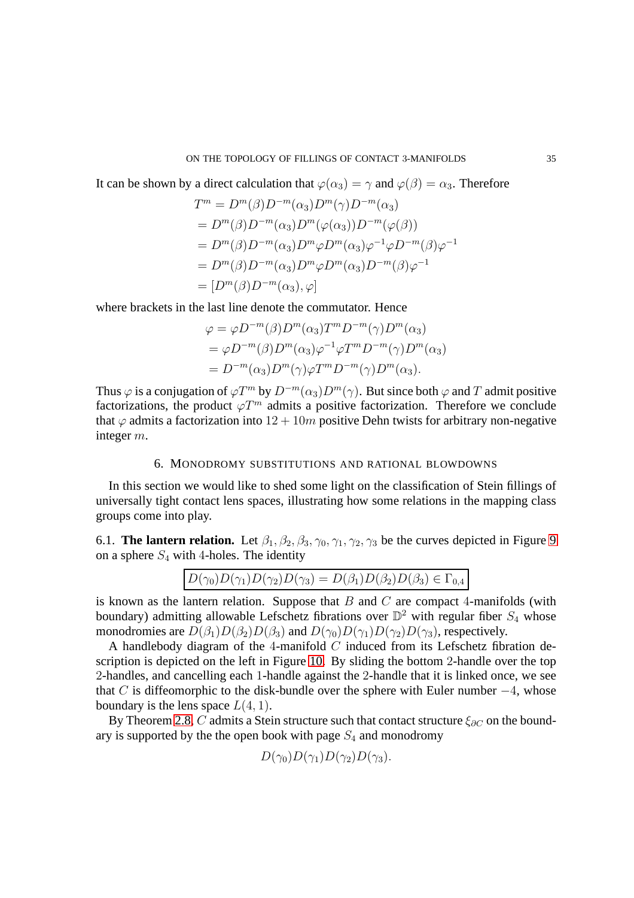#### ON THE TOPOLOGY OF FILLINGS OF CONTACT 3-MANIFOLDS 35

It can be shown by a direct calculation that  $\varphi(\alpha_3) = \gamma$  and  $\varphi(\beta) = \alpha_3$ . Therefore

$$
T^m = D^m(\beta)D^{-m}(\alpha_3)D^m(\gamma)D^{-m}(\alpha_3)
$$
  
=  $D^m(\beta)D^{-m}(\alpha_3)D^m(\varphi(\alpha_3))D^{-m}(\varphi(\beta))$   
=  $D^m(\beta)D^{-m}(\alpha_3)D^m\varphi D^m(\alpha_3)\varphi^{-1}\varphi D^{-m}(\beta)\varphi^{-1}$   
=  $D^m(\beta)D^{-m}(\alpha_3)D^m\varphi D^m(\alpha_3)D^{-m}(\beta)\varphi^{-1}$   
=  $[D^m(\beta)D^{-m}(\alpha_3), \varphi]$ 

where brackets in the last line denote the commutator. Hence

$$
\varphi = \varphi D^{-m}(\beta) D^{m}(\alpha_{3}) T^{m} D^{-m}(\gamma) D^{m}(\alpha_{3})
$$
  
= 
$$
\varphi D^{-m}(\beta) D^{m}(\alpha_{3}) \varphi^{-1} \varphi T^{m} D^{-m}(\gamma) D^{m}(\alpha_{3})
$$
  
= 
$$
D^{-m}(\alpha_{3}) D^{m}(\gamma) \varphi T^{m} D^{-m}(\gamma) D^{m}(\alpha_{3}).
$$

Thus  $\varphi$  is a conjugation of  $\varphi T^m$  by  $D^{-m}(\alpha_3)D^m(\gamma)$ . But since both  $\varphi$  and T admit positive factorizations, the product  $\varphi T^m$  admits a positive factorization. Therefore we conclude that  $\varphi$  admits a factorization into  $12 + 10m$  positive Dehn twists for arbitrary non-negative integer m.

## 6. MONODROMY SUBSTITUTIONS AND RATIONAL BLOWDOWNS

In this section we would like to shed some light on the classification of Stein fillings of universally tight contact lens spaces, illustrating how some relations in the mapping class groups come into play.

<span id="page-34-0"></span>6.1. **The lantern relation.** Let  $\beta_1, \beta_2, \beta_3, \gamma_0, \gamma_1, \gamma_2, \gamma_3$  be the curves depicted in Figure [9](#page-35-0) on a sphere  $S_4$  with 4-holes. The identity

$$
D(\gamma_0)D(\gamma_1)D(\gamma_2)D(\gamma_3) = D(\beta_1)D(\beta_2)D(\beta_3) \in \Gamma_{0,4}
$$

is known as the lantern relation. Suppose that  $B$  and  $C$  are compact 4-manifolds (with boundary) admitting allowable Lefschetz fibrations over  $\mathbb{D}^2$  with regular fiber  $S_4$  whose monodromies are  $D(\beta_1)D(\beta_2)D(\beta_3)$  and  $D(\gamma_0)D(\gamma_1)D(\gamma_2)D(\gamma_3)$ , respectively.

A handlebody diagram of the 4-manifold  $C$  induced from its Lefschetz fibration description is depicted on the left in Figure [10.](#page-35-1) By sliding the bottom 2-handle over the top 2-handles, and cancelling each 1-handle against the 2-handle that it is linked once, we see that C is diffeomorphic to the disk-bundle over the sphere with Euler number  $-4$ , whose boundary is the lens space  $L(4, 1)$ .

By Theorem [2.8,](#page-14-3) C admits a Stein structure such that contact structure  $\xi_{\partial C}$  on the boundary is supported by the the open book with page  $S_4$  and monodromy

$$
D(\gamma_0)D(\gamma_1)D(\gamma_2)D(\gamma_3).
$$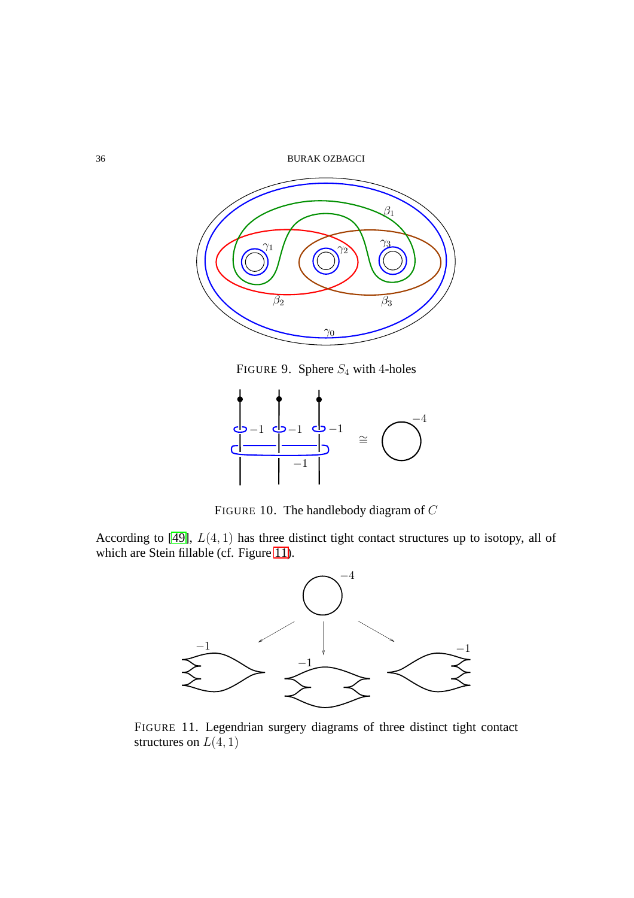36 BURAK OZBAGCI



<span id="page-35-0"></span>FIGURE 9. Sphere  $S_4$  with 4-holes



<span id="page-35-1"></span>FIGURE 10. The handlebody diagram of C

According to  $[49]$ ,  $L(4, 1)$  has three distinct tight contact structures up to isotopy, all of which are Stein fillable (cf. Figure [11\)](#page-35-2).



<span id="page-35-3"></span><span id="page-35-2"></span>FIGURE 11. Legendrian surgery diagrams of three distinct tight contact structures on  $L(4, 1)$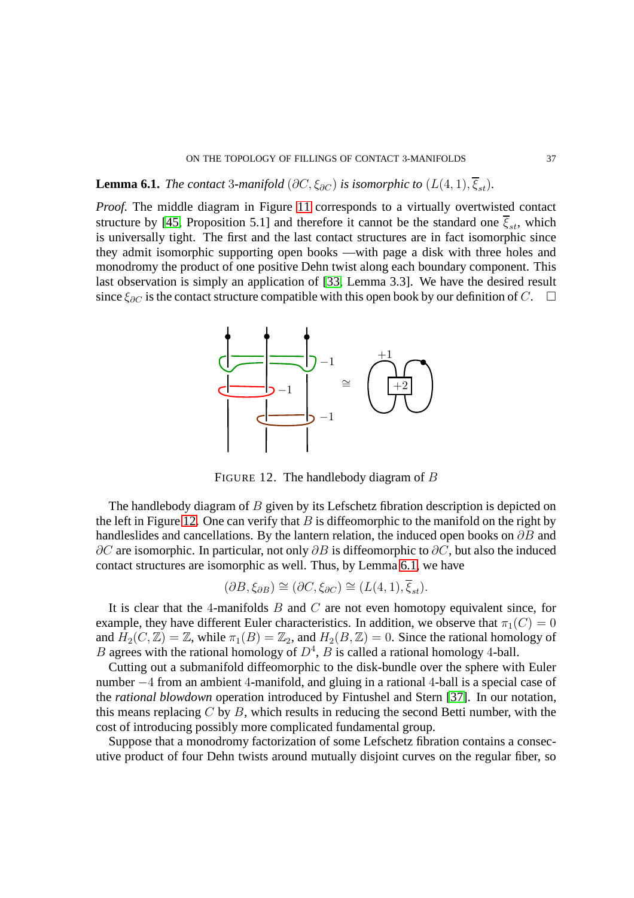## ON THE TOPOLOGY OF FILLINGS OF CONTACT 3-MANIFOLDS 37

# **Lemma 6.1.** *The contact* 3*-manifold* ( $\partial C$ ,  $\xi_{\partial C}$ ) *is isomorphic to* ( $L(4, 1)$ ,  $\overline{\xi}_{st}$ ).

*Proof.* The middle diagram in Figure [11](#page-35-2) corresponds to a virtually overtwisted contact structure by [\[45,](#page-42-5) Proposition 5.1] and therefore it cannot be the standard one  $\overline{\xi}_{st}$ , which is universally tight. The first and the last contact structures are in fact isomorphic since they admit isomorphic supporting open books —with page a disk with three holes and monodromy the product of one positive Dehn twist along each boundary component. This last observation is simply an application of [\[33,](#page-42-13) Lemma 3.3]. We have the desired result since  $\xi_{\partial C}$  is the contact structure compatible with this open book by our definition of C.  $\Box$ 



<span id="page-36-0"></span>FIGURE 12. The handlebody diagram of B

The handlebody diagram of  $B$  given by its Lefschetz fibration description is depicted on the left in Figure [12.](#page-36-0) One can verify that  $B$  is diffeomorphic to the manifold on the right by handleslides and cancellations. By the lantern relation, the induced open books on  $\partial B$  and  $\partial C$  are isomorphic. In particular, not only  $\partial B$  is diffeomorphic to  $\partial C$ , but also the induced contact structures are isomorphic as well. Thus, by Lemma [6.1,](#page-35-3) we have

$$
(\partial B, \xi_{\partial B}) \cong (\partial C, \xi_{\partial C}) \cong (L(4, 1), \xi_{st}).
$$

It is clear that the 4-manifolds  $B$  and  $C$  are not even homotopy equivalent since, for example, they have different Euler characteristics. In addition, we observe that  $\pi_1(C) = 0$ and  $H_2(C, \mathbb{Z}) = \mathbb{Z}$ , while  $\pi_1(B) = \mathbb{Z}_2$ , and  $H_2(B, \mathbb{Z}) = 0$ . Since the rational homology of B agrees with the rational homology of  $D<sup>4</sup>$ , B is called a rational homology 4-ball.

Cutting out a submanifold diffeomorphic to the disk-bundle over the sphere with Euler number −4 from an ambient 4-manifold, and gluing in a rational 4-ball is a special case of the *rational blowdown* operation introduced by Fintushel and Stern [\[37\]](#page-42-22). In our notation, this means replacing  $C$  by  $B$ , which results in reducing the second Betti number, with the cost of introducing possibly more complicated fundamental group.

Suppose that a monodromy factorization of some Lefschetz fibration contains a consecutive product of four Dehn twists around mutually disjoint curves on the regular fiber, so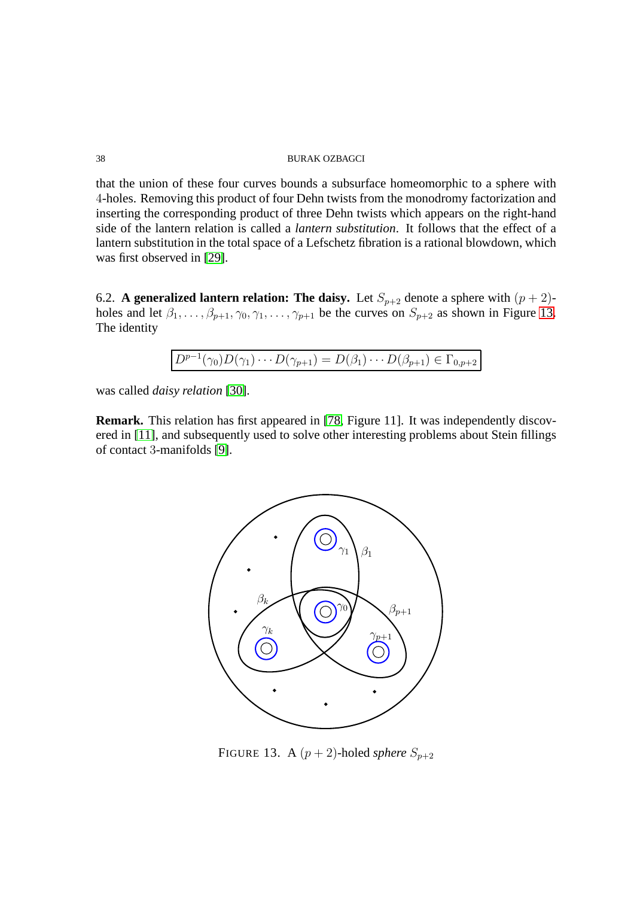that the union of these four curves bounds a subsurface homeomorphic to a sphere with 4-holes. Removing this product of four Dehn twists from the monodromy factorization and inserting the corresponding product of three Dehn twists which appears on the right-hand side of the lantern relation is called a *lantern substitution*. It follows that the effect of a lantern substitution in the total space of a Lefschetz fibration is a rational blowdown, which was first observed in [\[29\]](#page-41-18).

<span id="page-37-0"></span>6.2. **A generalized lantern relation: The daisy.** Let  $S_{p+2}$  denote a sphere with  $(p+2)$ holes and let  $\beta_1, \ldots, \beta_{p+1}, \gamma_0, \gamma_1, \ldots, \gamma_{p+1}$  be the curves on  $S_{p+2}$  as shown in Figure [13.](#page-37-1) The identity

$$
D^{p-1}(\gamma_0)D(\gamma_1)\cdots D(\gamma_{p+1})=D(\beta_1)\cdots D(\beta_{p+1})\in\Gamma_{0,p+2}
$$

was called *daisy relation* [\[30\]](#page-41-19).

**Remark.** This relation has first appeared in [\[78,](#page-44-10) Figure 11]. It was independently discovered in [\[11\]](#page-41-17), and subsequently used to solve other interesting problems about Stein fillings of contact 3-manifolds [\[9\]](#page-40-8).



<span id="page-37-1"></span>FIGURE 13. A  $(p+2)$ -holed *sphere*  $S_{p+2}$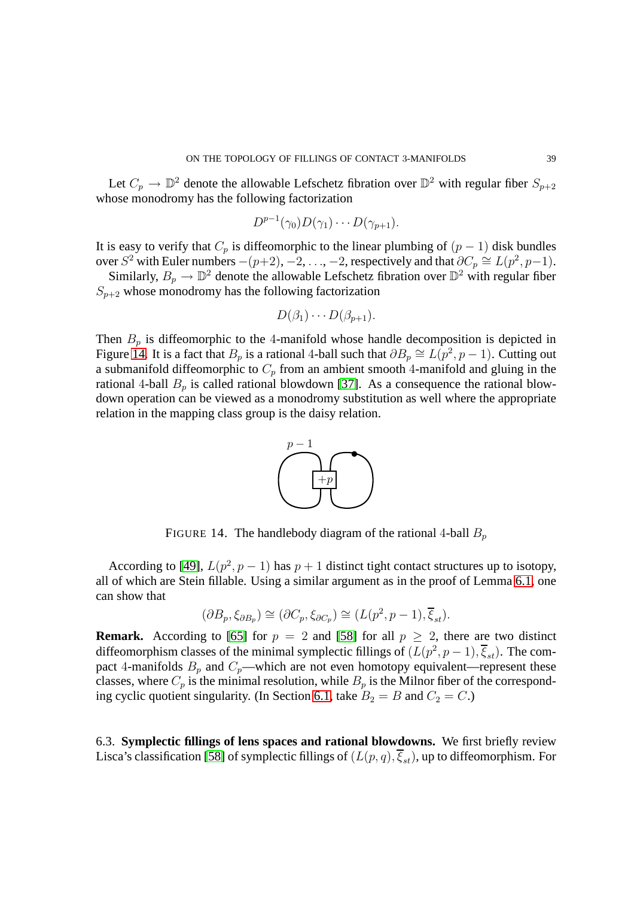Let  $C_p \to \mathbb{D}^2$  denote the allowable Lefschetz fibration over  $\mathbb{D}^2$  with regular fiber  $S_{p+2}$ whose monodromy has the following factorization

$$
D^{p-1}(\gamma_0)D(\gamma_1)\cdots D(\gamma_{p+1}).
$$

It is easy to verify that  $C_p$  is diffeomorphic to the linear plumbing of  $(p - 1)$  disk bundles over  $S^2$  with Euler numbers  $-(p+2), -2, \ldots, -2$ , respectively and that  $\partial C_p \cong L(p^2, p-1)$ .

Similarly,  $B_p \to \mathbb{D}^2$  denote the allowable Lefschetz fibration over  $\mathbb{D}^2$  with regular fiber  $S_{p+2}$  whose monodromy has the following factorization

$$
D(\beta_1)\cdots D(\beta_{p+1}).
$$

Then  $B_p$  is diffeomorphic to the 4-manifold whose handle decomposition is depicted in Figure [14.](#page-38-0) It is a fact that  $B_p$  is a rational 4-ball such that  $\partial B_p \cong L(p^2, p-1)$ . Cutting out a submanifold diffeomorphic to  $C_p$  from an ambient smooth 4-manifold and gluing in the rational 4-ball  $B_p$  is called rational blowdown [\[37\]](#page-42-22). As a consequence the rational blowdown operation can be viewed as a monodromy substitution as well where the appropriate relation in the mapping class group is the daisy relation.



<span id="page-38-0"></span>FIGURE 14. The handlebody diagram of the rational 4-ball  $B_p$ 

According to [\[49\]](#page-42-6),  $L(p^2, p-1)$  has  $p+1$  distinct tight contact structures up to isotopy, all of which are Stein fillable. Using a similar argument as in the proof of Lemma [6.1,](#page-35-3) one can show that

$$
(\partial B_p, \xi_{\partial B_p}) \cong (\partial C_p, \xi_{\partial C_p}) \cong (L(p^2, p-1), \overline{\xi}_{st}).
$$

**Remark.** According to [\[65\]](#page-43-13) for  $p = 2$  and [\[58\]](#page-43-14) for all  $p \ge 2$ , there are two distinct diffeomorphism classes of the minimal symplectic fillings of  $(L(p^2, p-1), \overline{\xi}_{st})$ . The compact 4-manifolds  $B_p$  and  $C_p$ —which are not even homotopy equivalent—represent these classes, where  $C_p$  is the minimal resolution, while  $B_p$  is the Milnor fiber of the correspond-ing cyclic quotient singularity. (In Section [6.1,](#page-34-0) take  $B_2 = B$  and  $C_2 = C$ .)

6.3. **Symplectic fillings of lens spaces and rational blowdowns.** We first briefly review Lisca's classification [\[58\]](#page-43-14) of symplectic fillings of  $(L(p, q), \overline{\xi}_{st})$ , up to diffeomorphism. For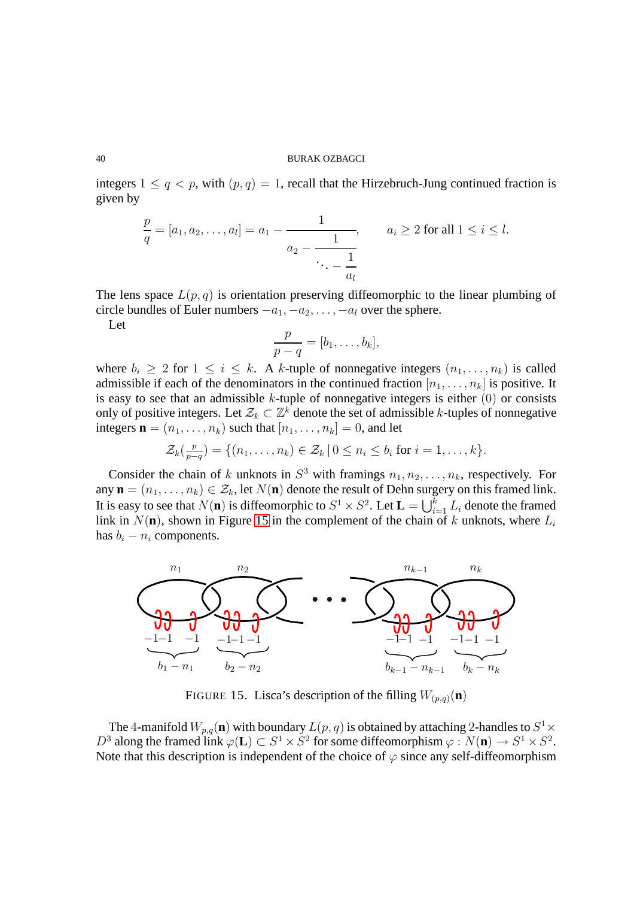integers  $1 \leq q < p$ , with  $(p, q) = 1$ , recall that the Hirzebruch-Jung continued fraction is given by

$$
\frac{p}{q} = [a_1, a_2, \dots, a_l] = a_1 - \frac{1}{a_2 - \frac{1}{\ddots - \frac{1}{a_l}}}, \qquad a_i \ge 2 \text{ for all } 1 \le i \le l.
$$

The lens space  $L(p, q)$  is orientation preserving diffeomorphic to the linear plumbing of circle bundles of Euler numbers  $-a_1, -a_2, \ldots, -a_l$  over the sphere.

Let

$$
\frac{p}{p-q}=[b_1,\ldots,b_k],
$$

where  $b_i \geq 2$  for  $1 \leq i \leq k$ . A k-tuple of nonnegative integers  $(n_1, \ldots, n_k)$  is called admissible if each of the denominators in the continued fraction  $[n_1, \ldots, n_k]$  is positive. It is easy to see that an admissible  $k$ -tuple of nonnegative integers is either  $(0)$  or consists only of positive integers. Let  $\mathcal{Z}_k \subset \mathbb{Z}^k$  denote the set of admissible k-tuples of nonnegative integers  $\mathbf{n} = (n_1, \ldots, n_k)$  such that  $[n_1, \ldots, n_k] = 0$ , and let

$$
\mathcal{Z}_k(\frac{p}{p-q}) = \{(n_1,\ldots,n_k) \in \mathcal{Z}_k \mid 0 \leq n_i \leq b_i \text{ for } i=1,\ldots,k\}.
$$

Consider the chain of k unknots in  $S^3$  with framings  $n_1, n_2, \ldots, n_k$ , respectively. For any  $\mathbf{n} = (n_1, \ldots, n_k) \in \mathcal{Z}_k$ , let  $N(\mathbf{n})$  denote the result of Dehn surgery on this framed link. It is easy to see that  $N(\mathbf{n})$  is diffeomorphic to  $S^1 \times S^2$ . Let  $\mathbf{L} = \bigcup_{i=1}^k L_i$  denote the framed link in  $N(\mathbf{n})$ , shown in Figure [15](#page-39-0) in the complement of the chain of k unknots, where  $L_i$ has  $b_i - n_i$  components.



<span id="page-39-0"></span>FIGURE 15. Lisca's description of the filling  $W_{(p,q)}(\mathbf{n})$ 

The 4-manifold  $W_{p,q}(\mathbf{n})$  with boundary  $L(p,q)$  is obtained by attaching 2-handles to  $S^1 \times$  $D^3$  along the framed link  $\varphi(\mathbf{L}) \subset S^1 \times S^2$  for some diffeomorphism  $\varphi : N(\mathbf{n}) \to S^1 \times S^2$ . Note that this description is independent of the choice of  $\varphi$  since any self-diffeomorphism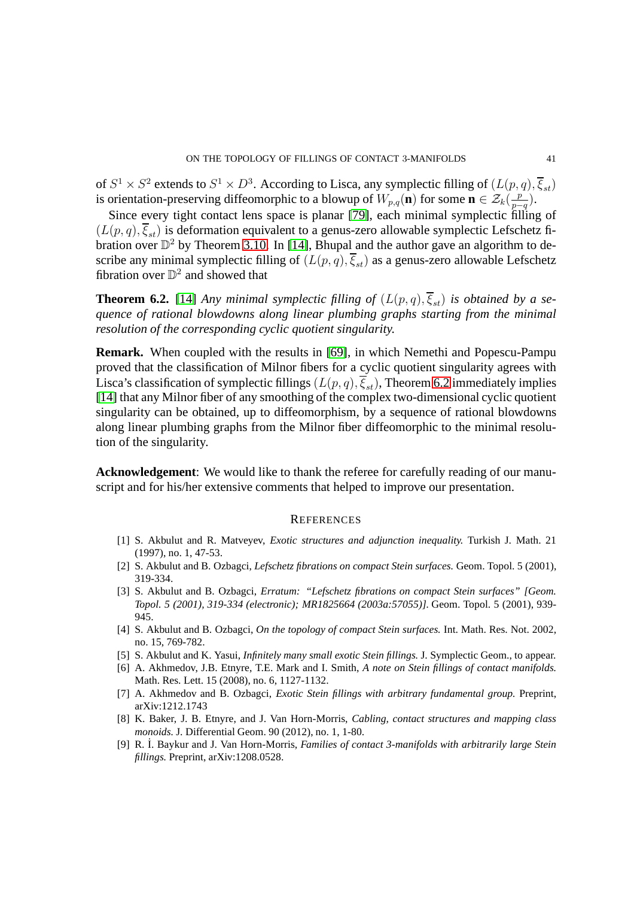of  $S^1 \times S^2$  extends to  $S^1 \times D^3$ . According to Lisca, any symplectic filling of  $(L(p,q), \overline{\xi}_{st})$ is orientation-preserving diffeomorphic to a blowup of  $W_{p,q}(\mathbf{n})$  for some  $\mathbf{n} \in \mathcal{Z}_k(\frac{p}{p-1})$  $\frac{p}{p-q}$ ).

Since every tight contact lens space is planar [\[79\]](#page-44-11), each minimal symplectic filling of  $(L(p,q), \overline{\xi}_{st})$  is deformation equivalent to a genus-zero allowable symplectic Lefschetz fibration over  $\mathbb{D}^2$  by Theorem [3.10.](#page-18-0) In [\[14\]](#page-41-20), Bhupal and the author gave an algorithm to describe any minimal symplectic filling of  $(L(p, q), \overline{\xi}_{st})$  as a genus-zero allowable Lefschetz fibration over  $\mathbb{D}^2$  and showed that

<span id="page-40-9"></span>**Theorem 6.2.** [\[14\]](#page-41-20) *Any minimal symplectic filling of*  $(L(p, q), \overline{\xi}_{st})$  *is obtained by a sequence of rational blowdowns along linear plumbing graphs starting from the minimal resolution of the corresponding cyclic quotient singularity.*

**Remark.** When coupled with the results in [\[69\]](#page-43-22), in which Nemethi and Popescu-Pampu proved that the classification of Milnor fibers for a cyclic quotient singularity agrees with Lisca's classification of symplectic fillings  $(L(p, q), \overline{\xi}_{st})$ , Theorem [6.2](#page-40-9) immediately implies [\[14\]](#page-41-20) that any Milnor fiber of any smoothing of the complex two-dimensional cyclic quotient singularity can be obtained, up to diffeomorphism, by a sequence of rational blowdowns along linear plumbing graphs from the Milnor fiber diffeomorphic to the minimal resolution of the singularity.

**Acknowledgement**: We would like to thank the referee for carefully reading of our manuscript and for his/her extensive comments that helped to improve our presentation.

#### **REFERENCES**

- <span id="page-40-2"></span>[1] S. Akbulut and R. Matveyev, *Exotic structures and adjunction inequality.* Turkish J. Math. 21 (1997), no. 1, 47-53.
- <span id="page-40-0"></span>[2] S. Akbulut and B. Ozbagci, *Lefschetz fibrations on compact Stein surfaces.* Geom. Topol. 5 (2001), 319-334.
- <span id="page-40-1"></span>[3] S. Akbulut and B. Ozbagci, *Erratum: "Lefschetz fibrations on compact Stein surfaces" [Geom. Topol. 5 (2001), 319-334 (electronic); MR1825664 (2003a:57055)].* Geom. Topol. 5 (2001), 939- 945.
- <span id="page-40-4"></span>[4] S. Akbulut and B. Ozbagci, *On the topology of compact Stein surfaces.* Int. Math. Res. Not. 2002, no. 15, 769-782.
- <span id="page-40-7"></span><span id="page-40-5"></span>[5] S. Akbulut and K. Yasui, *Infinitely many small exotic Stein fillings.* J. Symplectic Geom., to appear.
- [6] A. Akhmedov, J.B. Etnyre, T.E. Mark and I. Smith, *A note on Stein fillings of contact manifolds.* Math. Res. Lett. 15 (2008), no. 6, 1127-1132.
- <span id="page-40-6"></span>[7] A. Akhmedov and B. Ozbagci, *Exotic Stein fillings with arbitrary fundamental group.* Preprint, arXiv:1212.1743
- <span id="page-40-3"></span>[8] K. Baker, J. B. Etnyre, and J. Van Horn-Morris, *Cabling, contact structures and mapping class monoids.* J. Differential Geom. 90 (2012), no. 1, 1-80.
- <span id="page-40-8"></span>[9] R. ˙I. Baykur and J. Van Horn-Morris, *Families of contact 3-manifolds with arbitrarily large Stein fillings.* Preprint, arXiv:1208.0528.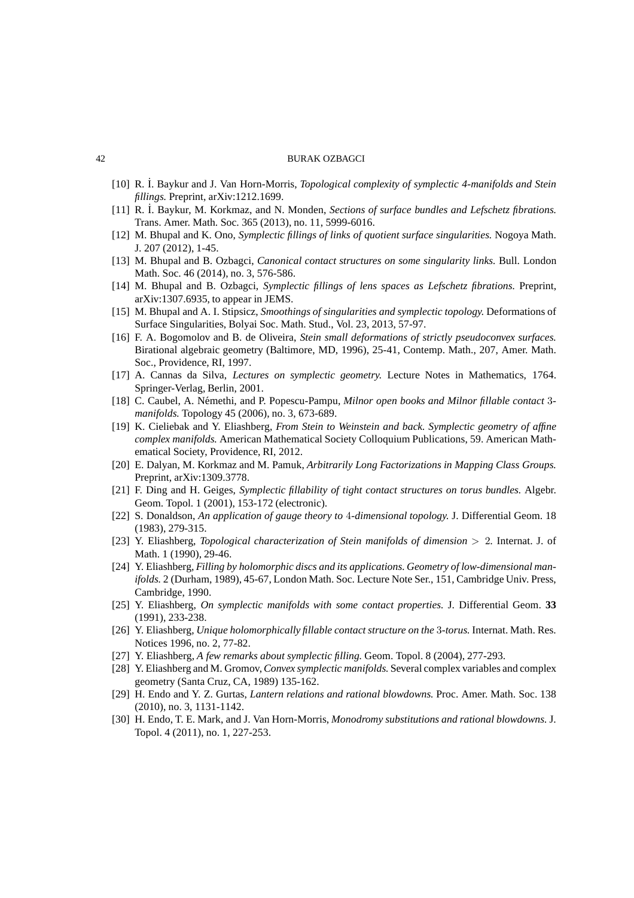- <span id="page-41-17"></span><span id="page-41-15"></span>[10] R. ˙I. Baykur and J. Van Horn-Morris, *Topological complexity of symplectic 4-manifolds and Stein fillings.* Preprint, arXiv:1212.1699.
- <span id="page-41-14"></span>[11] R. ˙I. Baykur, M. Korkmaz, and N. Monden, *Sections of surface bundles and Lefschetz fibrations.* Trans. Amer. Math. Soc. 365 (2013), no. 11, 5999-6016.
- <span id="page-41-12"></span>[12] M. Bhupal and K. Ono, *Symplectic fillings of links of quotient surface singularities.* Nogoya Math. J. 207 (2012), 1-45.
- <span id="page-41-20"></span>[13] M. Bhupal and B. Ozbagci, *Canonical contact structures on some singularity links.* Bull. London Math. Soc. 46 (2014), no. 3, 576-586.
- <span id="page-41-11"></span>[14] M. Bhupal and B. Ozbagci, *Symplectic fillings of lens spaces as Lefschetz fibrations.* Preprint, arXiv:1307.6935, to appear in JEMS.
- <span id="page-41-3"></span>[15] M. Bhupal and A. I. Stipsicz, *Smoothings of singularities and symplectic topology.* Deformations of Surface Singularities, Bolyai Soc. Math. Stud., Vol. 23, 2013, 57-97.
- [16] F. A. Bogomolov and B. de Oliveira, *Stein small deformations of strictly pseudoconvex surfaces.* Birational algebraic geometry (Baltimore, MD, 1996), 25-41, Contemp. Math., 207, Amer. Math. Soc., Providence, RI, 1997.
- <span id="page-41-13"></span><span id="page-41-2"></span>[17] A. Cannas da Silva, *Lectures on symplectic geometry.* Lecture Notes in Mathematics, 1764. Springer-Verlag, Berlin, 2001.
- [18] C. Caubel, A. N´emethi, and P. Popescu-Pampu, *Milnor open books and Milnor fillable contact* 3 *manifolds.* Topology 45 (2006), no. 3, 673-689.
- <span id="page-41-0"></span>[19] K. Cieliebak and Y. Eliashberg, *From Stein to Weinstein and back. Symplectic geometry of affine complex manifolds.* American Mathematical Society Colloquium Publications, 59. American Mathematical Society, Providence, RI, 2012.
- <span id="page-41-16"></span><span id="page-41-7"></span>[20] E. Dalyan, M. Korkmaz and M. Pamuk, *Arbitrarily Long Factorizations in Mapping Class Groups.* Preprint, arXiv:1309.3778.
- [21] F. Ding and H. Geiges, *Symplectic fillability of tight contact structures on torus bundles.* Algebr. Geom. Topol. 1 (2001), 153-172 (electronic).
- <span id="page-41-8"></span>[22] S. Donaldson, *An application of gauge theory to* 4*-dimensional topology.* J. Differential Geom. 18 (1983), 279-315.
- <span id="page-41-1"></span>[23] Y. Eliashberg, *Topological characterization of Stein manifolds of dimension* > 2*.* Internat. J. of Math. 1 (1990), 29-46.
- <span id="page-41-10"></span>[24] Y. Eliashberg, *Filling by holomorphic discs and its applications. Geometry of low-dimensional manifolds.* 2 (Durham, 1989), 45-67, London Math. Soc. Lecture Note Ser., 151, Cambridge Univ. Press, Cambridge, 1990.
- <span id="page-41-4"></span>[25] Y. Eliashberg, *On symplectic manifolds with some contact properties.* J. Differential Geom. **33** (1991), 233-238.
- <span id="page-41-6"></span>[26] Y. Eliashberg, *Unique holomorphically fillable contact structure on the* 3*-torus.* Internat. Math. Res. Notices 1996, no. 2, 77-82.
- <span id="page-41-9"></span><span id="page-41-5"></span>[27] Y. Eliashberg, *A few remarks about symplectic filling.* Geom. Topol. 8 (2004), 277-293.
- [28] Y. Eliashberg and M. Gromov, *Convex symplectic manifolds.* Several complex variables and complex geometry (Santa Cruz, CA, 1989) 135-162.
- <span id="page-41-18"></span>[29] H. Endo and Y. Z. Gurtas, *Lantern relations and rational blowdowns.* Proc. Amer. Math. Soc. 138 (2010), no. 3, 1131-1142.
- <span id="page-41-19"></span>[30] H. Endo, T. E. Mark, and J. Van Horn-Morris, *Monodromy substitutions and rational blowdowns.* J. Topol. 4 (2011), no. 1, 227-253.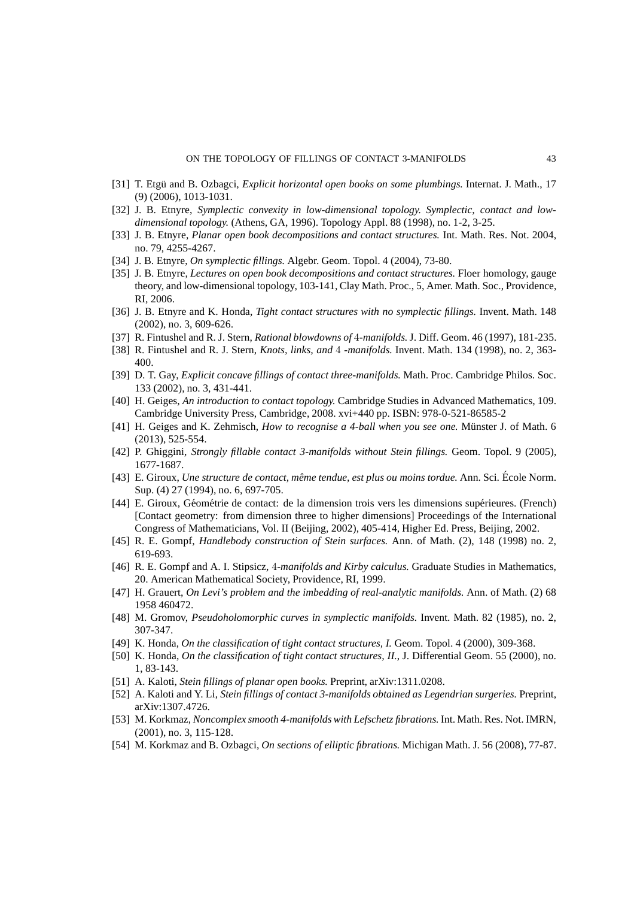#### ON THE TOPOLOGY OF FILLINGS OF CONTACT 3-MANIFOLDS 43

- <span id="page-42-16"></span><span id="page-42-14"></span>[31] T. Etgü and B. Ozbagci, *Explicit horizontal open books on some plumbings*. Internat. J. Math., 17 (9) (2006), 1013-1031.
- <span id="page-42-13"></span>[32] J. B. Etnyre, *Symplectic convexity in low-dimensional topology. Symplectic, contact and lowdimensional topology.* (Athens, GA, 1996). Topology Appl. 88 (1998), no. 1-2, 3-25.
- <span id="page-42-8"></span>[33] J. B. Etnyre, *Planar open book decompositions and contact structures.* Int. Math. Res. Not. 2004, no. 79, 4255-4267.
- <span id="page-42-4"></span>[34] J. B. Etnyre, *On symplectic fillings.* Algebr. Geom. Topol. 4 (2004), 73-80.
- [35] J. B. Etnyre, *Lectures on open book decompositions and contact structures.* Floer homology, gauge theory, and low-dimensional topology, 103-141, Clay Math. Proc., 5, Amer. Math. Soc., Providence, RI, 2006.
- <span id="page-42-22"></span><span id="page-42-9"></span>[36] J. B. Etnyre and K. Honda, *Tight contact structures with no symplectic fillings.* Invent. Math. 148 (2002), no. 3, 609-626.
- <span id="page-42-21"></span>[37] R. Fintushel and R. J. Stern, *Rational blowdowns of* 4*-manifolds.*J. Diff. Geom. 46 (1997), 181-235.
- <span id="page-42-7"></span>[38] R. Fintushel and R. J. Stern, *Knots, links, and* 4 *-manifolds.* Invent. Math. 134 (1998), no. 2, 363- 400.
- <span id="page-42-1"></span>[39] D. T. Gay, *Explicit concave fillings of contact three-manifolds.* Math. Proc. Cambridge Philos. Soc. 133 (2002), no. 3, 431-441.
- [40] H. Geiges, *An introduction to contact topology.* Cambridge Studies in Advanced Mathematics, 109. Cambridge University Press, Cambridge, 2008. xvi+440 pp. ISBN: 978-0-521-86585-2
- <span id="page-42-11"></span>[41] H. Geiges and K. Zehmisch, *How to recognise a 4-ball when you see one*. Münster J. of Math. 6 (2013), 525-554.
- <span id="page-42-12"></span>[42] P. Ghiggini, *Strongly fillable contact 3-manifolds without Stein fillings.* Geom. Topol. 9 (2005), 1677-1687.
- [43] E. Giroux, *Une structure de contact, même tendue, est plus ou moins tordue.* Ann. Sci. École Norm. Sup. (4) 27 (1994), no. 6, 697-705.
- <span id="page-42-3"></span>[44] E. Giroux, Géométrie de contact: de la dimension trois vers les dimensions supérieures. (French) [Contact geometry: from dimension three to higher dimensions] Proceedings of the International Congress of Mathematicians, Vol. II (Beijing, 2002), 405-414, Higher Ed. Press, Beijing, 2002.
- <span id="page-42-5"></span><span id="page-42-2"></span>[45] R. E. Gompf, *Handlebody construction of Stein surfaces.* Ann. of Math. (2), 148 (1998) no. 2, 619-693.
- [46] R. E. Gompf and A. I. Stipsicz, 4*-manifolds and Kirby calculus.* Graduate Studies in Mathematics, 20. American Mathematical Society, Providence, RI, 1999.
- <span id="page-42-10"></span><span id="page-42-0"></span>[47] H. Grauert, *On Levi's problem and the imbedding of real-analytic manifolds.* Ann. of Math. (2) 68 1958 460472.
- <span id="page-42-6"></span>[48] M. Gromov, *Pseudoholomorphic curves in symplectic manifolds.* Invent. Math. 82 (1985), no. 2, 307-347.
- <span id="page-42-18"></span>[49] K. Honda, *On the classification of tight contact structures, I.* Geom. Topol. 4 (2000), 309-368.
- [50] K. Honda, *On the classification of tight contact structures, II.*, J. Differential Geom. 55 (2000), no. 1, 83-143.
- <span id="page-42-19"></span><span id="page-42-17"></span>[51] A. Kaloti, *Stein fillings of planar open books.* Preprint, arXiv:1311.0208.
- <span id="page-42-20"></span>[52] A. Kaloti and Y. Li, *Stein fillings of contact 3-manifolds obtained as Legendrian surgeries.* Preprint, arXiv:1307.4726.
- [53] M. Korkmaz, *Noncomplex smooth 4-manifolds with Lefschetz fibrations.* Int. Math. Res. Not. IMRN, (2001), no. 3, 115-128.
- <span id="page-42-15"></span>[54] M. Korkmaz and B. Ozbagci, *On sections of elliptic fibrations.* Michigan Math. J. 56 (2008), 77-87.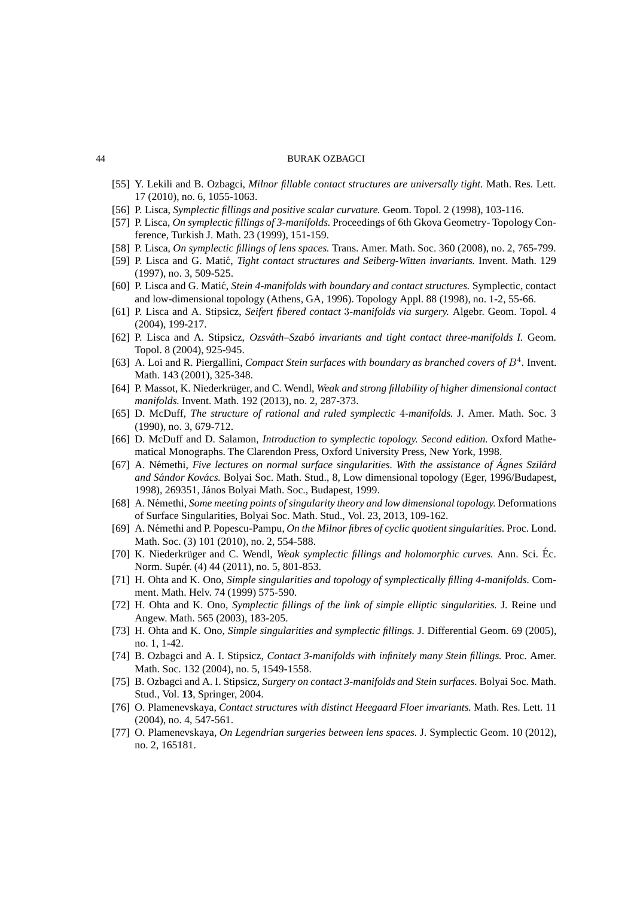- <span id="page-43-18"></span><span id="page-43-8"></span>[55] Y. Lekili and B. Ozbagci, *Milnor fillable contact structures are universally tight.* Math. Res. Lett. 17 (2010), no. 6, 1055-1063.
- <span id="page-43-9"></span>[56] P. Lisca, *Symplectic fillings and positive scalar curvature.* Geom. Topol. 2 (1998), 103-116.
- <span id="page-43-14"></span>[57] P. Lisca, *On symplectic fillings of 3-manifolds.* Proceedings of 6th Gkova Geometry- Topology Conference, Turkish J. Math. 23 (1999), 151-159.
- <span id="page-43-5"></span>[58] P. Lisca, *On symplectic fillings of lens spaces.* Trans. Amer. Math. Soc. 360 (2008), no. 2, 765-799.
- <span id="page-43-6"></span>[59] P. Lisca and G. Matić, *Tight contact structures and Seiberg-Witten invariants*. Invent. Math. 129 (1997), no. 3, 509-525.
- <span id="page-43-10"></span>[60] P. Lisca and G. Matić, *Stein 4-manifolds with boundary and contact structures*. Symplectic, contact and low-dimensional topology (Athens, GA, 1996). Topology Appl. 88 (1998), no. 1-2, 55-66.
- <span id="page-43-11"></span>[61] P. Lisca and A. Stipsicz, *Seifert fibered contact* 3*-manifolds via surgery.* Algebr. Geom. Topol. 4 (2004), 199-217.
- [62] P. Lisca and A. Stipsicz, *Ozsvath–Szab ´ o invariants and tight contact three-manifolds I. ´* Geom. Topol. 8 (2004), 925-945.
- <span id="page-43-3"></span>[63] A. Loi and R. Piergallini, *Compact Stein surfaces with boundary as branched covers of*  $B^4$ . Invent. Math. 143 (2001), 325-348.
- <span id="page-43-1"></span>[64] P. Massot, K. Niederkrüger, and C. Wendl, *Weak and strong fillability of higher dimensional contact manifolds.* Invent. Math. 192 (2013), no. 2, 287-373.
- <span id="page-43-13"></span><span id="page-43-0"></span>[65] D. McDuff, *The structure of rational and ruled symplectic* 4*-manifolds.* J. Amer. Math. Soc. 3 (1990), no. 3, 679-712.
- <span id="page-43-16"></span>[66] D. McDuff and D. Salamon, *Introduction to symplectic topology. Second edition.* Oxford Mathematical Monographs. The Clarendon Press, Oxford University Press, New York, 1998.
- [67] A. N´emethi, *Five lectures on normal surface singularities. With the assistance of Agnes Szil ´ ard ´ and Sándor Kovács.* Bolyai Soc. Math. Stud., 8, Low dimensional topology (Eger, 1996/Budapest, 1998), 269351, János Bolyai Math. Soc., Budapest, 1999.
- <span id="page-43-17"></span>[68] A. N´emethi, *Some meeting points of singularity theory and low dimensional topology.* Deformations of Surface Singularities, Bolyai Soc. Math. Stud., Vol. 23, 2013, 109-162.
- <span id="page-43-22"></span>[69] A. N´emethi and P. Popescu-Pampu, *On the Milnor fibres of cyclic quotient singularities.* Proc. Lond. Math. Soc. (3) 101 (2010), no. 2, 554-588.
- <span id="page-43-12"></span>[70] K. Niederkrüger and C. Wendl, *Weak symplectic fillings and holomorphic curves*. Ann. Sci. Éc. Norm. Supér. (4) 44 (2011), no. 5, 801-853.
- <span id="page-43-7"></span>[71] H. Ohta and K. Ono, *Simple singularities and topology of symplectically filling 4-manifolds.* Comment. Math. Helv. 74 (1999) 575-590.
- <span id="page-43-15"></span>[72] H. Ohta and K. Ono, *Symplectic fillings of the link of simple elliptic singularities.* J. Reine und Angew. Math. 565 (2003), 183-205.
- <span id="page-43-19"></span>[73] H. Ohta and K. Ono, *Simple singularities and symplectic fillings.* J. Differential Geom. 69 (2005), no. 1, 1-42.
- <span id="page-43-20"></span>[74] B. Ozbagci and A. I. Stipsicz, *Contact 3-manifolds with infinitely many Stein fillings.* Proc. Amer. Math. Soc. 132 (2004), no. 5, 1549-1558.
- <span id="page-43-2"></span>[75] B. Ozbagci and A. I. Stipsicz, *Surgery on contact 3-manifolds and Stein surfaces.* Bolyai Soc. Math. Stud., Vol. **13**, Springer, 2004.
- <span id="page-43-4"></span>[76] O. Plamenevskaya, *Contact structures with distinct Heegaard Floer invariants.* Math. Res. Lett. 11 (2004), no. 4, 547-561.
- <span id="page-43-21"></span>[77] O. Plamenevskaya, *On Legendrian surgeries between lens spaces.* J. Symplectic Geom. 10 (2012), no. 2, 165181.